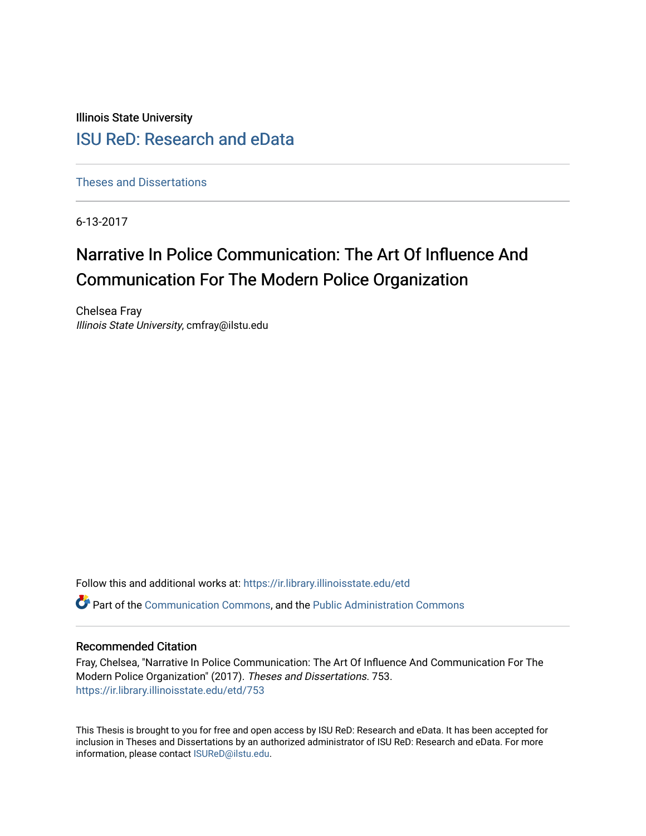Illinois State University

# [ISU ReD: Research and eData](https://ir.library.illinoisstate.edu/)

[Theses and Dissertations](https://ir.library.illinoisstate.edu/etd)

6-13-2017

# Narrative In Police Communication: The Art Of Influence And Communication For The Modern Police Organization

Chelsea Fray Illinois State University, cmfray@ilstu.edu

Follow this and additional works at: [https://ir.library.illinoisstate.edu/etd](https://ir.library.illinoisstate.edu/etd?utm_source=ir.library.illinoisstate.edu%2Fetd%2F753&utm_medium=PDF&utm_campaign=PDFCoverPages) 

Part of the [Communication Commons,](http://network.bepress.com/hgg/discipline/325?utm_source=ir.library.illinoisstate.edu%2Fetd%2F753&utm_medium=PDF&utm_campaign=PDFCoverPages) and the [Public Administration Commons](http://network.bepress.com/hgg/discipline/398?utm_source=ir.library.illinoisstate.edu%2Fetd%2F753&utm_medium=PDF&utm_campaign=PDFCoverPages) 

#### Recommended Citation

Fray, Chelsea, "Narrative In Police Communication: The Art Of Influence And Communication For The Modern Police Organization" (2017). Theses and Dissertations. 753. [https://ir.library.illinoisstate.edu/etd/753](https://ir.library.illinoisstate.edu/etd/753?utm_source=ir.library.illinoisstate.edu%2Fetd%2F753&utm_medium=PDF&utm_campaign=PDFCoverPages) 

This Thesis is brought to you for free and open access by ISU ReD: Research and eData. It has been accepted for inclusion in Theses and Dissertations by an authorized administrator of ISU ReD: Research and eData. For more information, please contact [ISUReD@ilstu.edu.](mailto:ISUReD@ilstu.edu)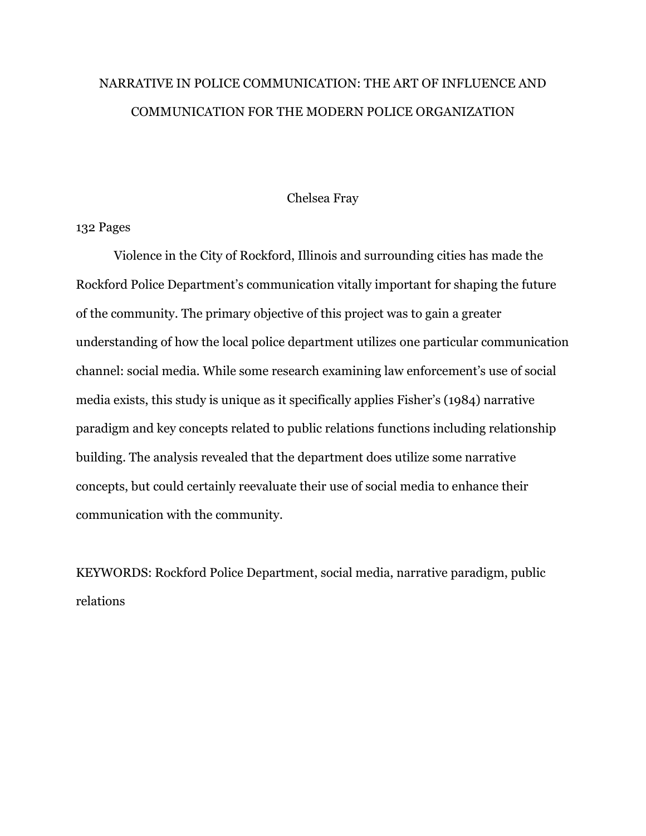# NARRATIVE IN POLICE COMMUNICATION: THE ART OF INFLUENCE AND COMMUNICATION FOR THE MODERN POLICE ORGANIZATION

## Chelsea Fray

# 132 Pages

Violence in the City of Rockford, Illinois and surrounding cities has made the Rockford Police Department's communication vitally important for shaping the future of the community. The primary objective of this project was to gain a greater understanding of how the local police department utilizes one particular communication channel: social media. While some research examining law enforcement's use of social media exists, this study is unique as it specifically applies Fisher's (1984) narrative paradigm and key concepts related to public relations functions including relationship building. The analysis revealed that the department does utilize some narrative concepts, but could certainly reevaluate their use of social media to enhance their communication with the community.

KEYWORDS: Rockford Police Department, social media, narrative paradigm, public relations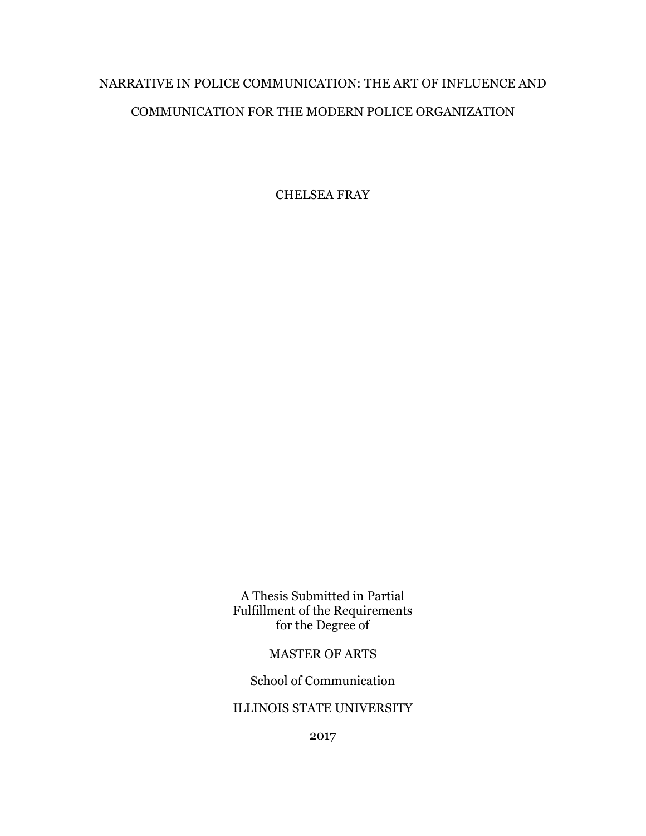# NARRATIVE IN POLICE COMMUNICATION: THE ART OF INFLUENCE AND COMMUNICATION FOR THE MODERN POLICE ORGANIZATION

CHELSEA FRAY

A Thesis Submitted in Partial Fulfillment of the Requirements for the Degree of

# MASTER OF ARTS

School of Communication

# ILLINOIS STATE UNIVERSITY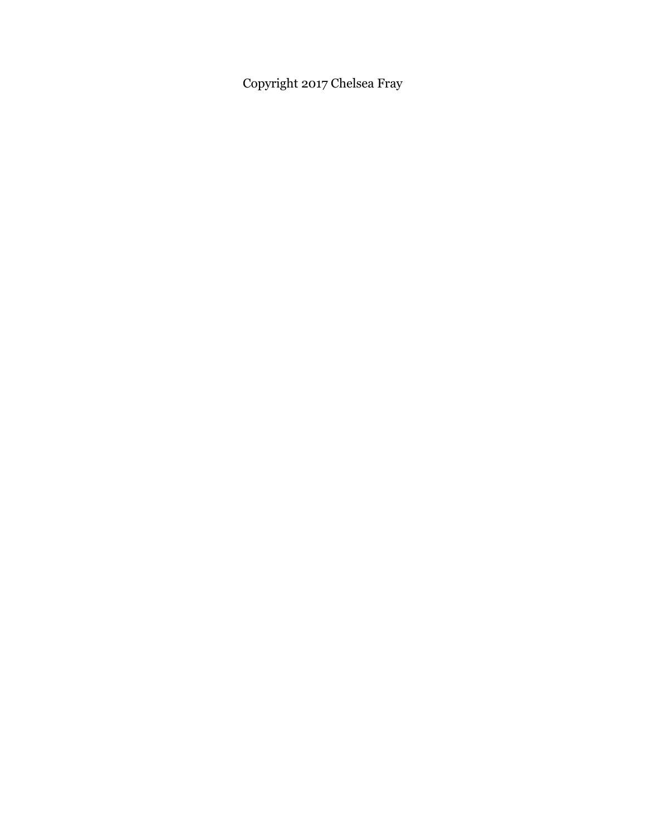Copyright 2017 Chelsea Fray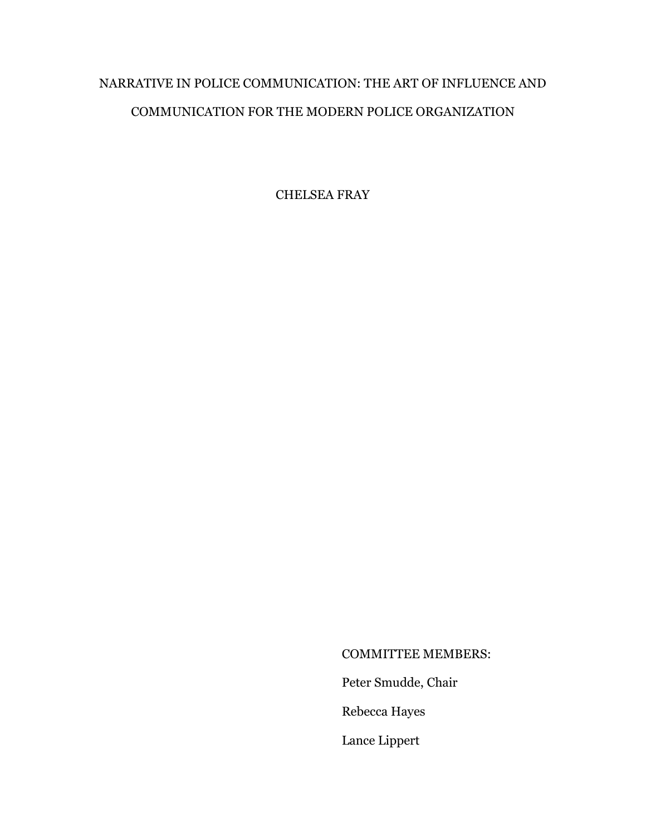# NARRATIVE IN POLICE COMMUNICATION: THE ART OF INFLUENCE AND COMMUNICATION FOR THE MODERN POLICE ORGANIZATION

CHELSEA FRAY

# COMMITTEE MEMBERS:

Peter Smudde, Chair

Rebecca Hayes

Lance Lippert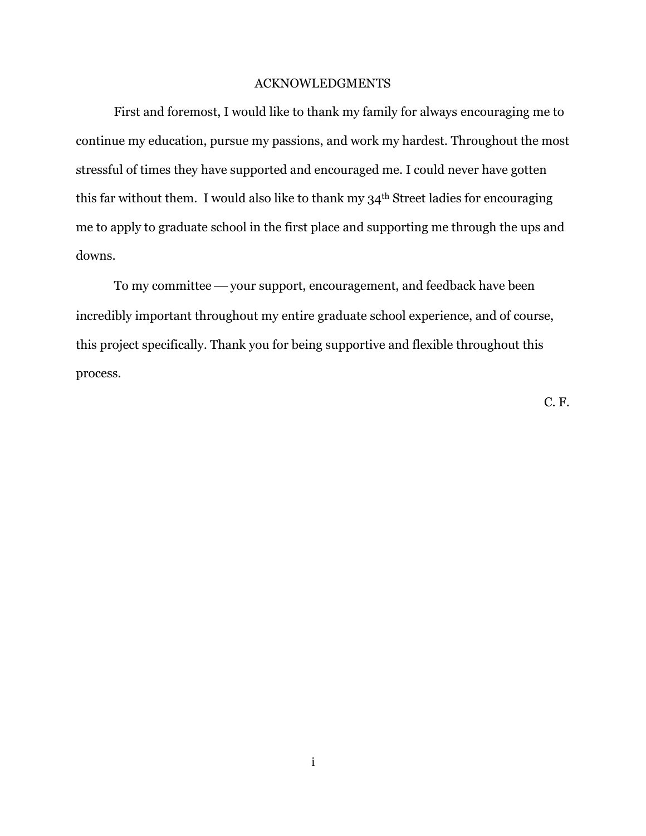## ACKNOWLEDGMENTS

First and foremost, I would like to thank my family for always encouraging me to continue my education, pursue my passions, and work my hardest. Throughout the most stressful of times they have supported and encouraged me. I could never have gotten this far without them. I would also like to thank my  $34<sup>th</sup>$  Street ladies for encouraging me to apply to graduate school in the first place and supporting me through the ups and downs.

To my committee — your support, encouragement, and feedback have been incredibly important throughout my entire graduate school experience, and of course, this project specifically. Thank you for being supportive and flexible throughout this process.

C. F.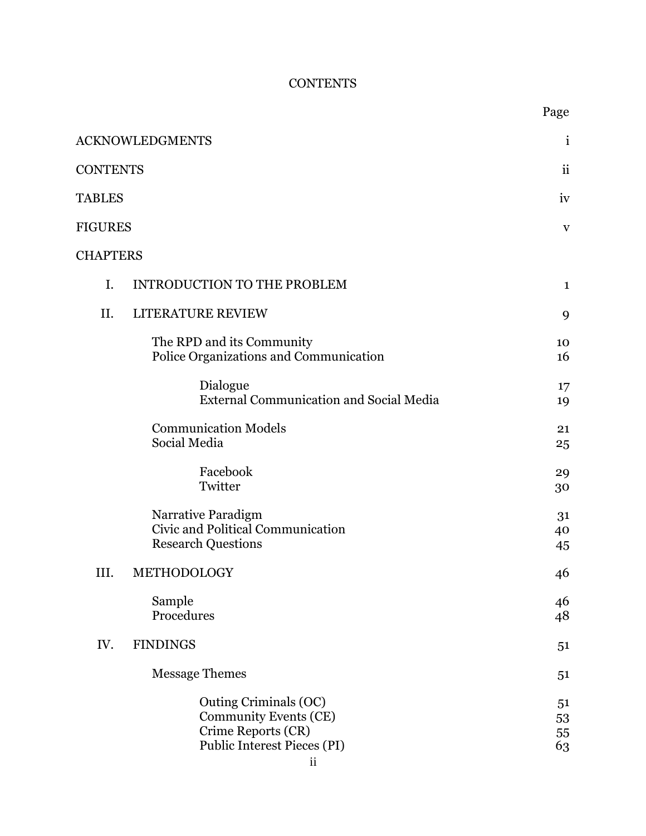# **CONTENTS**

|                 |                                                                                                                             | Page                     |
|-----------------|-----------------------------------------------------------------------------------------------------------------------------|--------------------------|
|                 | ACKNOWLEDGMENTS                                                                                                             | $\mathbf{1}$             |
| <b>CONTENTS</b> |                                                                                                                             | $\overline{\textbf{ii}}$ |
| <b>TABLES</b>   |                                                                                                                             | iv                       |
| FIGURES         |                                                                                                                             | $\mathbf V$              |
| <b>CHAPTERS</b> |                                                                                                                             |                          |
| I.              | <b>INTRODUCTION TO THE PROBLEM</b>                                                                                          | $\mathbf{1}$             |
| II.             | LITERATURE REVIEW                                                                                                           | 9                        |
|                 | The RPD and its Community<br>Police Organizations and Communication                                                         | 10<br>16                 |
|                 | Dialogue<br><b>External Communication and Social Media</b>                                                                  | 17<br>19                 |
|                 | <b>Communication Models</b><br>Social Media                                                                                 | 21<br>25                 |
|                 | Facebook<br>Twitter                                                                                                         | 29<br>30                 |
|                 | Narrative Paradigm<br>Civic and Political Communication<br><b>Research Questions</b>                                        | 31<br>40<br>45           |
| III.            | METHODOLOGY                                                                                                                 | 46                       |
|                 | Sample<br>Procedures                                                                                                        | 46<br>48                 |
| IV.             | <b>FINDINGS</b>                                                                                                             | 51                       |
|                 | <b>Message Themes</b>                                                                                                       | 51                       |
|                 | Outing Criminals (OC)<br><b>Community Events (CE)</b><br>Crime Reports (CR)<br>Public Interest Pieces (PI)<br>$\mathbf{ii}$ | 51<br>53<br>55<br>63     |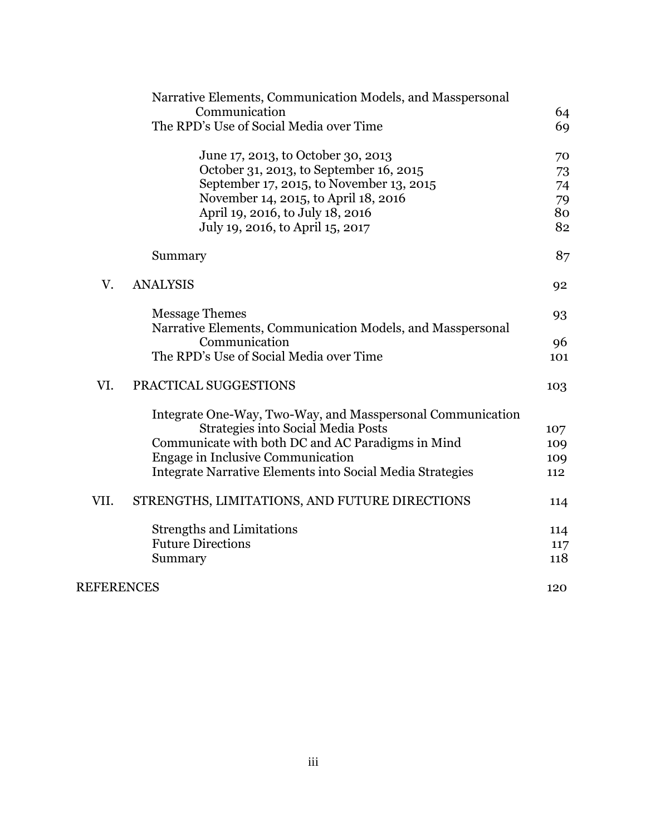|                   | Narrative Elements, Communication Models, and Masspersonal |     |
|-------------------|------------------------------------------------------------|-----|
|                   | Communication                                              | 64  |
|                   | The RPD's Use of Social Media over Time                    | 69  |
|                   | June 17, 2013, to October 30, 2013                         | 70  |
|                   | October 31, 2013, to September 16, 2015                    | 73  |
|                   | September 17, 2015, to November 13, 2015                   | 74  |
|                   | November 14, 2015, to April 18, 2016                       | 79  |
|                   | April 19, 2016, to July 18, 2016                           | 80  |
|                   | July 19, 2016, to April 15, 2017                           | 82  |
|                   | Summary                                                    | 87  |
| V.                | <b>ANALYSIS</b>                                            | 92  |
|                   | <b>Message Themes</b>                                      | 93  |
|                   | Narrative Elements, Communication Models, and Masspersonal |     |
|                   | Communication                                              | 96  |
|                   | The RPD's Use of Social Media over Time                    | 101 |
| VI.               | PRACTICAL SUGGESTIONS                                      | 103 |
|                   | Integrate One-Way, Two-Way, and Masspersonal Communication |     |
|                   | <b>Strategies into Social Media Posts</b>                  | 107 |
|                   | Communicate with both DC and AC Paradigms in Mind          | 109 |
|                   | Engage in Inclusive Communication                          | 109 |
|                   | Integrate Narrative Elements into Social Media Strategies  | 112 |
| VII.              | STRENGTHS, LIMITATIONS, AND FUTURE DIRECTIONS              | 114 |
|                   | <b>Strengths and Limitations</b>                           | 114 |
|                   | <b>Future Directions</b>                                   | 117 |
|                   | Summary                                                    | 118 |
| <b>REFERENCES</b> |                                                            | 120 |
|                   |                                                            |     |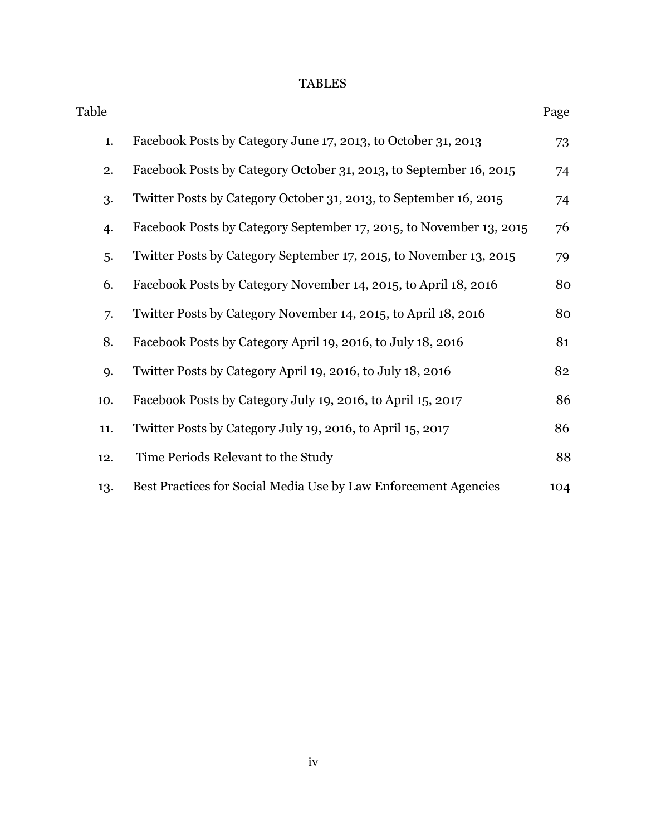# TABLES

| Table |                                                                     | Page |
|-------|---------------------------------------------------------------------|------|
| 1.    | Facebook Posts by Category June 17, 2013, to October 31, 2013       | 73   |
| 2.    | Facebook Posts by Category October 31, 2013, to September 16, 2015  | 74   |
| 3.    | Twitter Posts by Category October 31, 2013, to September 16, 2015   | 74   |
| 4.    | Facebook Posts by Category September 17, 2015, to November 13, 2015 | 76   |
| 5.    | Twitter Posts by Category September 17, 2015, to November 13, 2015  | 79   |
| 6.    | Facebook Posts by Category November 14, 2015, to April 18, 2016     | 80   |
| 7.    | Twitter Posts by Category November 14, 2015, to April 18, 2016      | 80   |
| 8.    | Facebook Posts by Category April 19, 2016, to July 18, 2016         | 81   |
| 9.    | Twitter Posts by Category April 19, 2016, to July 18, 2016          | 82   |
| 10.   | Facebook Posts by Category July 19, 2016, to April 15, 2017         | 86   |
| 11.   | Twitter Posts by Category July 19, 2016, to April 15, 2017          | 86   |
| 12.   | Time Periods Relevant to the Study                                  | 88   |
| 13.   | Best Practices for Social Media Use by Law Enforcement Agencies     | 104  |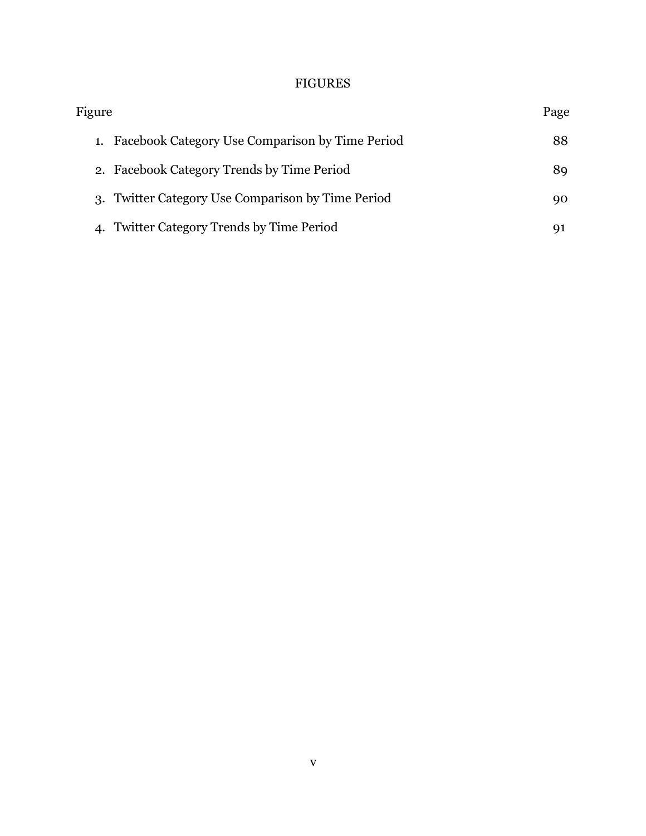# FIGURES

| Figure                                            | Page |
|---------------------------------------------------|------|
| Facebook Category Use Comparison by Time Period   | 88   |
| 2. Facebook Category Trends by Time Period        | 89.  |
| 3. Twitter Category Use Comparison by Time Period | 90   |
| <b>Twitter Category Trends by Time Period</b>     |      |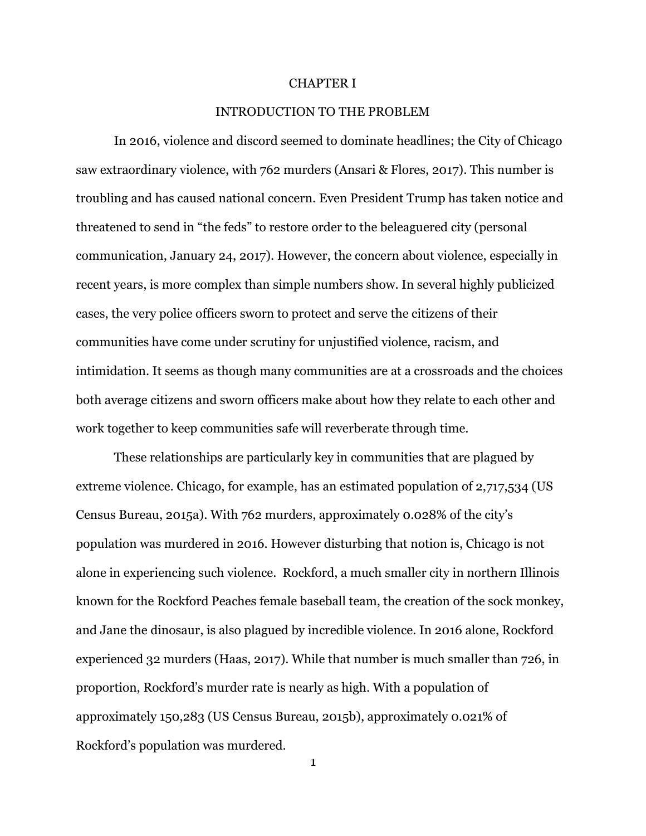#### CHAPTER I

## INTRODUCTION TO THE PROBLEM

In 2016, violence and discord seemed to dominate headlines; the City of Chicago saw extraordinary violence, with 762 murders (Ansari & Flores, 2017). This number is troubling and has caused national concern. Even President Trump has taken notice and threatened to send in "the feds" to restore order to the beleaguered city (personal communication, January 24, 2017). However, the concern about violence, especially in recent years, is more complex than simple numbers show. In several highly publicized cases, the very police officers sworn to protect and serve the citizens of their communities have come under scrutiny for unjustified violence, racism, and intimidation. It seems as though many communities are at a crossroads and the choices both average citizens and sworn officers make about how they relate to each other and work together to keep communities safe will reverberate through time.

These relationships are particularly key in communities that are plagued by extreme violence. Chicago, for example, has an estimated population of 2,717,534 (US Census Bureau, 2015a). With 762 murders, approximately 0.028% of the city's population was murdered in 2016. However disturbing that notion is, Chicago is not alone in experiencing such violence. Rockford, a much smaller city in northern Illinois known for the Rockford Peaches female baseball team, the creation of the sock monkey, and Jane the dinosaur, is also plagued by incredible violence. In 2016 alone, Rockford experienced 32 murders (Haas, 2017). While that number is much smaller than 726, in proportion, Rockford's murder rate is nearly as high. With a population of approximately 150,283 (US Census Bureau, 2015b), approximately 0.021% of Rockford's population was murdered.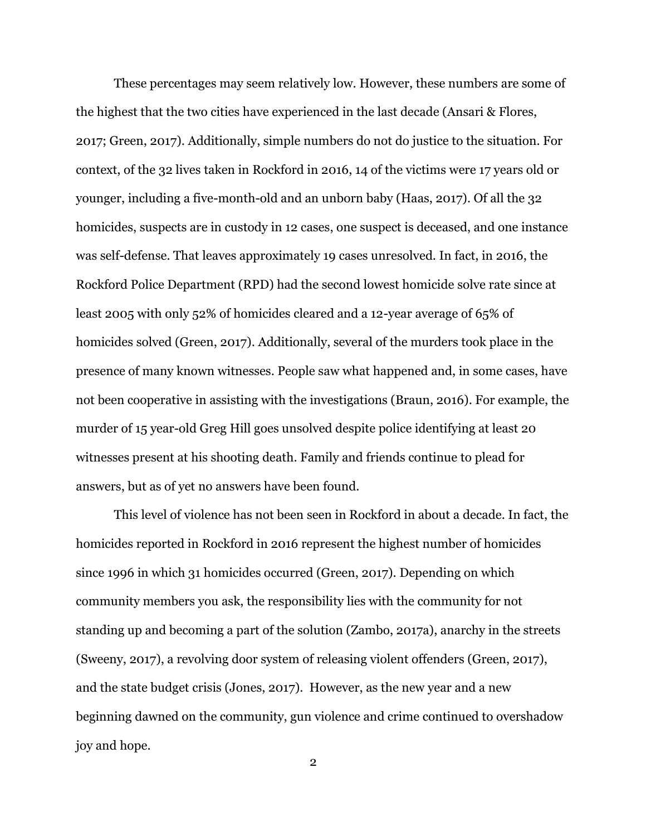These percentages may seem relatively low. However, these numbers are some of the highest that the two cities have experienced in the last decade (Ansari & Flores, 2017; Green, 2017). Additionally, simple numbers do not do justice to the situation. For context, of the 32 lives taken in Rockford in 2016, 14 of the victims were 17 years old or younger, including a five-month-old and an unborn baby (Haas, 2017). Of all the 32 homicides, suspects are in custody in 12 cases, one suspect is deceased, and one instance was self-defense. That leaves approximately 19 cases unresolved. In fact, in 2016, the Rockford Police Department (RPD) had the second lowest homicide solve rate since at least 2005 with only 52% of homicides cleared and a 12-year average of 65% of homicides solved (Green, 2017). Additionally, several of the murders took place in the presence of many known witnesses. People saw what happened and, in some cases, have not been cooperative in assisting with the investigations (Braun, 2016). For example, the murder of 15 year-old Greg Hill goes unsolved despite police identifying at least 20 witnesses present at his shooting death. Family and friends continue to plead for answers, but as of yet no answers have been found.

This level of violence has not been seen in Rockford in about a decade. In fact, the homicides reported in Rockford in 2016 represent the highest number of homicides since 1996 in which 31 homicides occurred (Green, 2017). Depending on which community members you ask, the responsibility lies with the community for not standing up and becoming a part of the solution (Zambo, 2017a), anarchy in the streets (Sweeny, 2017), a revolving door system of releasing violent offenders (Green, 2017), and the state budget crisis (Jones, 2017). However, as the new year and a new beginning dawned on the community, gun violence and crime continued to overshadow joy and hope.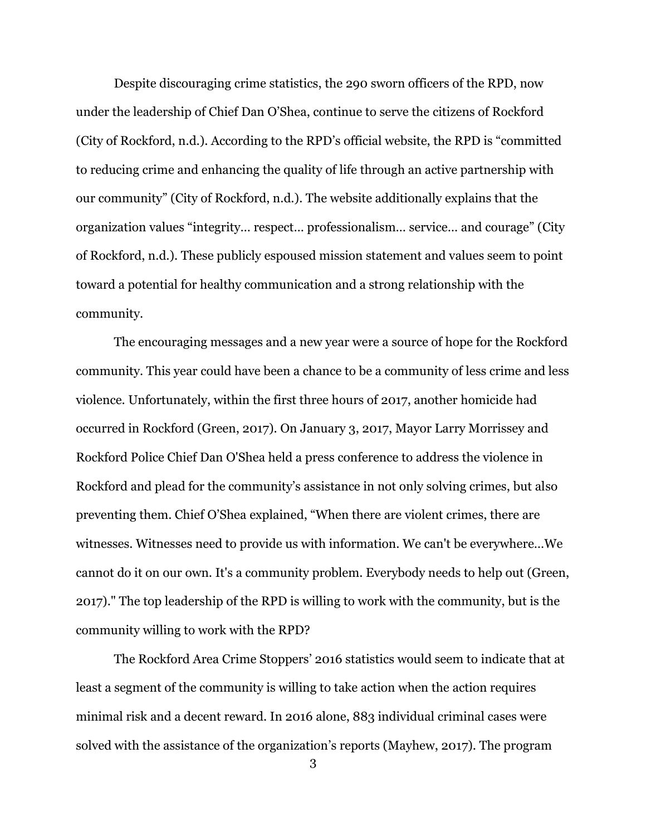Despite discouraging crime statistics, the 290 sworn officers of the RPD, now under the leadership of Chief Dan O'Shea, continue to serve the citizens of Rockford (City of Rockford, n.d.). According to the RPD's official website, the RPD is "committed to reducing crime and enhancing the quality of life through an active partnership with our community" (City of Rockford, n.d.). The website additionally explains that the organization values "integrity… respect… professionalism… service… and courage" (City of Rockford, n.d.). These publicly espoused mission statement and values seem to point toward a potential for healthy communication and a strong relationship with the community.

The encouraging messages and a new year were a source of hope for the Rockford community. This year could have been a chance to be a community of less crime and less violence. Unfortunately, within the first three hours of 2017, another homicide had occurred in Rockford (Green, 2017). On January 3, 2017, Mayor Larry Morrissey and Rockford Police Chief Dan O'Shea held a press conference to address the violence in Rockford and plead for the community's assistance in not only solving crimes, but also preventing them. Chief O'Shea explained, "When there are violent crimes, there are witnesses. Witnesses need to provide us with information. We can't be everywhere…We cannot do it on our own. It's a community problem. Everybody needs to help out (Green, 2017)." The top leadership of the RPD is willing to work with the community, but is the community willing to work with the RPD?

The Rockford Area Crime Stoppers' 2016 statistics would seem to indicate that at least a segment of the community is willing to take action when the action requires minimal risk and a decent reward. In 2016 alone, 883 individual criminal cases were solved with the assistance of the organization's reports (Mayhew, 2017). The program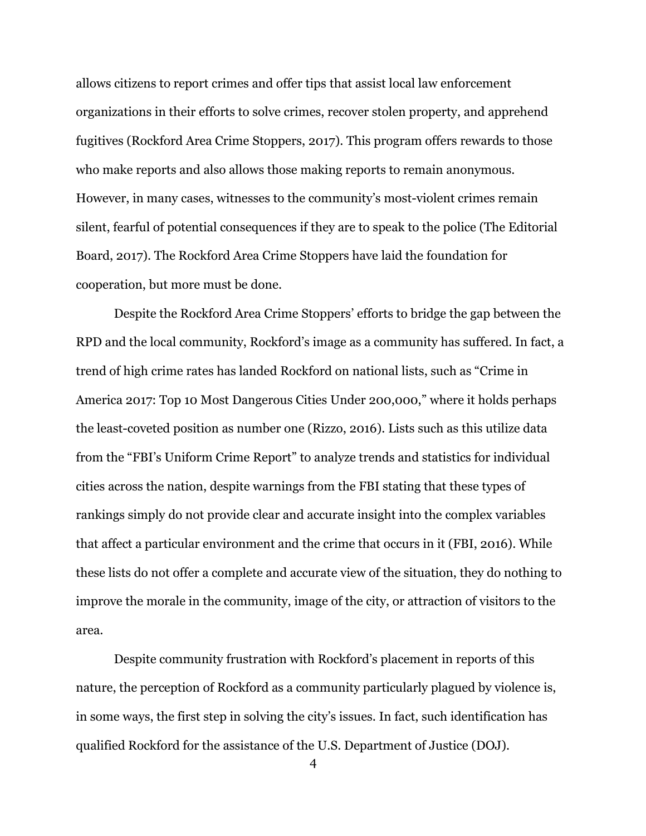allows citizens to report crimes and offer tips that assist local law enforcement organizations in their efforts to solve crimes, recover stolen property, and apprehend fugitives (Rockford Area Crime Stoppers, 2017). This program offers rewards to those who make reports and also allows those making reports to remain anonymous. However, in many cases, witnesses to the community's most-violent crimes remain silent, fearful of potential consequences if they are to speak to the police (The Editorial Board, 2017). The Rockford Area Crime Stoppers have laid the foundation for cooperation, but more must be done.

Despite the Rockford Area Crime Stoppers' efforts to bridge the gap between the RPD and the local community, Rockford's image as a community has suffered. In fact, a trend of high crime rates has landed Rockford on national lists, such as "Crime in America 2017: Top 10 Most Dangerous Cities Under 200,000," where it holds perhaps the least-coveted position as number one (Rizzo, 2016). Lists such as this utilize data from the "FBI's Uniform Crime Report" to analyze trends and statistics for individual cities across the nation, despite warnings from the FBI stating that these types of rankings simply do not provide clear and accurate insight into the complex variables that affect a particular environment and the crime that occurs in it (FBI, 2016). While these lists do not offer a complete and accurate view of the situation, they do nothing to improve the morale in the community, image of the city, or attraction of visitors to the area.

Despite community frustration with Rockford's placement in reports of this nature, the perception of Rockford as a community particularly plagued by violence is, in some ways, the first step in solving the city's issues. In fact, such identification has qualified Rockford for the assistance of the U.S. Department of Justice (DOJ).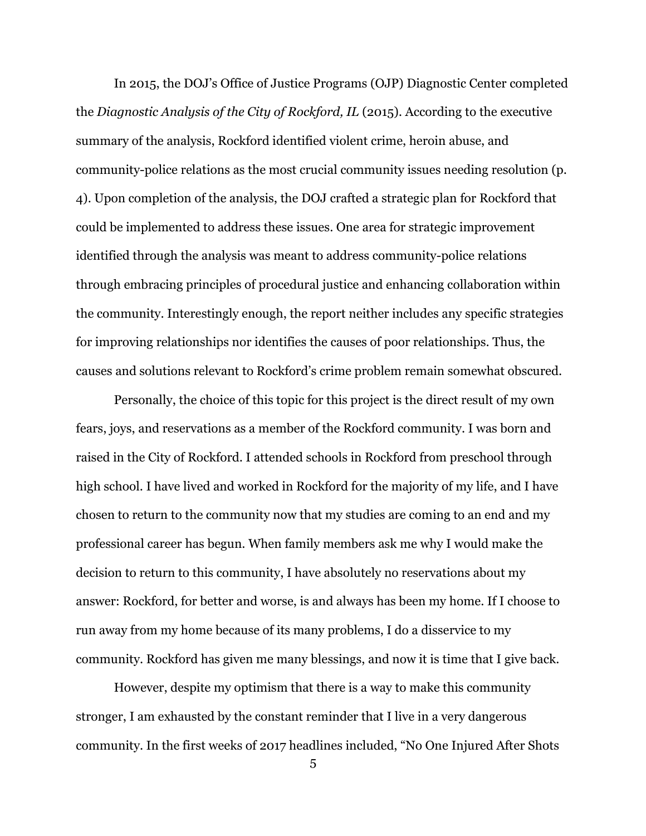In 2015, the DOJ's Office of Justice Programs (OJP) Diagnostic Center completed the *Diagnostic Analysis of the City of Rockford, IL* (2015). According to the executive summary of the analysis, Rockford identified violent crime, heroin abuse, and community-police relations as the most crucial community issues needing resolution (p. 4). Upon completion of the analysis, the DOJ crafted a strategic plan for Rockford that could be implemented to address these issues. One area for strategic improvement identified through the analysis was meant to address community-police relations through embracing principles of procedural justice and enhancing collaboration within the community. Interestingly enough, the report neither includes any specific strategies for improving relationships nor identifies the causes of poor relationships. Thus, the causes and solutions relevant to Rockford's crime problem remain somewhat obscured.

Personally, the choice of this topic for this project is the direct result of my own fears, joys, and reservations as a member of the Rockford community. I was born and raised in the City of Rockford. I attended schools in Rockford from preschool through high school. I have lived and worked in Rockford for the majority of my life, and I have chosen to return to the community now that my studies are coming to an end and my professional career has begun. When family members ask me why I would make the decision to return to this community, I have absolutely no reservations about my answer: Rockford, for better and worse, is and always has been my home. If I choose to run away from my home because of its many problems, I do a disservice to my community. Rockford has given me many blessings, and now it is time that I give back.

However, despite my optimism that there is a way to make this community stronger, I am exhausted by the constant reminder that I live in a very dangerous community. In the first weeks of 2017 headlines included, "No One Injured After Shots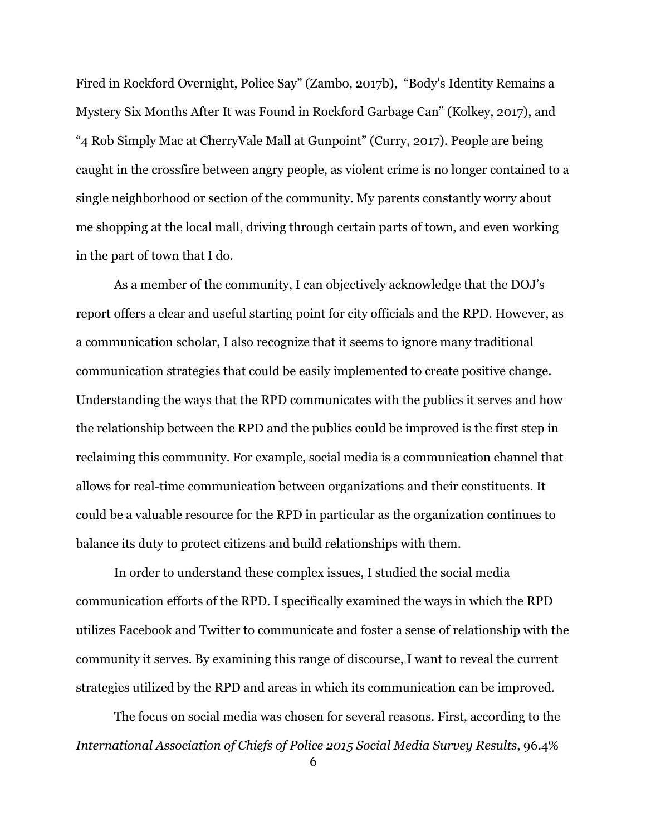Fired in Rockford Overnight, Police Say" (Zambo, 2017b), "Body's Identity Remains a Mystery Six Months After It was Found in Rockford Garbage Can" (Kolkey, 2017), and "4 Rob Simply Mac at CherryVale Mall at Gunpoint" (Curry, 2017). People are being caught in the crossfire between angry people, as violent crime is no longer contained to a single neighborhood or section of the community. My parents constantly worry about me shopping at the local mall, driving through certain parts of town, and even working in the part of town that I do.

As a member of the community, I can objectively acknowledge that the DOJ's report offers a clear and useful starting point for city officials and the RPD. However, as a communication scholar, I also recognize that it seems to ignore many traditional communication strategies that could be easily implemented to create positive change. Understanding the ways that the RPD communicates with the publics it serves and how the relationship between the RPD and the publics could be improved is the first step in reclaiming this community. For example, social media is a communication channel that allows for real-time communication between organizations and their constituents. It could be a valuable resource for the RPD in particular as the organization continues to balance its duty to protect citizens and build relationships with them.

In order to understand these complex issues, I studied the social media communication efforts of the RPD. I specifically examined the ways in which the RPD utilizes Facebook and Twitter to communicate and foster a sense of relationship with the community it serves. By examining this range of discourse, I want to reveal the current strategies utilized by the RPD and areas in which its communication can be improved.

The focus on social media was chosen for several reasons. First, according to the *International Association of Chiefs of Police 2015 Social Media Survey Results*, 96.4%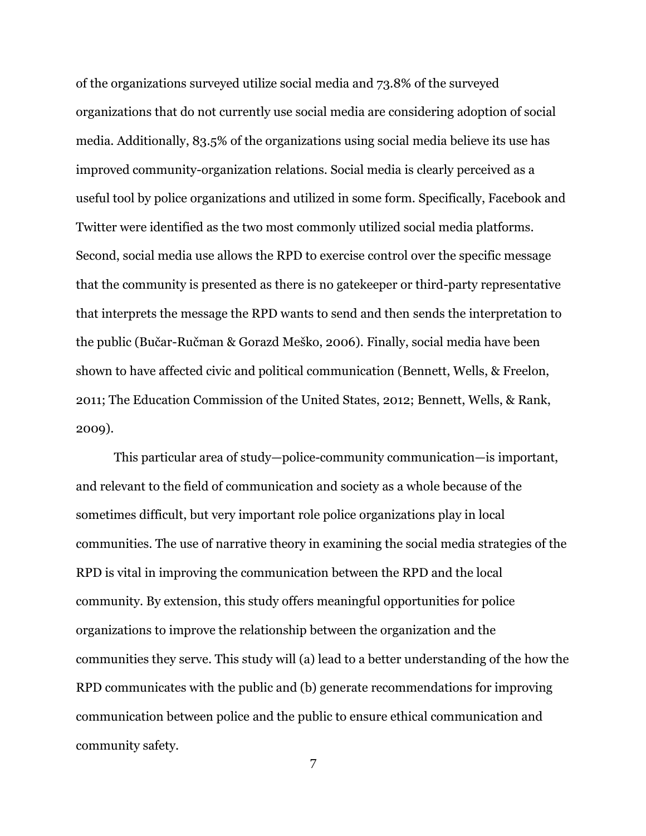of the organizations surveyed utilize social media and 73.8% of the surveyed organizations that do not currently use social media are considering adoption of social media. Additionally, 83.5% of the organizations using social media believe its use has improved community-organization relations. Social media is clearly perceived as a useful tool by police organizations and utilized in some form. Specifically, Facebook and Twitter were identified as the two most commonly utilized social media platforms. Second, social media use allows the RPD to exercise control over the specific message that the community is presented as there is no gatekeeper or third-party representative that interprets the message the RPD wants to send and then sends the interpretation to the public (Bučar-Ručman & Gorazd Meško, 2006). Finally, social media have been shown to have affected civic and political communication (Bennett, Wells, & Freelon, 2011; The Education Commission of the United States, 2012; Bennett, Wells, & Rank, 2009).

This particular area of study—police-community communication—is important, and relevant to the field of communication and society as a whole because of the sometimes difficult, but very important role police organizations play in local communities. The use of narrative theory in examining the social media strategies of the RPD is vital in improving the communication between the RPD and the local community. By extension, this study offers meaningful opportunities for police organizations to improve the relationship between the organization and the communities they serve. This study will (a) lead to a better understanding of the how the RPD communicates with the public and (b) generate recommendations for improving communication between police and the public to ensure ethical communication and community safety.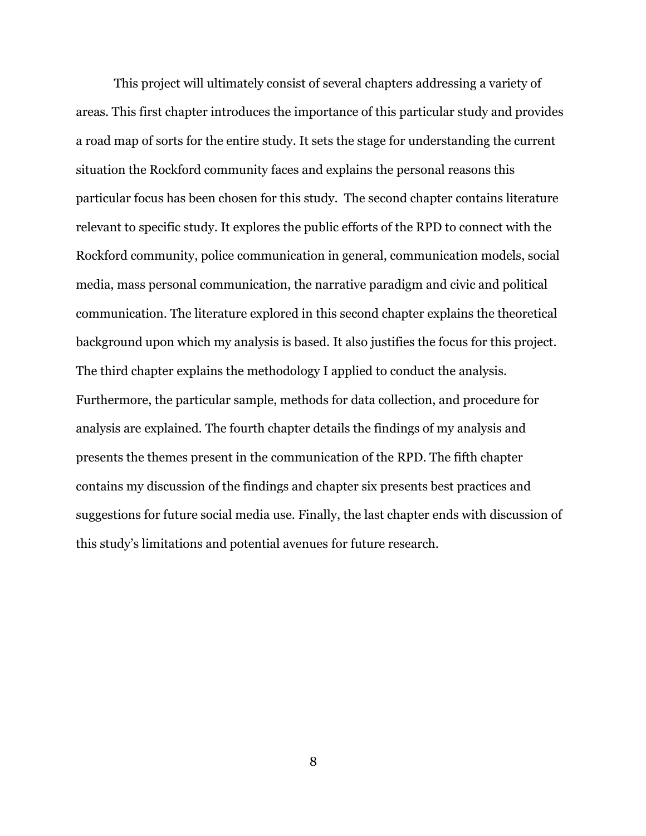This project will ultimately consist of several chapters addressing a variety of areas. This first chapter introduces the importance of this particular study and provides a road map of sorts for the entire study. It sets the stage for understanding the current situation the Rockford community faces and explains the personal reasons this particular focus has been chosen for this study. The second chapter contains literature relevant to specific study. It explores the public efforts of the RPD to connect with the Rockford community, police communication in general, communication models, social media, mass personal communication, the narrative paradigm and civic and political communication. The literature explored in this second chapter explains the theoretical background upon which my analysis is based. It also justifies the focus for this project. The third chapter explains the methodology I applied to conduct the analysis. Furthermore, the particular sample, methods for data collection, and procedure for analysis are explained. The fourth chapter details the findings of my analysis and presents the themes present in the communication of the RPD. The fifth chapter contains my discussion of the findings and chapter six presents best practices and suggestions for future social media use. Finally, the last chapter ends with discussion of this study's limitations and potential avenues for future research.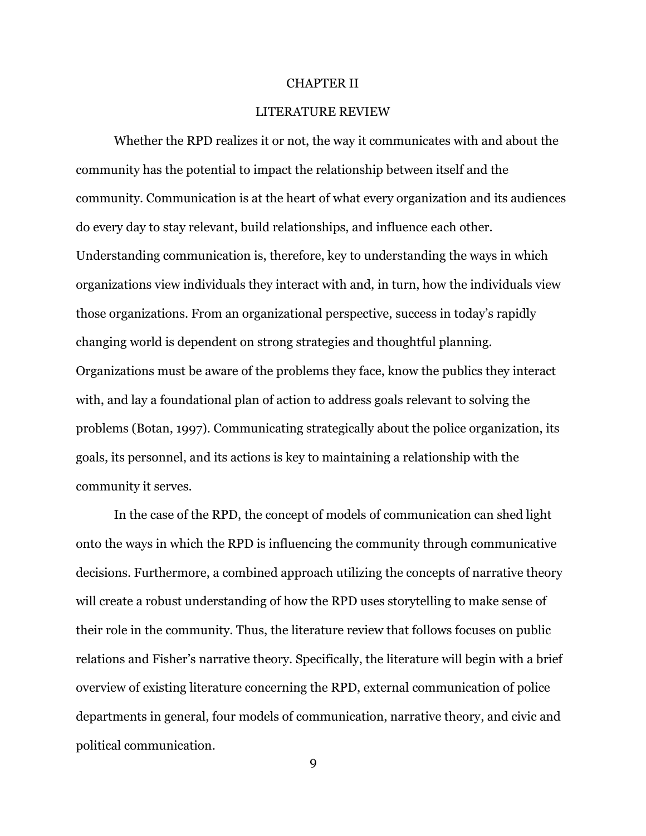#### CHAPTER II

## LITERATURE REVIEW

Whether the RPD realizes it or not, the way it communicates with and about the community has the potential to impact the relationship between itself and the community. Communication is at the heart of what every organization and its audiences do every day to stay relevant, build relationships, and influence each other. Understanding communication is, therefore, key to understanding the ways in which organizations view individuals they interact with and, in turn, how the individuals view those organizations. From an organizational perspective, success in today's rapidly changing world is dependent on strong strategies and thoughtful planning. Organizations must be aware of the problems they face, know the publics they interact with, and lay a foundational plan of action to address goals relevant to solving the problems (Botan, 1997). Communicating strategically about the police organization, its goals, its personnel, and its actions is key to maintaining a relationship with the community it serves.

In the case of the RPD, the concept of models of communication can shed light onto the ways in which the RPD is influencing the community through communicative decisions. Furthermore, a combined approach utilizing the concepts of narrative theory will create a robust understanding of how the RPD uses storytelling to make sense of their role in the community. Thus, the literature review that follows focuses on public relations and Fisher's narrative theory. Specifically, the literature will begin with a brief overview of existing literature concerning the RPD, external communication of police departments in general, four models of communication, narrative theory, and civic and political communication.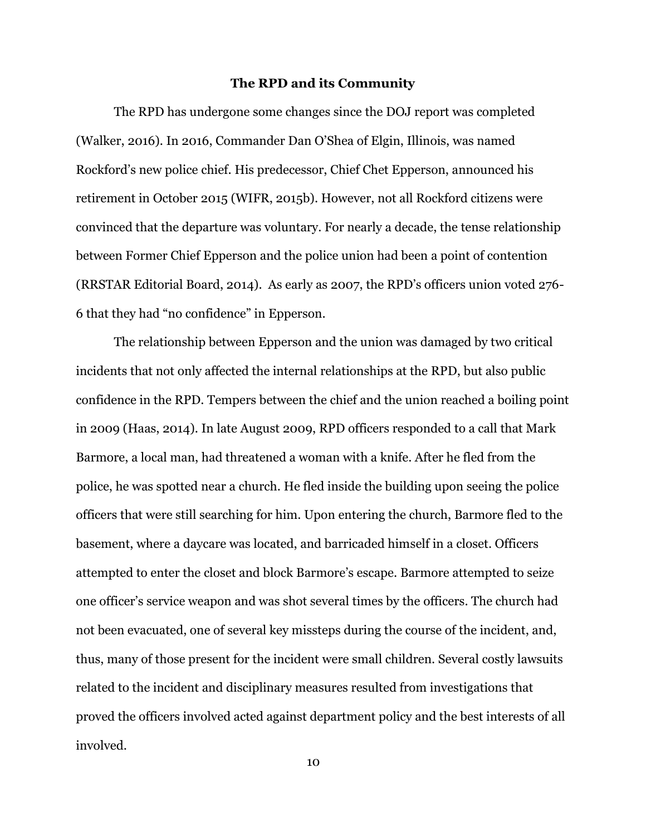#### **The RPD and its Community**

The RPD has undergone some changes since the DOJ report was completed (Walker, 2016). In 2016, Commander Dan O'Shea of Elgin, Illinois, was named Rockford's new police chief. His predecessor, Chief Chet Epperson, announced his retirement in October 2015 (WIFR, 2015b). However, not all Rockford citizens were convinced that the departure was voluntary. For nearly a decade, the tense relationship between Former Chief Epperson and the police union had been a point of contention (RRSTAR Editorial Board, 2014). As early as 2007, the RPD's officers union voted 276- 6 that they had "no confidence" in Epperson.

The relationship between Epperson and the union was damaged by two critical incidents that not only affected the internal relationships at the RPD, but also public confidence in the RPD. Tempers between the chief and the union reached a boiling point in 2009 (Haas, 2014). In late August 2009, RPD officers responded to a call that Mark Barmore, a local man, had threatened a woman with a knife. After he fled from the police, he was spotted near a church. He fled inside the building upon seeing the police officers that were still searching for him. Upon entering the church, Barmore fled to the basement, where a daycare was located, and barricaded himself in a closet. Officers attempted to enter the closet and block Barmore's escape. Barmore attempted to seize one officer's service weapon and was shot several times by the officers. The church had not been evacuated, one of several key missteps during the course of the incident, and, thus, many of those present for the incident were small children. Several costly lawsuits related to the incident and disciplinary measures resulted from investigations that proved the officers involved acted against department policy and the best interests of all involved.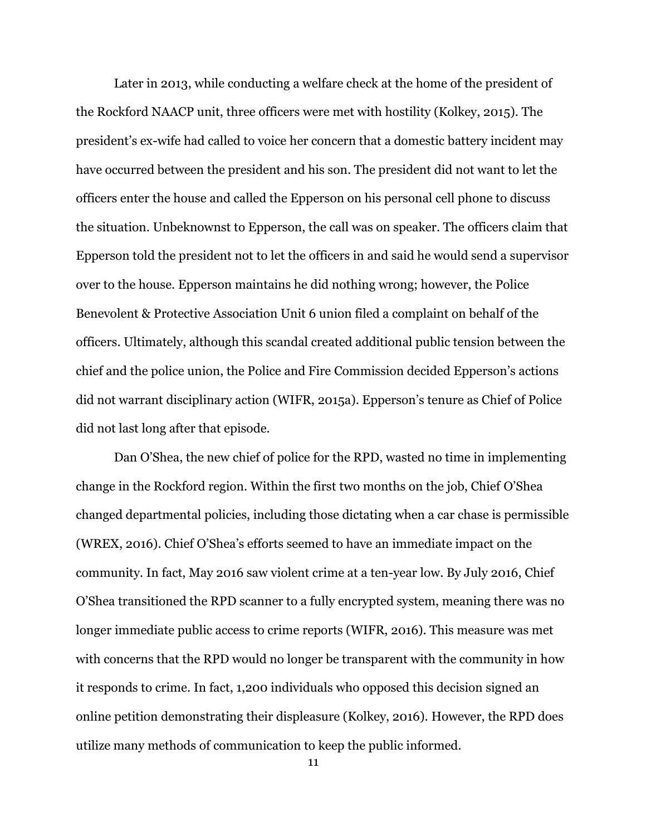Later in 2013, while conducting a welfare check at the home of the president of the Rockford NAACP unit, three officers were met with hostility (Kolkey, 2015). The president's ex-wife had called to voice her concern that a domestic battery incident may have occurred between the president and his son. The president did not want to let the officers enter the house and called the Epperson on his personal cell phone to discuss the situation. Unbeknownst to Epperson, the call was on speaker. The officers claim that Epperson told the president not to let the officers in and said he would send a supervisor over to the house. Epperson maintains he did nothing wrong; however, the Police Benevolent & Protective Association Unit 6 union filed a complaint on behalf of the officers. Ultimately, although this scandal created additional public tension between the chief and the police union, the Police and Fire Commission decided Epperson's actions did not warrant disciplinary action (WIFR, 2015a). Epperson's tenure as Chief of Police did not last long after that episode.

Dan O'Shea, the new chief of police for the RPD, wasted no time in implementing change in the Rockford region. Within the first two months on the job, Chief O'Shea changed departmental policies, including those dictating when a car chase is permissible (WREX, 2016). Chief O'Shea's efforts seemed to have an immediate impact on the community. In fact, May 2016 saw violent crime at a ten-year low. By July 2016, Chief O'Shea transitioned the RPD scanner to a fully encrypted system, meaning there was no longer immediate public access to crime reports (WIFR, 2016). This measure was met with concerns that the RPD would no longer be transparent with the community in how it responds to crime. In fact, 1,200 individuals who opposed this decision signed an online petition demonstrating their displeasure (Kolkey, 2016). However, the RPD does utilize many methods of communication to keep the public informed.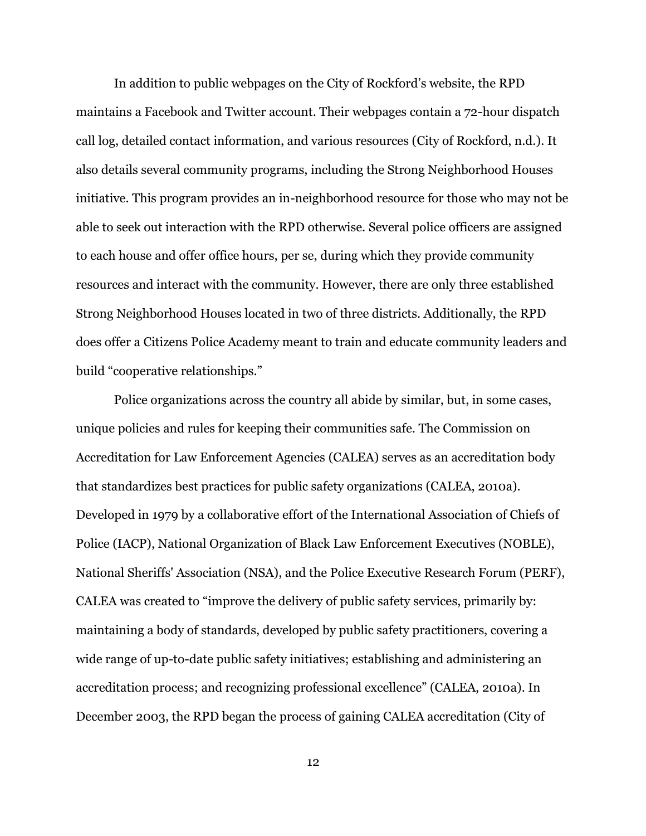In addition to public webpages on the City of Rockford's website, the RPD maintains a Facebook and Twitter account. Their webpages contain a 72-hour dispatch call log, detailed contact information, and various resources (City of Rockford, n.d.). It also details several community programs, including the Strong Neighborhood Houses initiative. This program provides an in-neighborhood resource for those who may not be able to seek out interaction with the RPD otherwise. Several police officers are assigned to each house and offer office hours, per se, during which they provide community resources and interact with the community. However, there are only three established Strong Neighborhood Houses located in two of three districts. Additionally, the RPD does offer a Citizens Police Academy meant to train and educate community leaders and build "cooperative relationships."

Police organizations across the country all abide by similar, but, in some cases, unique policies and rules for keeping their communities safe. The Commission on Accreditation for Law Enforcement Agencies (CALEA) serves as an accreditation body that standardizes best practices for public safety organizations (CALEA, 2010a). Developed in 1979 by a collaborative effort of the International Association of Chiefs of Police (IACP), National Organization of Black Law Enforcement Executives (NOBLE), National Sheriffs' Association (NSA), and the Police Executive Research Forum (PERF), CALEA was created to "improve the delivery of public safety services, primarily by: maintaining a body of standards, developed by public safety practitioners, covering a wide range of up-to-date public safety initiatives; establishing and administering an accreditation process; and recognizing professional excellence" (CALEA, 2010a). In December 2003, the RPD began the process of gaining CALEA accreditation (City of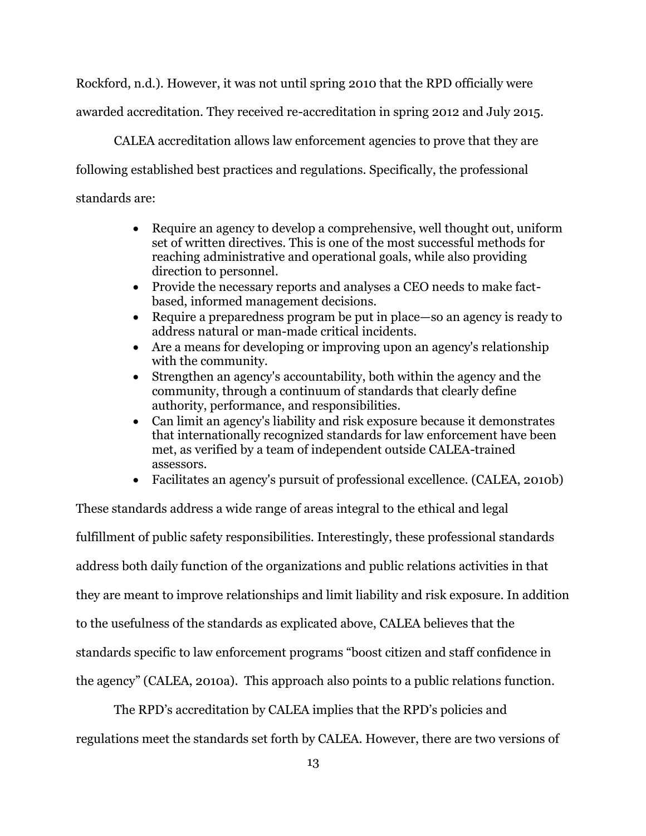Rockford, n.d.). However, it was not until spring 2010 that the RPD officially were awarded accreditation. They received re-accreditation in spring 2012 and July 2015.

CALEA accreditation allows law enforcement agencies to prove that they are following established best practices and regulations. Specifically, the professional standards are:

- Require an agency to develop a comprehensive, well thought out, uniform set of written directives. This is one of the most successful methods for reaching administrative and operational goals, while also providing direction to personnel.
- Provide the necessary reports and analyses a CEO needs to make factbased, informed management decisions.
- Require a preparedness program be put in place—so an agency is ready to address natural or man-made critical incidents.
- Are a means for developing or improving upon an agency's relationship with the community.
- Strengthen an agency's accountability, both within the agency and the community, through a continuum of standards that clearly define authority, performance, and responsibilities.
- Can limit an agency's liability and risk exposure because it demonstrates that internationally recognized standards for law enforcement have been met, as verified by a team of independent outside CALEA-trained assessors.
- Facilitates an agency's pursuit of professional excellence. (CALEA, 2010b)

These standards address a wide range of areas integral to the ethical and legal fulfillment of public safety responsibilities. Interestingly, these professional standards address both daily function of the organizations and public relations activities in that they are meant to improve relationships and limit liability and risk exposure. In addition to the usefulness of the standards as explicated above, CALEA believes that the standards specific to law enforcement programs "boost citizen and staff confidence in the agency" (CALEA, 2010a). This approach also points to a public relations function.

The RPD's accreditation by CALEA implies that the RPD's policies and regulations meet the standards set forth by CALEA. However, there are two versions of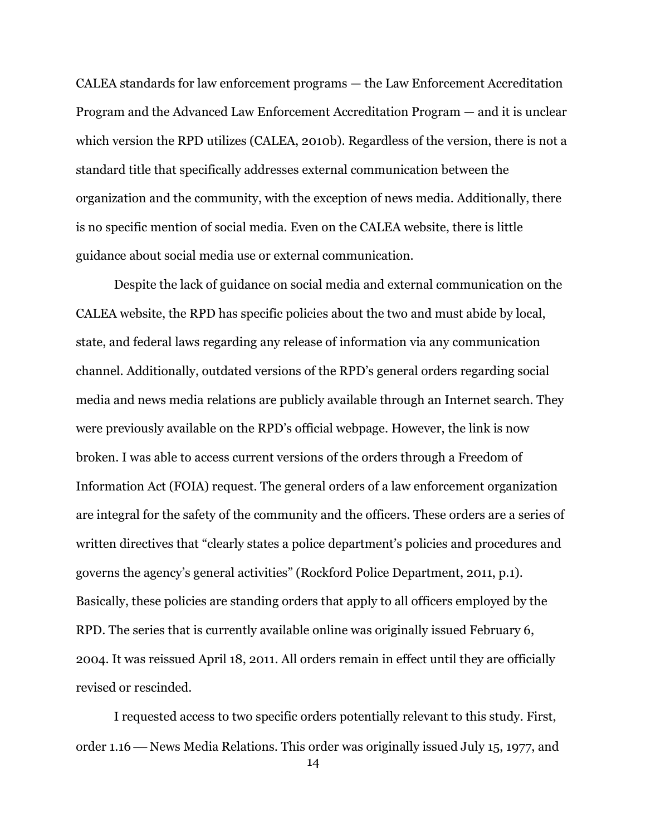CALEA standards for law enforcement programs — the Law Enforcement Accreditation Program and the Advanced Law Enforcement Accreditation Program — and it is unclear which version the RPD utilizes (CALEA, 2010b). Regardless of the version, there is not a standard title that specifically addresses external communication between the organization and the community, with the exception of news media. Additionally, there is no specific mention of social media. Even on the CALEA website, there is little guidance about social media use or external communication.

Despite the lack of guidance on social media and external communication on the CALEA website, the RPD has specific policies about the two and must abide by local, state, and federal laws regarding any release of information via any communication channel. Additionally, outdated versions of the RPD's general orders regarding social media and news media relations are publicly available through an Internet search. They were previously available on the RPD's official webpage. However, the link is now broken. I was able to access current versions of the orders through a Freedom of Information Act (FOIA) request. The general orders of a law enforcement organization are integral for the safety of the community and the officers. These orders are a series of written directives that "clearly states a police department's policies and procedures and governs the agency's general activities" (Rockford Police Department, 2011, p.1). Basically, these policies are standing orders that apply to all officers employed by the RPD. The series that is currently available online was originally issued February 6, 2004. It was reissued April 18, 2011. All orders remain in effect until they are officially revised or rescinded.

I requested access to two specific orders potentially relevant to this study. First, order 1.16 — News Media Relations. This order was originally issued July 15, 1977, and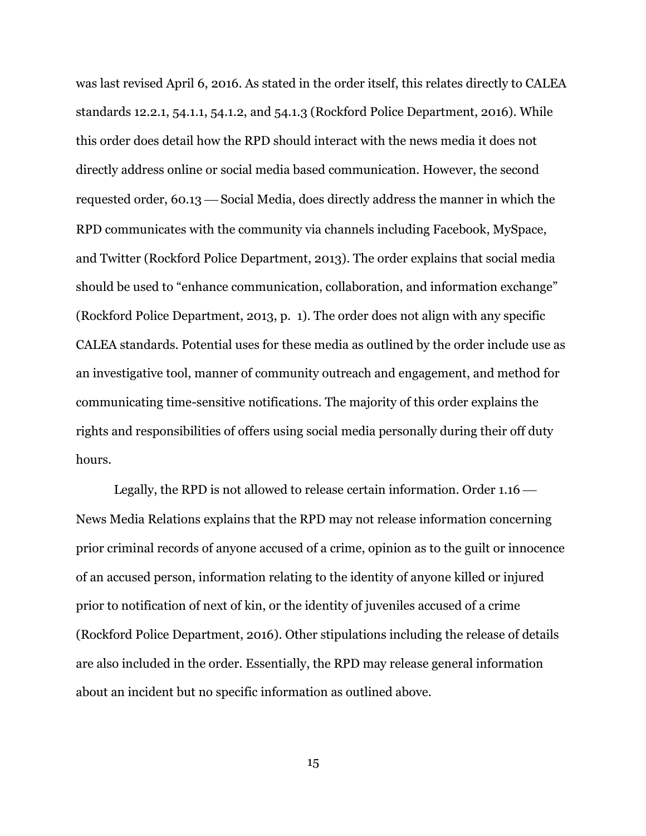was last revised April 6, 2016. As stated in the order itself, this relates directly to CALEA standards 12.2.1, 54.1.1, 54.1.2, and 54.1.3 (Rockford Police Department, 2016). While this order does detail how the RPD should interact with the news media it does not directly address online or social media based communication. However, the second requested order, 60.13 — Social Media, does directly address the manner in which the RPD communicates with the community via channels including Facebook, MySpace, and Twitter (Rockford Police Department, 2013). The order explains that social media should be used to "enhance communication, collaboration, and information exchange" (Rockford Police Department, 2013, p. 1). The order does not align with any specific CALEA standards. Potential uses for these media as outlined by the order include use as an investigative tool, manner of community outreach and engagement, and method for communicating time-sensitive notifications. The majority of this order explains the rights and responsibilities of offers using social media personally during their off duty hours.

Legally, the RPD is not allowed to release certain information. Order 1.16 News Media Relations explains that the RPD may not release information concerning prior criminal records of anyone accused of a crime, opinion as to the guilt or innocence of an accused person, information relating to the identity of anyone killed or injured prior to notification of next of kin, or the identity of juveniles accused of a crime (Rockford Police Department, 2016). Other stipulations including the release of details are also included in the order. Essentially, the RPD may release general information about an incident but no specific information as outlined above.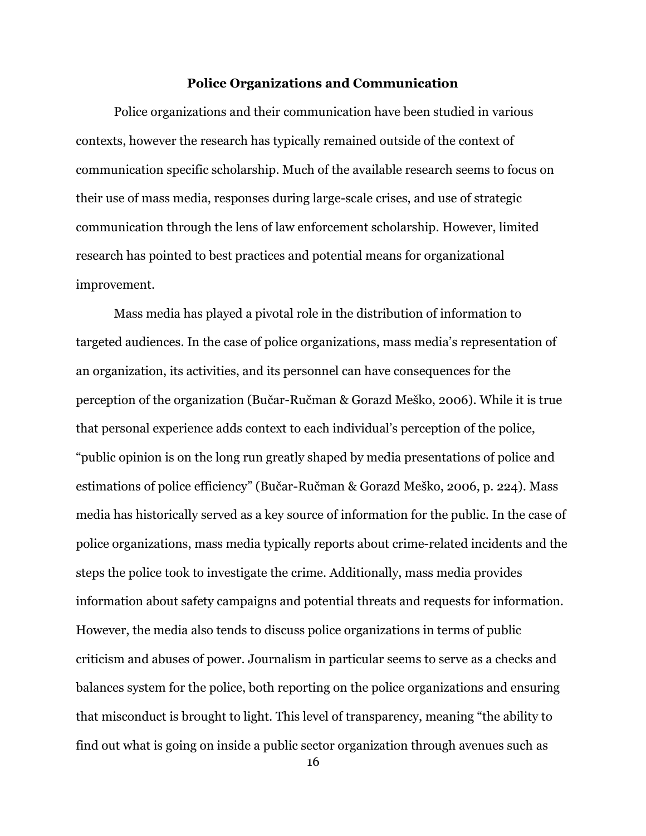## **Police Organizations and Communication**

Police organizations and their communication have been studied in various contexts, however the research has typically remained outside of the context of communication specific scholarship. Much of the available research seems to focus on their use of mass media, responses during large-scale crises, and use of strategic communication through the lens of law enforcement scholarship. However, limited research has pointed to best practices and potential means for organizational improvement.

Mass media has played a pivotal role in the distribution of information to targeted audiences. In the case of police organizations, mass media's representation of an organization, its activities, and its personnel can have consequences for the perception of the organization (Bučar-Ručman & Gorazd Meško, 2006). While it is true that personal experience adds context to each individual's perception of the police, "public opinion is on the long run greatly shaped by media presentations of police and estimations of police efficiency" (Bučar-Ručman & Gorazd Meško, 2006, p. 224). Mass media has historically served as a key source of information for the public. In the case of police organizations, mass media typically reports about crime-related incidents and the steps the police took to investigate the crime. Additionally, mass media provides information about safety campaigns and potential threats and requests for information. However, the media also tends to discuss police organizations in terms of public criticism and abuses of power. Journalism in particular seems to serve as a checks and balances system for the police, both reporting on the police organizations and ensuring that misconduct is brought to light. This level of transparency, meaning "the ability to find out what is going on inside a public sector organization through avenues such as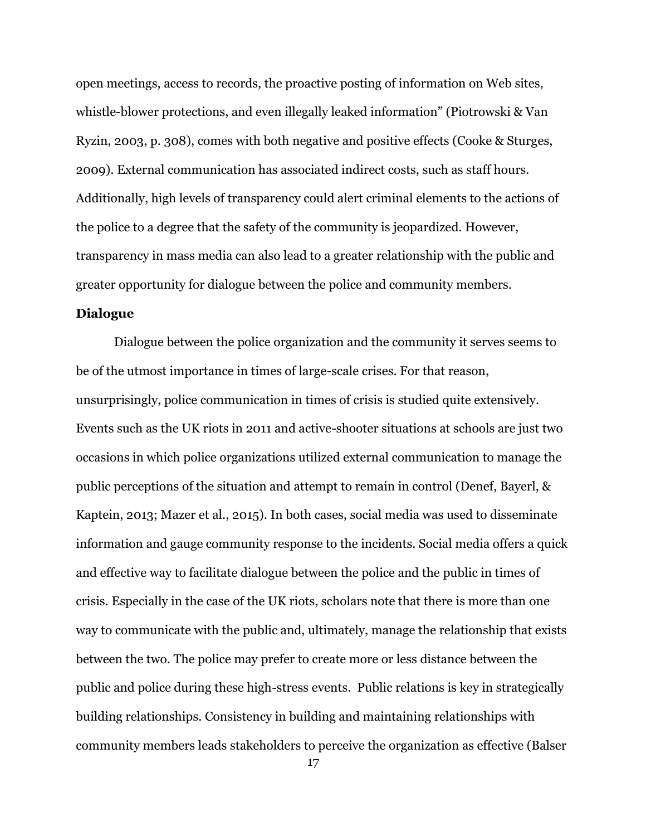open meetings, access to records, the proactive posting of information on Web sites, whistle-blower protections, and even illegally leaked information" (Piotrowski & Van Ryzin, 2003, p. 308), comes with both negative and positive effects (Cooke & Sturges, 2009). External communication has associated indirect costs, such as staff hours. Additionally, high levels of transparency could alert criminal elements to the actions of the police to a degree that the safety of the community is jeopardized. However, transparency in mass media can also lead to a greater relationship with the public and greater opportunity for dialogue between the police and community members.

# **Dialogue**

Dialogue between the police organization and the community it serves seems to be of the utmost importance in times of large-scale crises. For that reason, unsurprisingly, police communication in times of crisis is studied quite extensively. Events such as the UK riots in 2011 and active-shooter situations at schools are just two occasions in which police organizations utilized external communication to manage the public perceptions of the situation and attempt to remain in control (Denef, Bayerl, & Kaptein, 2013; Mazer et al., 2015). In both cases, social media was used to disseminate information and gauge community response to the incidents. Social media offers a quick and effective way to facilitate dialogue between the police and the public in times of crisis. Especially in the case of the UK riots, scholars note that there is more than one way to communicate with the public and, ultimately, manage the relationship that exists between the two. The police may prefer to create more or less distance between the public and police during these high-stress events. Public relations is key in strategically building relationships. Consistency in building and maintaining relationships with community members leads stakeholders to perceive the organization as effective (Balser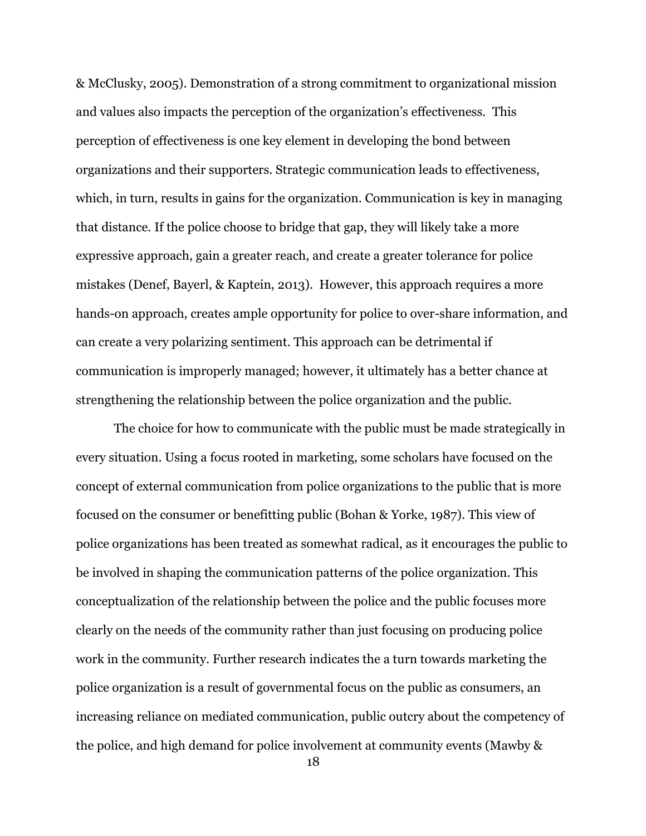& McClusky, 2005). Demonstration of a strong commitment to organizational mission and values also impacts the perception of the organization's effectiveness. This perception of effectiveness is one key element in developing the bond between organizations and their supporters. Strategic communication leads to effectiveness, which, in turn, results in gains for the organization. Communication is key in managing that distance. If the police choose to bridge that gap, they will likely take a more expressive approach, gain a greater reach, and create a greater tolerance for police mistakes (Denef, Bayerl, & Kaptein, 2013). However, this approach requires a more hands-on approach, creates ample opportunity for police to over-share information, and can create a very polarizing sentiment. This approach can be detrimental if communication is improperly managed; however, it ultimately has a better chance at strengthening the relationship between the police organization and the public.

The choice for how to communicate with the public must be made strategically in every situation. Using a focus rooted in marketing, some scholars have focused on the concept of external communication from police organizations to the public that is more focused on the consumer or benefitting public (Bohan & Yorke, 1987). This view of police organizations has been treated as somewhat radical, as it encourages the public to be involved in shaping the communication patterns of the police organization. This conceptualization of the relationship between the police and the public focuses more clearly on the needs of the community rather than just focusing on producing police work in the community. Further research indicates the a turn towards marketing the police organization is a result of governmental focus on the public as consumers, an increasing reliance on mediated communication, public outcry about the competency of the police, and high demand for police involvement at community events (Mawby &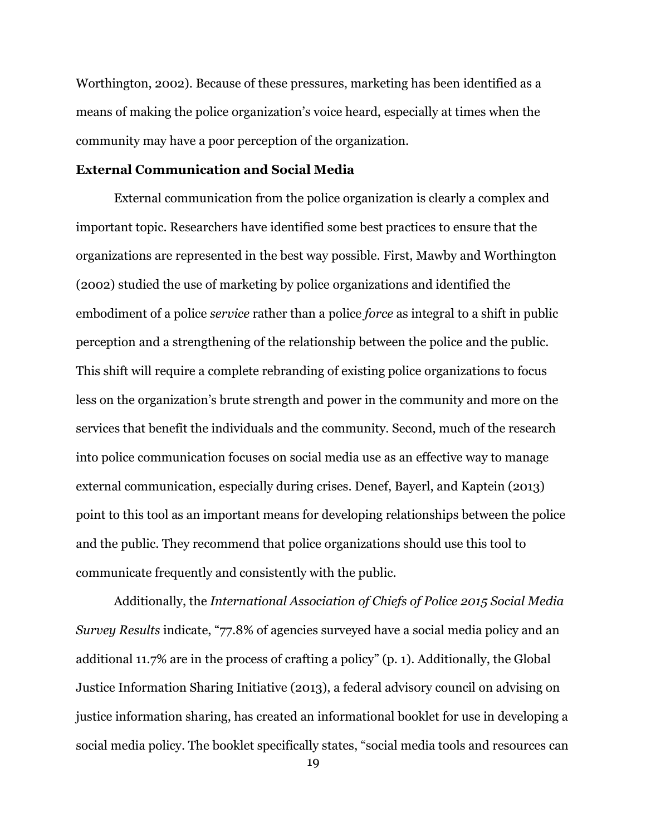Worthington, 2002). Because of these pressures, marketing has been identified as a means of making the police organization's voice heard, especially at times when the community may have a poor perception of the organization.

# **External Communication and Social Media**

External communication from the police organization is clearly a complex and important topic. Researchers have identified some best practices to ensure that the organizations are represented in the best way possible. First, Mawby and Worthington (2002) studied the use of marketing by police organizations and identified the embodiment of a police *service* rather than a police *force* as integral to a shift in public perception and a strengthening of the relationship between the police and the public. This shift will require a complete rebranding of existing police organizations to focus less on the organization's brute strength and power in the community and more on the services that benefit the individuals and the community. Second, much of the research into police communication focuses on social media use as an effective way to manage external communication, especially during crises. Denef, Bayerl, and Kaptein (2013) point to this tool as an important means for developing relationships between the police and the public. They recommend that police organizations should use this tool to communicate frequently and consistently with the public.

Additionally, the *International Association of Chiefs of Police 2015 Social Media Survey Results* indicate, "77.8% of agencies surveyed have a social media policy and an additional 11.7% are in the process of crafting a policy" (p. 1). Additionally, the Global Justice Information Sharing Initiative (2013), a federal advisory council on advising on justice information sharing, has created an informational booklet for use in developing a social media policy. The booklet specifically states, "social media tools and resources can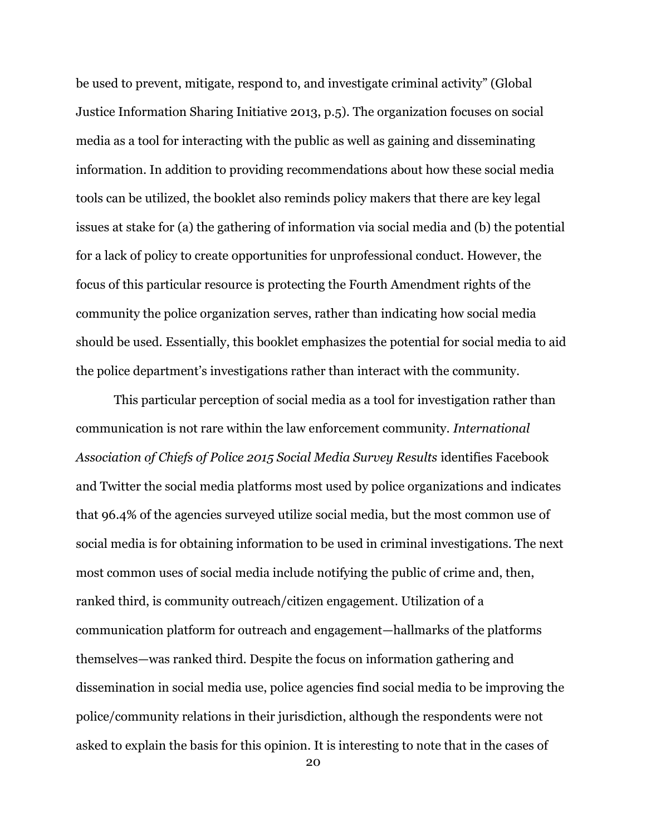be used to prevent, mitigate, respond to, and investigate criminal activity" (Global Justice Information Sharing Initiative 2013, p.5). The organization focuses on social media as a tool for interacting with the public as well as gaining and disseminating information. In addition to providing recommendations about how these social media tools can be utilized, the booklet also reminds policy makers that there are key legal issues at stake for (a) the gathering of information via social media and (b) the potential for a lack of policy to create opportunities for unprofessional conduct. However, the focus of this particular resource is protecting the Fourth Amendment rights of the community the police organization serves, rather than indicating how social media should be used. Essentially, this booklet emphasizes the potential for social media to aid the police department's investigations rather than interact with the community.

This particular perception of social media as a tool for investigation rather than communication is not rare within the law enforcement community. *International Association of Chiefs of Police 2015 Social Media Survey Results* identifies Facebook and Twitter the social media platforms most used by police organizations and indicates that 96.4% of the agencies surveyed utilize social media, but the most common use of social media is for obtaining information to be used in criminal investigations. The next most common uses of social media include notifying the public of crime and, then, ranked third, is community outreach/citizen engagement. Utilization of a communication platform for outreach and engagement—hallmarks of the platforms themselves—was ranked third. Despite the focus on information gathering and dissemination in social media use, police agencies find social media to be improving the police/community relations in their jurisdiction, although the respondents were not asked to explain the basis for this opinion. It is interesting to note that in the cases of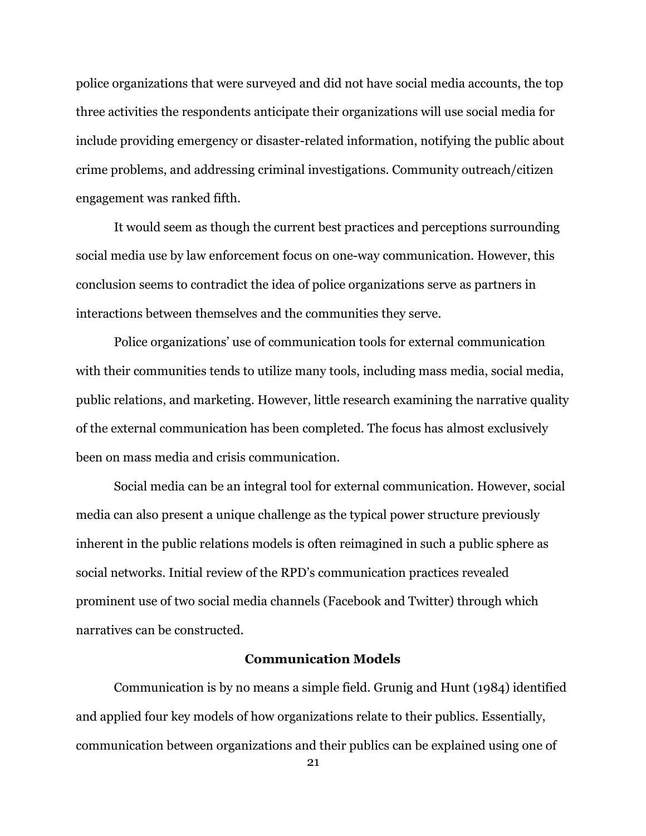police organizations that were surveyed and did not have social media accounts, the top three activities the respondents anticipate their organizations will use social media for include providing emergency or disaster-related information, notifying the public about crime problems, and addressing criminal investigations. Community outreach/citizen engagement was ranked fifth.

It would seem as though the current best practices and perceptions surrounding social media use by law enforcement focus on one-way communication. However, this conclusion seems to contradict the idea of police organizations serve as partners in interactions between themselves and the communities they serve.

Police organizations' use of communication tools for external communication with their communities tends to utilize many tools, including mass media, social media, public relations, and marketing. However, little research examining the narrative quality of the external communication has been completed. The focus has almost exclusively been on mass media and crisis communication.

Social media can be an integral tool for external communication. However, social media can also present a unique challenge as the typical power structure previously inherent in the public relations models is often reimagined in such a public sphere as social networks. Initial review of the RPD's communication practices revealed prominent use of two social media channels (Facebook and Twitter) through which narratives can be constructed.

## **Communication Models**

Communication is by no means a simple field. Grunig and Hunt (1984) identified and applied four key models of how organizations relate to their publics. Essentially, communication between organizations and their publics can be explained using one of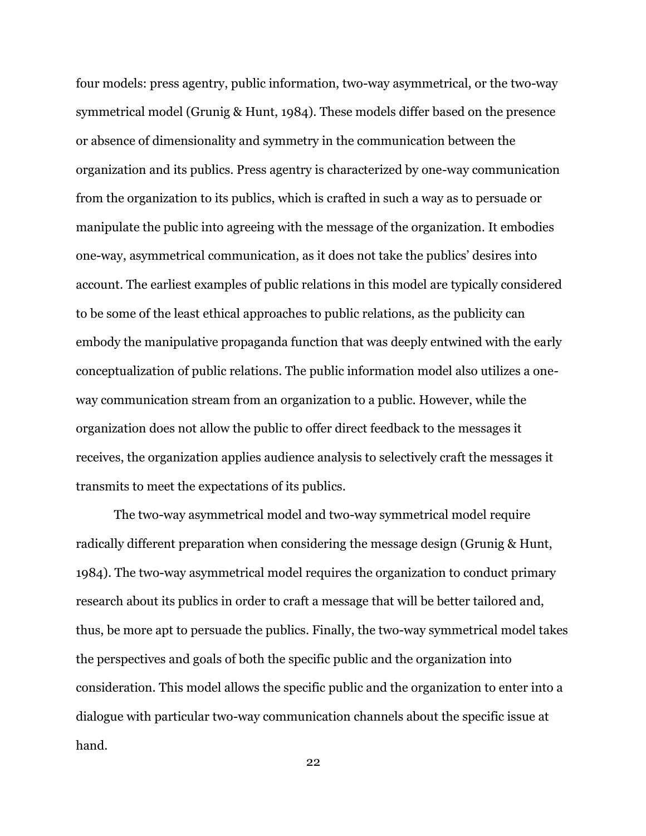four models: press agentry, public information, two-way asymmetrical, or the two-way symmetrical model (Grunig & Hunt, 1984). These models differ based on the presence or absence of dimensionality and symmetry in the communication between the organization and its publics. Press agentry is characterized by one-way communication from the organization to its publics, which is crafted in such a way as to persuade or manipulate the public into agreeing with the message of the organization. It embodies one-way, asymmetrical communication, as it does not take the publics' desires into account. The earliest examples of public relations in this model are typically considered to be some of the least ethical approaches to public relations, as the publicity can embody the manipulative propaganda function that was deeply entwined with the early conceptualization of public relations. The public information model also utilizes a oneway communication stream from an organization to a public. However, while the organization does not allow the public to offer direct feedback to the messages it receives, the organization applies audience analysis to selectively craft the messages it transmits to meet the expectations of its publics.

The two-way asymmetrical model and two-way symmetrical model require radically different preparation when considering the message design (Grunig & Hunt, 1984). The two-way asymmetrical model requires the organization to conduct primary research about its publics in order to craft a message that will be better tailored and, thus, be more apt to persuade the publics. Finally, the two-way symmetrical model takes the perspectives and goals of both the specific public and the organization into consideration. This model allows the specific public and the organization to enter into a dialogue with particular two-way communication channels about the specific issue at hand.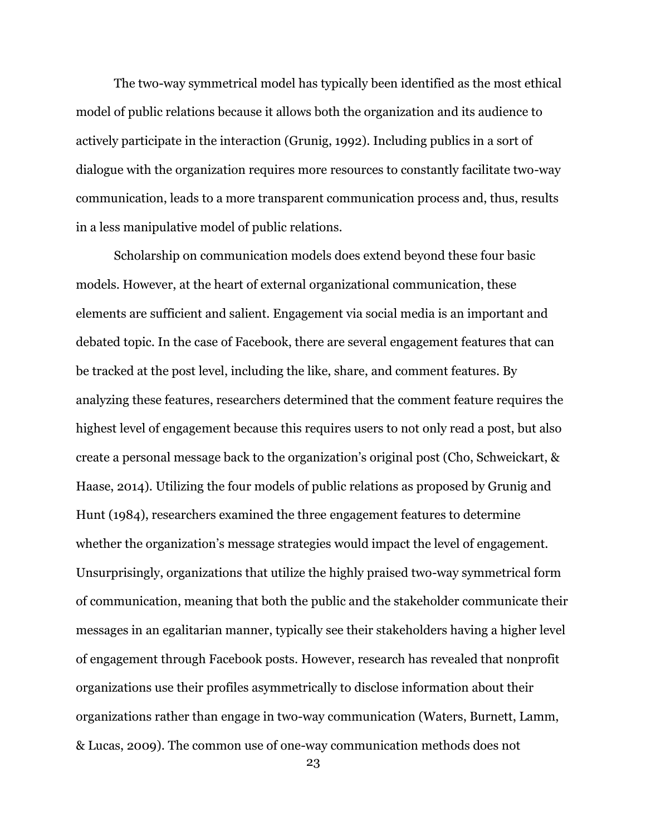The two-way symmetrical model has typically been identified as the most ethical model of public relations because it allows both the organization and its audience to actively participate in the interaction (Grunig, 1992). Including publics in a sort of dialogue with the organization requires more resources to constantly facilitate two-way communication, leads to a more transparent communication process and, thus, results in a less manipulative model of public relations.

Scholarship on communication models does extend beyond these four basic models. However, at the heart of external organizational communication, these elements are sufficient and salient. Engagement via social media is an important and debated topic. In the case of Facebook, there are several engagement features that can be tracked at the post level, including the like, share, and comment features. By analyzing these features, researchers determined that the comment feature requires the highest level of engagement because this requires users to not only read a post, but also create a personal message back to the organization's original post (Cho, Schweickart, & Haase, 2014). Utilizing the four models of public relations as proposed by Grunig and Hunt (1984), researchers examined the three engagement features to determine whether the organization's message strategies would impact the level of engagement. Unsurprisingly, organizations that utilize the highly praised two-way symmetrical form of communication, meaning that both the public and the stakeholder communicate their messages in an egalitarian manner, typically see their stakeholders having a higher level of engagement through Facebook posts. However, research has revealed that nonprofit organizations use their profiles asymmetrically to disclose information about their organizations rather than engage in two-way communication (Waters, Burnett, Lamm, & Lucas, 2009). The common use of one-way communication methods does not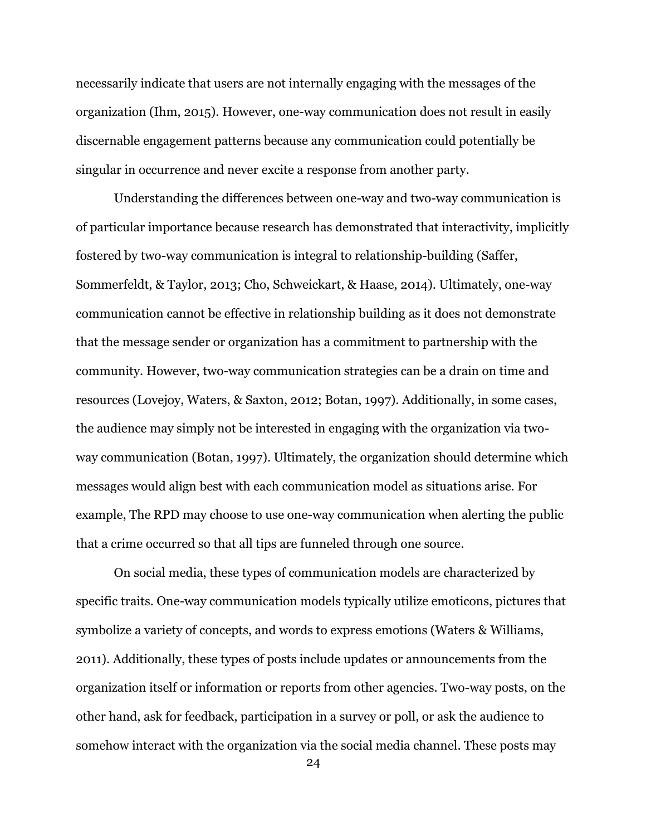necessarily indicate that users are not internally engaging with the messages of the organization (Ihm, 2015). However, one-way communication does not result in easily discernable engagement patterns because any communication could potentially be singular in occurrence and never excite a response from another party.

Understanding the differences between one-way and two-way communication is of particular importance because research has demonstrated that interactivity, implicitly fostered by two-way communication is integral to relationship-building (Saffer, Sommerfeldt, & Taylor, 2013; Cho, Schweickart, & Haase, 2014). Ultimately, one-way communication cannot be effective in relationship building as it does not demonstrate that the message sender or organization has a commitment to partnership with the community. However, two-way communication strategies can be a drain on time and resources (Lovejoy, Waters, & Saxton, 2012; Botan, 1997). Additionally, in some cases, the audience may simply not be interested in engaging with the organization via twoway communication (Botan, 1997). Ultimately, the organization should determine which messages would align best with each communication model as situations arise. For example, The RPD may choose to use one-way communication when alerting the public that a crime occurred so that all tips are funneled through one source.

On social media, these types of communication models are characterized by specific traits. One-way communication models typically utilize emoticons, pictures that symbolize a variety of concepts, and words to express emotions (Waters & Williams, 2011). Additionally, these types of posts include updates or announcements from the organization itself or information or reports from other agencies. Two-way posts, on the other hand, ask for feedback, participation in a survey or poll, or ask the audience to somehow interact with the organization via the social media channel. These posts may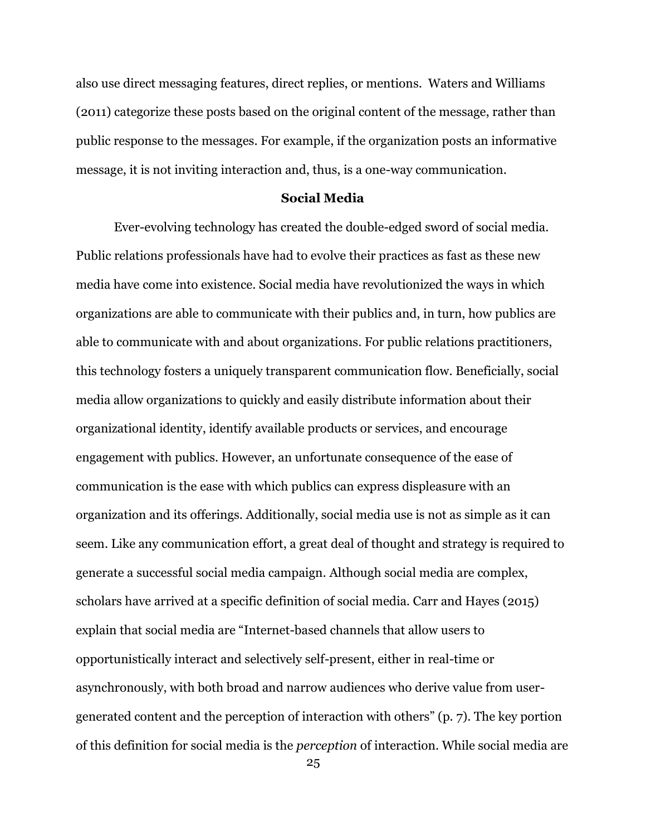also use direct messaging features, direct replies, or mentions. Waters and Williams (2011) categorize these posts based on the original content of the message, rather than public response to the messages. For example, if the organization posts an informative message, it is not inviting interaction and, thus, is a one-way communication.

## **Social Media**

Ever-evolving technology has created the double-edged sword of social media. Public relations professionals have had to evolve their practices as fast as these new media have come into existence. Social media have revolutionized the ways in which organizations are able to communicate with their publics and, in turn, how publics are able to communicate with and about organizations. For public relations practitioners, this technology fosters a uniquely transparent communication flow. Beneficially, social media allow organizations to quickly and easily distribute information about their organizational identity, identify available products or services, and encourage engagement with publics. However, an unfortunate consequence of the ease of communication is the ease with which publics can express displeasure with an organization and its offerings. Additionally, social media use is not as simple as it can seem. Like any communication effort, a great deal of thought and strategy is required to generate a successful social media campaign. Although social media are complex, scholars have arrived at a specific definition of social media. Carr and Hayes (2015) explain that social media are "Internet-based channels that allow users to opportunistically interact and selectively self-present, either in real-time or asynchronously, with both broad and narrow audiences who derive value from usergenerated content and the perception of interaction with others" (p. 7). The key portion of this definition for social media is the *perception* of interaction. While social media are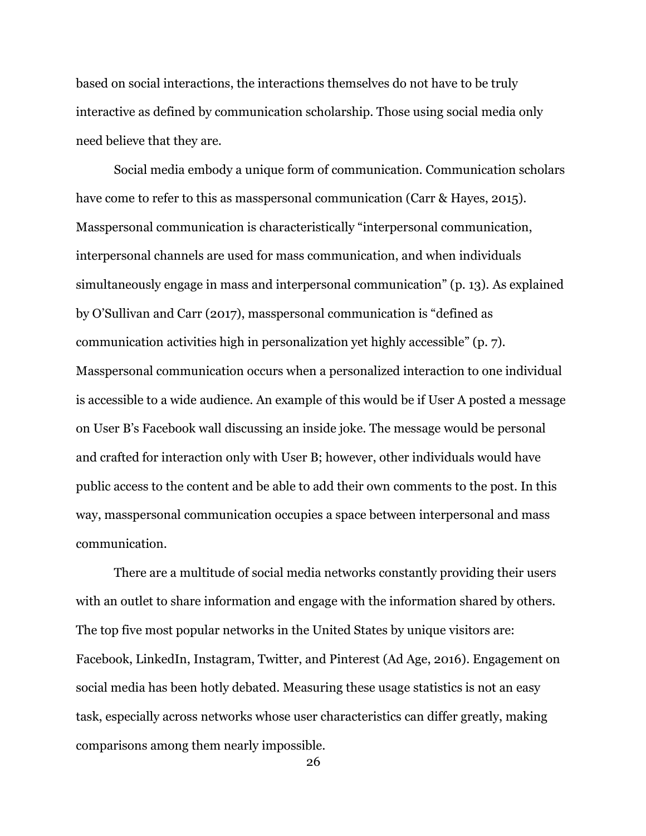based on social interactions, the interactions themselves do not have to be truly interactive as defined by communication scholarship. Those using social media only need believe that they are.

Social media embody a unique form of communication. Communication scholars have come to refer to this as masspersonal communication (Carr & Hayes, 2015). Masspersonal communication is characteristically "interpersonal communication, interpersonal channels are used for mass communication, and when individuals simultaneously engage in mass and interpersonal communication" (p. 13). As explained by O'Sullivan and Carr (2017), masspersonal communication is "defined as communication activities high in personalization yet highly accessible" (p. 7). Masspersonal communication occurs when a personalized interaction to one individual is accessible to a wide audience. An example of this would be if User A posted a message on User B's Facebook wall discussing an inside joke. The message would be personal and crafted for interaction only with User B; however, other individuals would have public access to the content and be able to add their own comments to the post. In this way, masspersonal communication occupies a space between interpersonal and mass communication.

There are a multitude of social media networks constantly providing their users with an outlet to share information and engage with the information shared by others. The top five most popular networks in the United States by unique visitors are: Facebook, LinkedIn, Instagram, Twitter, and Pinterest (Ad Age, 2016). Engagement on social media has been hotly debated. Measuring these usage statistics is not an easy task, especially across networks whose user characteristics can differ greatly, making comparisons among them nearly impossible.

<sup>26</sup>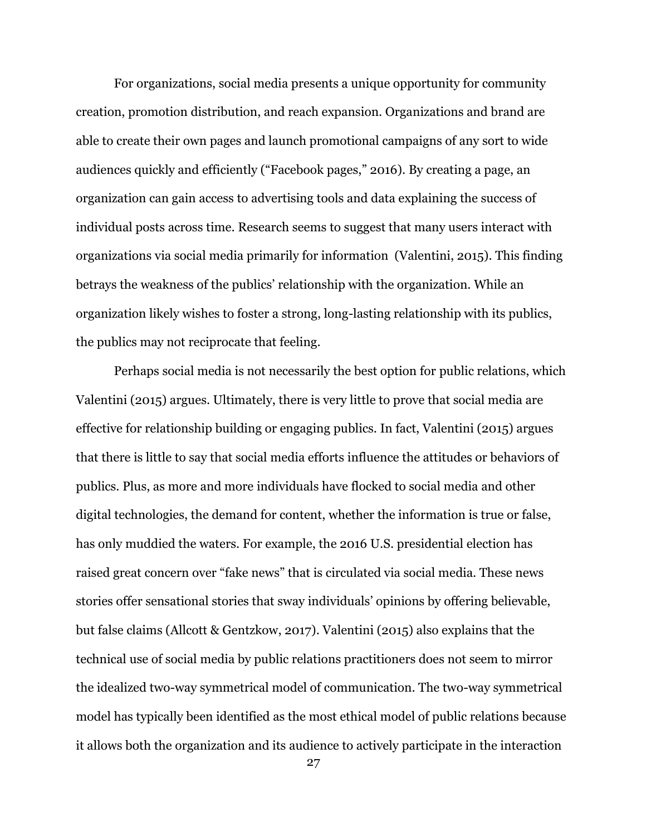For organizations, social media presents a unique opportunity for community creation, promotion distribution, and reach expansion. Organizations and brand are able to create their own pages and launch promotional campaigns of any sort to wide audiences quickly and efficiently ("Facebook pages," 2016). By creating a page, an organization can gain access to advertising tools and data explaining the success of individual posts across time. Research seems to suggest that many users interact with organizations via social media primarily for information (Valentini, 2015). This finding betrays the weakness of the publics' relationship with the organization. While an organization likely wishes to foster a strong, long-lasting relationship with its publics, the publics may not reciprocate that feeling.

Perhaps social media is not necessarily the best option for public relations, which Valentini (2015) argues. Ultimately, there is very little to prove that social media are effective for relationship building or engaging publics. In fact, Valentini (2015) argues that there is little to say that social media efforts influence the attitudes or behaviors of publics. Plus, as more and more individuals have flocked to social media and other digital technologies, the demand for content, whether the information is true or false, has only muddied the waters. For example, the 2016 U.S. presidential election has raised great concern over "fake news" that is circulated via social media. These news stories offer sensational stories that sway individuals' opinions by offering believable, but false claims (Allcott & Gentzkow, 2017). Valentini (2015) also explains that the technical use of social media by public relations practitioners does not seem to mirror the idealized two-way symmetrical model of communication. The two-way symmetrical model has typically been identified as the most ethical model of public relations because it allows both the organization and its audience to actively participate in the interaction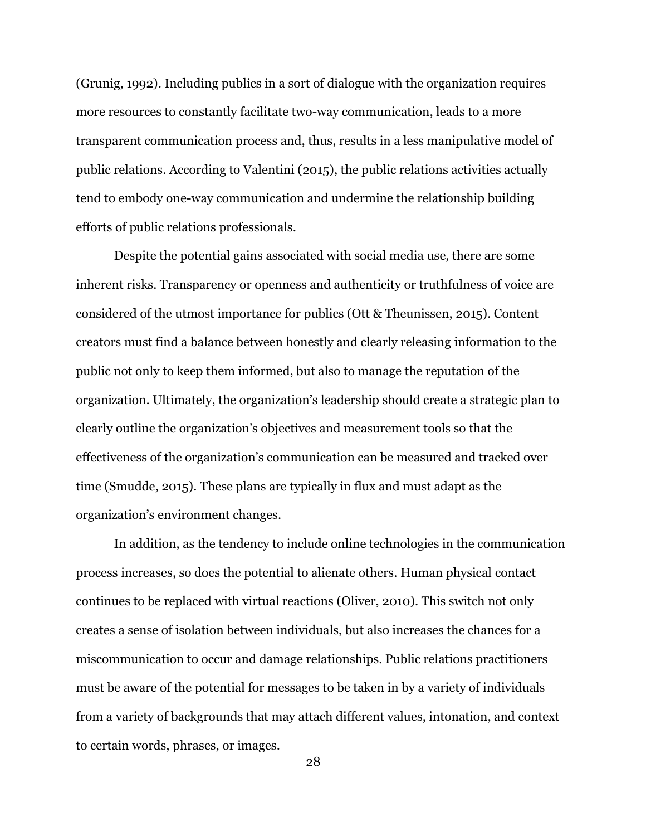(Grunig, 1992). Including publics in a sort of dialogue with the organization requires more resources to constantly facilitate two-way communication, leads to a more transparent communication process and, thus, results in a less manipulative model of public relations. According to Valentini (2015), the public relations activities actually tend to embody one-way communication and undermine the relationship building efforts of public relations professionals.

Despite the potential gains associated with social media use, there are some inherent risks. Transparency or openness and authenticity or truthfulness of voice are considered of the utmost importance for publics (Ott & Theunissen, 2015). Content creators must find a balance between honestly and clearly releasing information to the public not only to keep them informed, but also to manage the reputation of the organization. Ultimately, the organization's leadership should create a strategic plan to clearly outline the organization's objectives and measurement tools so that the effectiveness of the organization's communication can be measured and tracked over time (Smudde, 2015). These plans are typically in flux and must adapt as the organization's environment changes.

In addition, as the tendency to include online technologies in the communication process increases, so does the potential to alienate others. Human physical contact continues to be replaced with virtual reactions (Oliver, 2010). This switch not only creates a sense of isolation between individuals, but also increases the chances for a miscommunication to occur and damage relationships. Public relations practitioners must be aware of the potential for messages to be taken in by a variety of individuals from a variety of backgrounds that may attach different values, intonation, and context to certain words, phrases, or images.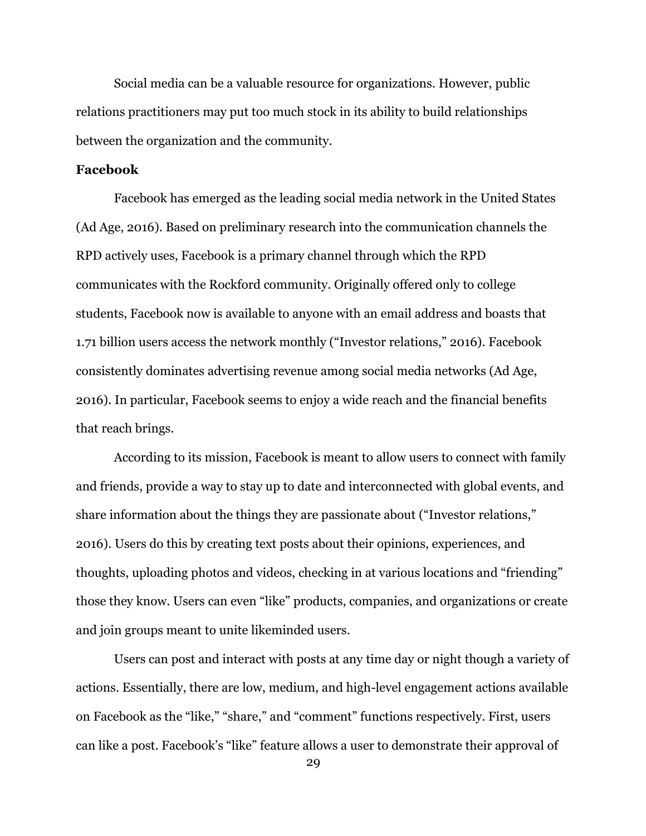Social media can be a valuable resource for organizations. However, public relations practitioners may put too much stock in its ability to build relationships between the organization and the community.

## **Facebook**

Facebook has emerged as the leading social media network in the United States (Ad Age, 2016). Based on preliminary research into the communication channels the RPD actively uses, Facebook is a primary channel through which the RPD communicates with the Rockford community. Originally offered only to college students, Facebook now is available to anyone with an email address and boasts that 1.71 billion users access the network monthly ("Investor relations," 2016). Facebook consistently dominates advertising revenue among social media networks (Ad Age, 2016). In particular, Facebook seems to enjoy a wide reach and the financial benefits that reach brings.

According to its mission, Facebook is meant to allow users to connect with family and friends, provide a way to stay up to date and interconnected with global events, and share information about the things they are passionate about ("Investor relations," 2016). Users do this by creating text posts about their opinions, experiences, and thoughts, uploading photos and videos, checking in at various locations and "friending" those they know. Users can even "like" products, companies, and organizations or create and join groups meant to unite likeminded users.

Users can post and interact with posts at any time day or night though a variety of actions. Essentially, there are low, medium, and high-level engagement actions available on Facebook as the "like," "share," and "comment" functions respectively. First, users can like a post. Facebook's "like" feature allows a user to demonstrate their approval of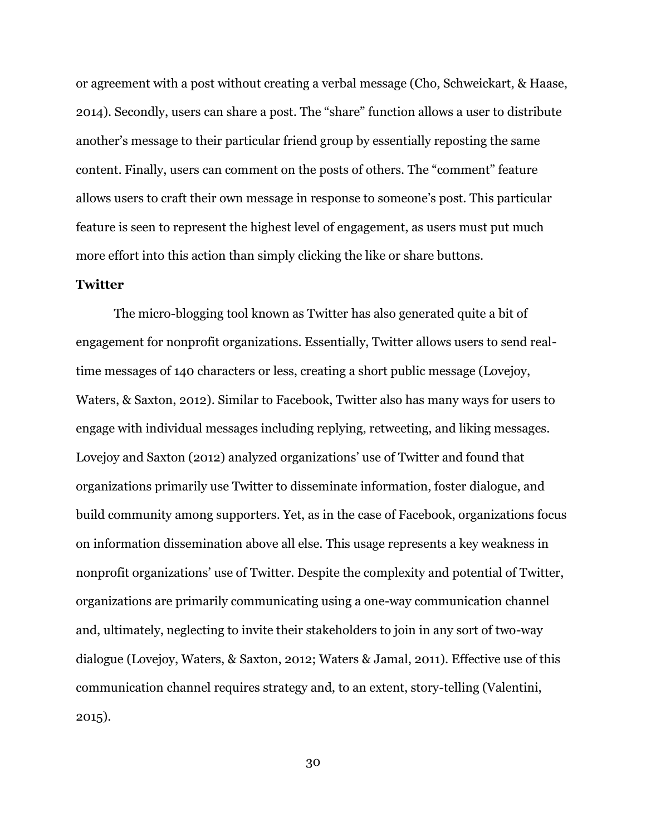or agreement with a post without creating a verbal message (Cho, Schweickart, & Haase, 2014). Secondly, users can share a post. The "share" function allows a user to distribute another's message to their particular friend group by essentially reposting the same content. Finally, users can comment on the posts of others. The "comment" feature allows users to craft their own message in response to someone's post. This particular feature is seen to represent the highest level of engagement, as users must put much more effort into this action than simply clicking the like or share buttons.

## **Twitter**

The micro-blogging tool known as Twitter has also generated quite a bit of engagement for nonprofit organizations. Essentially, Twitter allows users to send realtime messages of 140 characters or less, creating a short public message (Lovejoy, Waters, & Saxton, 2012). Similar to Facebook, Twitter also has many ways for users to engage with individual messages including replying, retweeting, and liking messages. Lovejoy and Saxton (2012) analyzed organizations' use of Twitter and found that organizations primarily use Twitter to disseminate information, foster dialogue, and build community among supporters. Yet, as in the case of Facebook, organizations focus on information dissemination above all else. This usage represents a key weakness in nonprofit organizations' use of Twitter. Despite the complexity and potential of Twitter, organizations are primarily communicating using a one-way communication channel and, ultimately, neglecting to invite their stakeholders to join in any sort of two-way dialogue (Lovejoy, Waters, & Saxton, 2012; Waters & Jamal, 2011). Effective use of this communication channel requires strategy and, to an extent, story-telling (Valentini, 2015).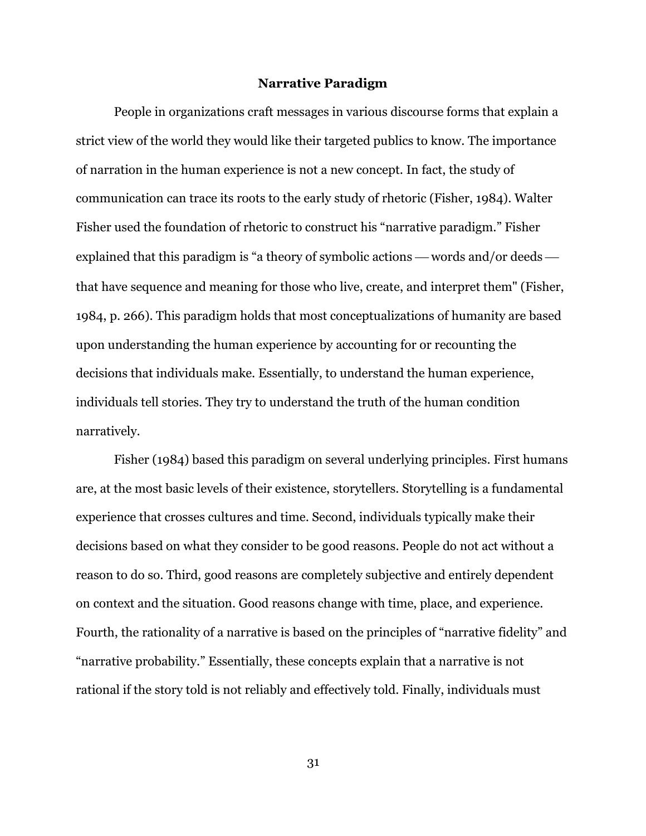#### **Narrative Paradigm**

People in organizations craft messages in various discourse forms that explain a strict view of the world they would like their targeted publics to know. The importance of narration in the human experience is not a new concept. In fact, the study of communication can trace its roots to the early study of rhetoric (Fisher, 1984). Walter Fisher used the foundation of rhetoric to construct his "narrative paradigm." Fisher explained that this paradigm is "a theory of symbolic actions — words and/or deeds that have sequence and meaning for those who live, create, and interpret them" (Fisher, 1984, p. 266). This paradigm holds that most conceptualizations of humanity are based upon understanding the human experience by accounting for or recounting the decisions that individuals make. Essentially, to understand the human experience, individuals tell stories. They try to understand the truth of the human condition narratively.

Fisher (1984) based this paradigm on several underlying principles. First humans are, at the most basic levels of their existence, storytellers. Storytelling is a fundamental experience that crosses cultures and time. Second, individuals typically make their decisions based on what they consider to be good reasons. People do not act without a reason to do so. Third, good reasons are completely subjective and entirely dependent on context and the situation. Good reasons change with time, place, and experience. Fourth, the rationality of a narrative is based on the principles of "narrative fidelity" and "narrative probability." Essentially, these concepts explain that a narrative is not rational if the story told is not reliably and effectively told. Finally, individuals must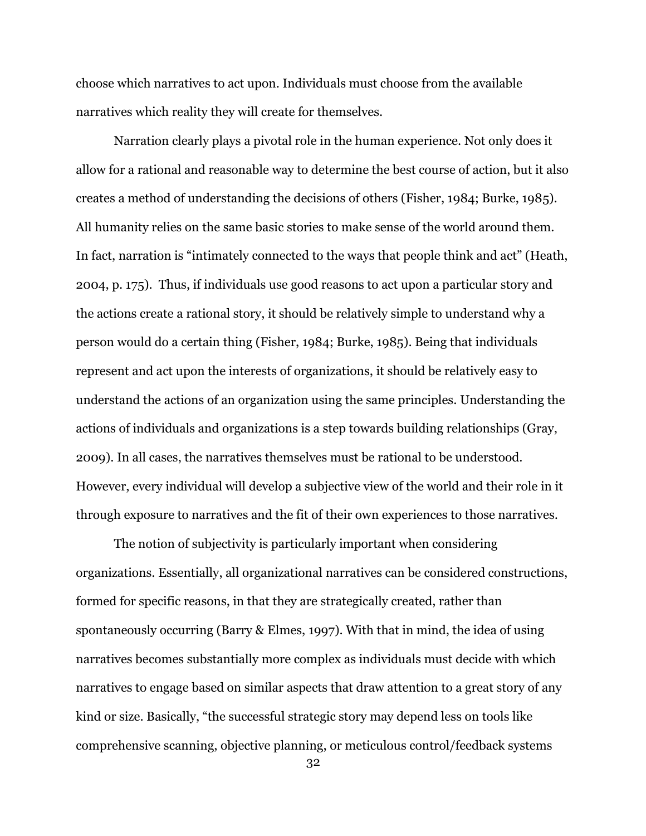choose which narratives to act upon. Individuals must choose from the available narratives which reality they will create for themselves.

Narration clearly plays a pivotal role in the human experience. Not only does it allow for a rational and reasonable way to determine the best course of action, but it also creates a method of understanding the decisions of others (Fisher, 1984; Burke, 1985). All humanity relies on the same basic stories to make sense of the world around them. In fact, narration is "intimately connected to the ways that people think and act" (Heath, 2004, p. 175). Thus, if individuals use good reasons to act upon a particular story and the actions create a rational story, it should be relatively simple to understand why a person would do a certain thing (Fisher, 1984; Burke, 1985). Being that individuals represent and act upon the interests of organizations, it should be relatively easy to understand the actions of an organization using the same principles. Understanding the actions of individuals and organizations is a step towards building relationships (Gray, 2009). In all cases, the narratives themselves must be rational to be understood. However, every individual will develop a subjective view of the world and their role in it through exposure to narratives and the fit of their own experiences to those narratives.

The notion of subjectivity is particularly important when considering organizations. Essentially, all organizational narratives can be considered constructions, formed for specific reasons, in that they are strategically created, rather than spontaneously occurring (Barry & Elmes, 1997). With that in mind, the idea of using narratives becomes substantially more complex as individuals must decide with which narratives to engage based on similar aspects that draw attention to a great story of any kind or size. Basically, "the successful strategic story may depend less on tools like comprehensive scanning, objective planning, or meticulous control/feedback systems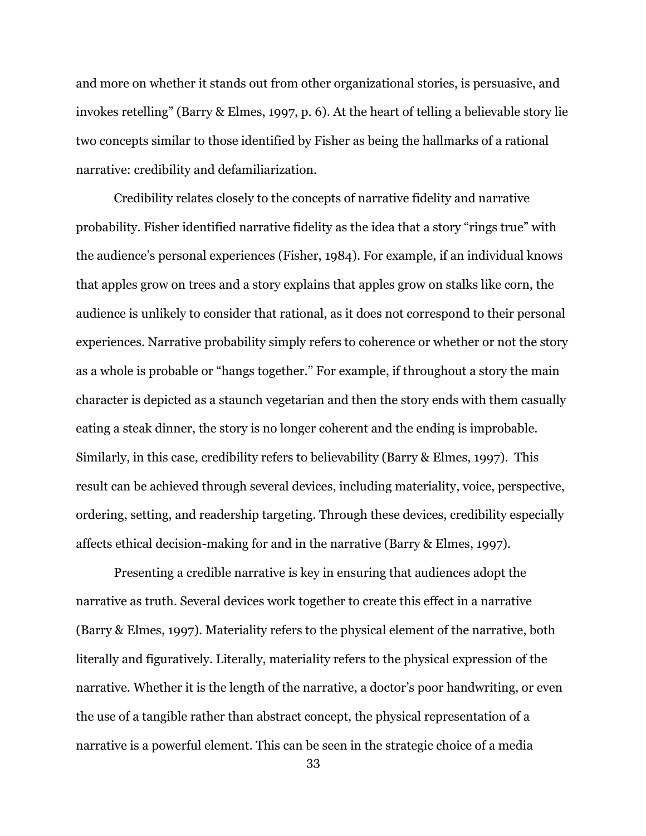and more on whether it stands out from other organizational stories, is persuasive, and invokes retelling" (Barry & Elmes, 1997, p. 6). At the heart of telling a believable story lie two concepts similar to those identified by Fisher as being the hallmarks of a rational narrative: credibility and defamiliarization.

Credibility relates closely to the concepts of narrative fidelity and narrative probability. Fisher identified narrative fidelity as the idea that a story "rings true" with the audience's personal experiences (Fisher, 1984). For example, if an individual knows that apples grow on trees and a story explains that apples grow on stalks like corn, the audience is unlikely to consider that rational, as it does not correspond to their personal experiences. Narrative probability simply refers to coherence or whether or not the story as a whole is probable or "hangs together." For example, if throughout a story the main character is depicted as a staunch vegetarian and then the story ends with them casually eating a steak dinner, the story is no longer coherent and the ending is improbable. Similarly, in this case, credibility refers to believability (Barry & Elmes, 1997). This result can be achieved through several devices, including materiality, voice, perspective, ordering, setting, and readership targeting. Through these devices, credibility especially affects ethical decision-making for and in the narrative (Barry & Elmes, 1997).

Presenting a credible narrative is key in ensuring that audiences adopt the narrative as truth. Several devices work together to create this effect in a narrative (Barry & Elmes, 1997). Materiality refers to the physical element of the narrative, both literally and figuratively. Literally, materiality refers to the physical expression of the narrative. Whether it is the length of the narrative, a doctor's poor handwriting, or even the use of a tangible rather than abstract concept, the physical representation of a narrative is a powerful element. This can be seen in the strategic choice of a media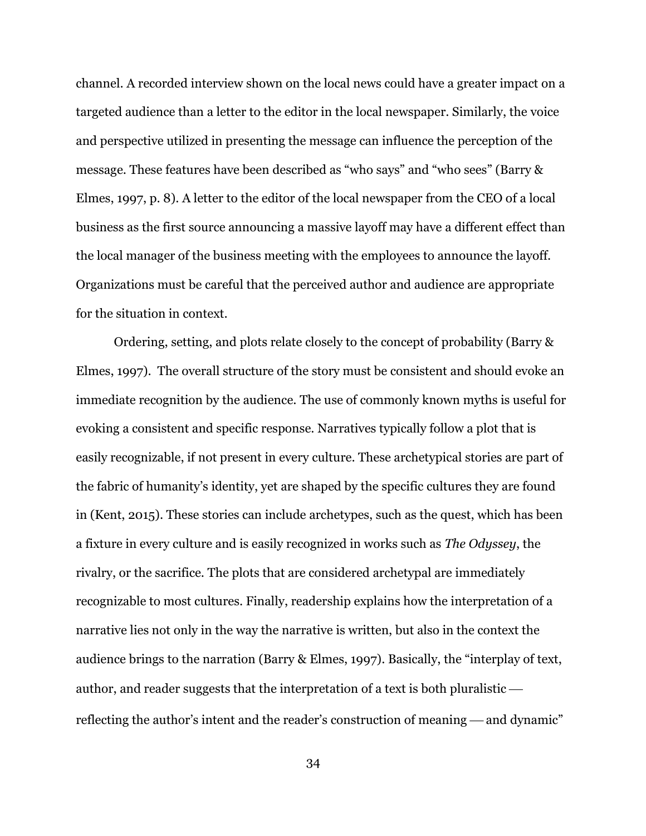channel. A recorded interview shown on the local news could have a greater impact on a targeted audience than a letter to the editor in the local newspaper. Similarly, the voice and perspective utilized in presenting the message can influence the perception of the message. These features have been described as "who says" and "who sees" (Barry & Elmes, 1997, p. 8). A letter to the editor of the local newspaper from the CEO of a local business as the first source announcing a massive layoff may have a different effect than the local manager of the business meeting with the employees to announce the layoff. Organizations must be careful that the perceived author and audience are appropriate for the situation in context.

Ordering, setting, and plots relate closely to the concept of probability (Barry & Elmes, 1997). The overall structure of the story must be consistent and should evoke an immediate recognition by the audience. The use of commonly known myths is useful for evoking a consistent and specific response. Narratives typically follow a plot that is easily recognizable, if not present in every culture. These archetypical stories are part of the fabric of humanity's identity, yet are shaped by the specific cultures they are found in (Kent, 2015). These stories can include archetypes, such as the quest, which has been a fixture in every culture and is easily recognized in works such as *The Odyssey*, the rivalry, or the sacrifice. The plots that are considered archetypal are immediately recognizable to most cultures. Finally, readership explains how the interpretation of a narrative lies not only in the way the narrative is written, but also in the context the audience brings to the narration (Barry & Elmes, 1997). Basically, the "interplay of text, author, and reader suggests that the interpretation of a text is both pluralistic reflecting the author's intent and the reader's construction of meaning  $-$  and dynamic"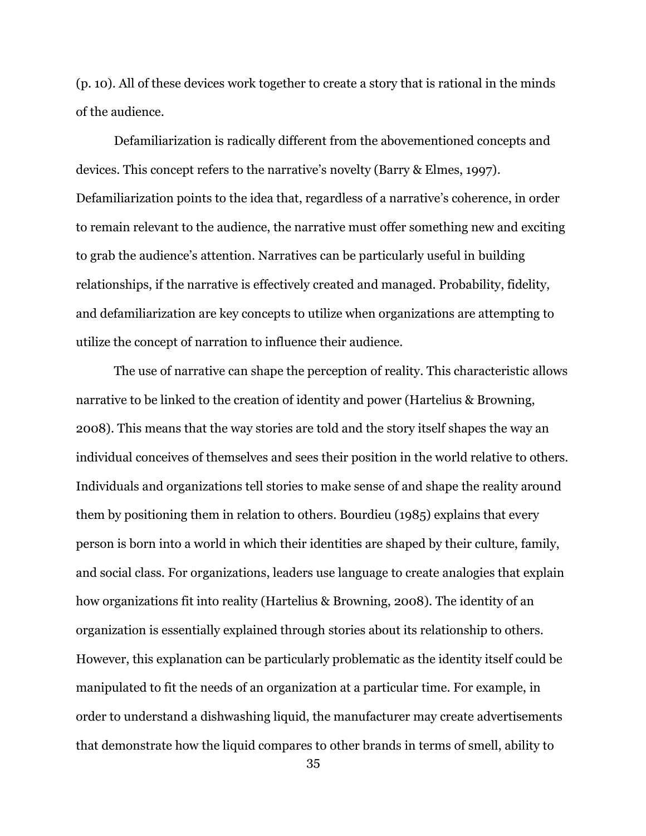(p. 10). All of these devices work together to create a story that is rational in the minds of the audience.

Defamiliarization is radically different from the abovementioned concepts and devices. This concept refers to the narrative's novelty (Barry & Elmes, 1997). Defamiliarization points to the idea that, regardless of a narrative's coherence, in order to remain relevant to the audience, the narrative must offer something new and exciting to grab the audience's attention. Narratives can be particularly useful in building relationships, if the narrative is effectively created and managed. Probability, fidelity, and defamiliarization are key concepts to utilize when organizations are attempting to utilize the concept of narration to influence their audience.

The use of narrative can shape the perception of reality. This characteristic allows narrative to be linked to the creation of identity and power (Hartelius & Browning, 2008). This means that the way stories are told and the story itself shapes the way an individual conceives of themselves and sees their position in the world relative to others. Individuals and organizations tell stories to make sense of and shape the reality around them by positioning them in relation to others. Bourdieu (1985) explains that every person is born into a world in which their identities are shaped by their culture, family, and social class. For organizations, leaders use language to create analogies that explain how organizations fit into reality (Hartelius & Browning, 2008). The identity of an organization is essentially explained through stories about its relationship to others. However, this explanation can be particularly problematic as the identity itself could be manipulated to fit the needs of an organization at a particular time. For example, in order to understand a dishwashing liquid, the manufacturer may create advertisements that demonstrate how the liquid compares to other brands in terms of smell, ability to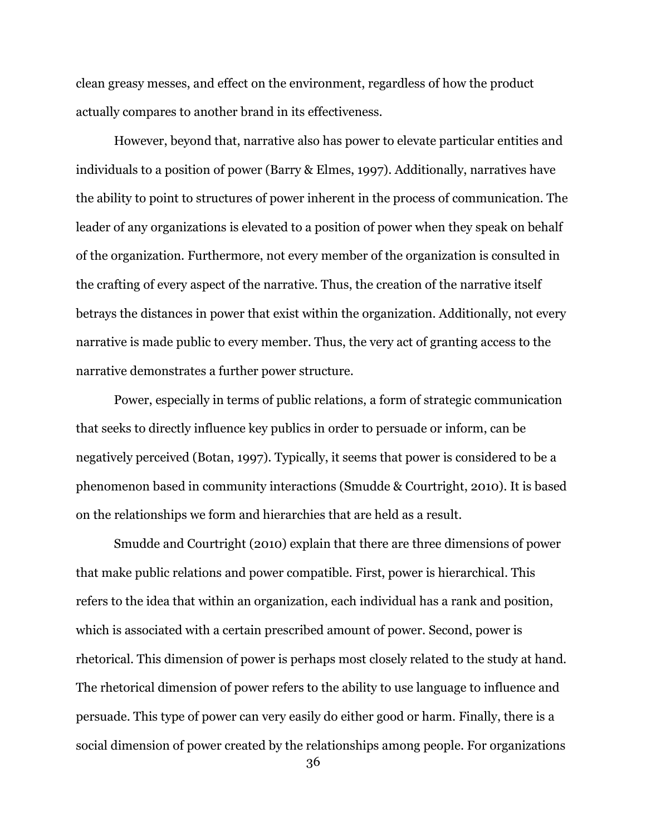clean greasy messes, and effect on the environment, regardless of how the product actually compares to another brand in its effectiveness.

However, beyond that, narrative also has power to elevate particular entities and individuals to a position of power (Barry & Elmes, 1997). Additionally, narratives have the ability to point to structures of power inherent in the process of communication. The leader of any organizations is elevated to a position of power when they speak on behalf of the organization. Furthermore, not every member of the organization is consulted in the crafting of every aspect of the narrative. Thus, the creation of the narrative itself betrays the distances in power that exist within the organization. Additionally, not every narrative is made public to every member. Thus, the very act of granting access to the narrative demonstrates a further power structure.

Power, especially in terms of public relations, a form of strategic communication that seeks to directly influence key publics in order to persuade or inform, can be negatively perceived (Botan, 1997). Typically, it seems that power is considered to be a phenomenon based in community interactions (Smudde & Courtright, 2010). It is based on the relationships we form and hierarchies that are held as a result.

Smudde and Courtright (2010) explain that there are three dimensions of power that make public relations and power compatible. First, power is hierarchical. This refers to the idea that within an organization, each individual has a rank and position, which is associated with a certain prescribed amount of power. Second, power is rhetorical. This dimension of power is perhaps most closely related to the study at hand. The rhetorical dimension of power refers to the ability to use language to influence and persuade. This type of power can very easily do either good or harm. Finally, there is a social dimension of power created by the relationships among people. For organizations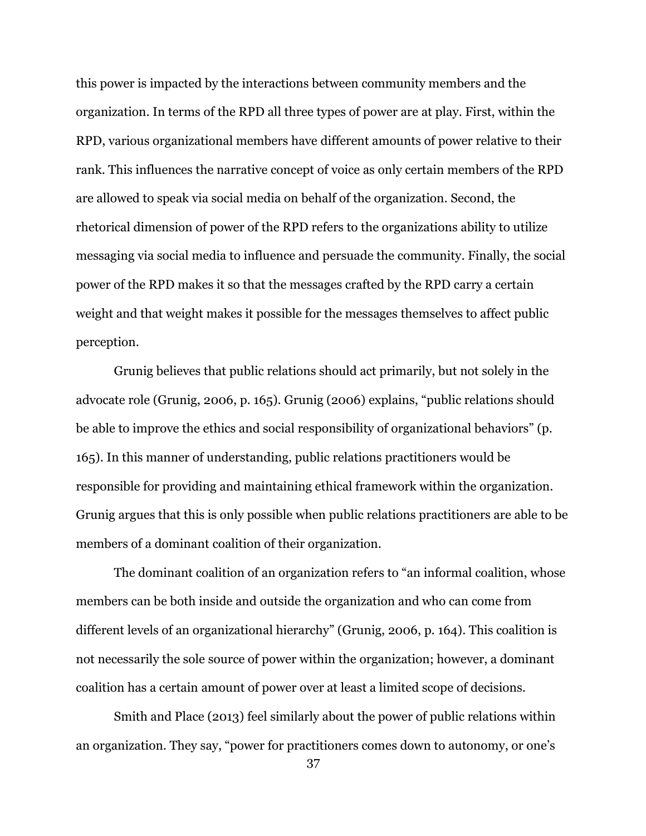this power is impacted by the interactions between community members and the organization. In terms of the RPD all three types of power are at play. First, within the RPD, various organizational members have different amounts of power relative to their rank. This influences the narrative concept of voice as only certain members of the RPD are allowed to speak via social media on behalf of the organization. Second, the rhetorical dimension of power of the RPD refers to the organizations ability to utilize messaging via social media to influence and persuade the community. Finally, the social power of the RPD makes it so that the messages crafted by the RPD carry a certain weight and that weight makes it possible for the messages themselves to affect public perception.

Grunig believes that public relations should act primarily, but not solely in the advocate role (Grunig, 2006, p. 165). Grunig (2006) explains, "public relations should be able to improve the ethics and social responsibility of organizational behaviors" (p. 165). In this manner of understanding, public relations practitioners would be responsible for providing and maintaining ethical framework within the organization. Grunig argues that this is only possible when public relations practitioners are able to be members of a dominant coalition of their organization.

The dominant coalition of an organization refers to "an informal coalition, whose members can be both inside and outside the organization and who can come from different levels of an organizational hierarchy" (Grunig, 2006, p. 164). This coalition is not necessarily the sole source of power within the organization; however, a dominant coalition has a certain amount of power over at least a limited scope of decisions.

Smith and Place (2013) feel similarly about the power of public relations within an organization. They say, "power for practitioners comes down to autonomy, or one's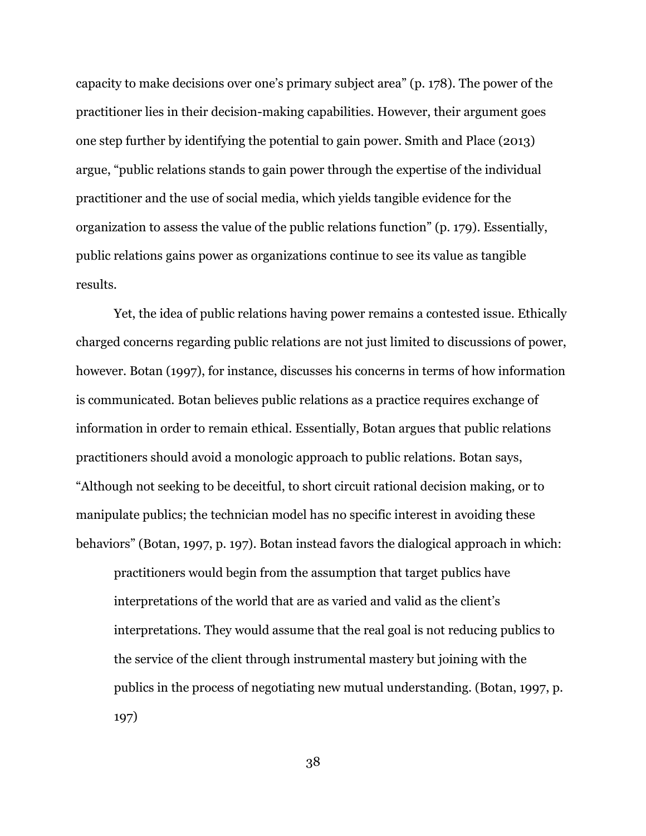capacity to make decisions over one's primary subject area" (p. 178). The power of the practitioner lies in their decision-making capabilities. However, their argument goes one step further by identifying the potential to gain power. Smith and Place (2013) argue, "public relations stands to gain power through the expertise of the individual practitioner and the use of social media, which yields tangible evidence for the organization to assess the value of the public relations function" (p. 179). Essentially, public relations gains power as organizations continue to see its value as tangible results.

Yet, the idea of public relations having power remains a contested issue. Ethically charged concerns regarding public relations are not just limited to discussions of power, however. Botan (1997), for instance, discusses his concerns in terms of how information is communicated. Botan believes public relations as a practice requires exchange of information in order to remain ethical. Essentially, Botan argues that public relations practitioners should avoid a monologic approach to public relations. Botan says, "Although not seeking to be deceitful, to short circuit rational decision making, or to manipulate publics; the technician model has no specific interest in avoiding these behaviors" (Botan, 1997, p. 197). Botan instead favors the dialogical approach in which: practitioners would begin from the assumption that target publics have interpretations of the world that are as varied and valid as the client's interpretations. They would assume that the real goal is not reducing publics to the service of the client through instrumental mastery but joining with the publics in the process of negotiating new mutual understanding. (Botan, 1997, p. 197)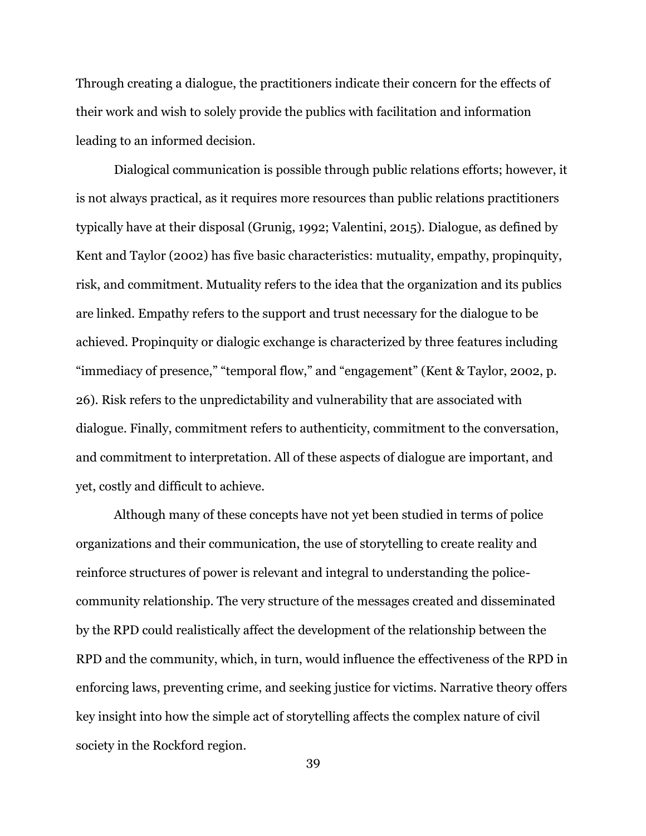Through creating a dialogue, the practitioners indicate their concern for the effects of their work and wish to solely provide the publics with facilitation and information leading to an informed decision.

Dialogical communication is possible through public relations efforts; however, it is not always practical, as it requires more resources than public relations practitioners typically have at their disposal (Grunig, 1992; Valentini, 2015). Dialogue, as defined by Kent and Taylor (2002) has five basic characteristics: mutuality, empathy, propinquity, risk, and commitment. Mutuality refers to the idea that the organization and its publics are linked. Empathy refers to the support and trust necessary for the dialogue to be achieved. Propinquity or dialogic exchange is characterized by three features including "immediacy of presence," "temporal flow," and "engagement" (Kent & Taylor, 2002, p. 26). Risk refers to the unpredictability and vulnerability that are associated with dialogue. Finally, commitment refers to authenticity, commitment to the conversation, and commitment to interpretation. All of these aspects of dialogue are important, and yet, costly and difficult to achieve.

Although many of these concepts have not yet been studied in terms of police organizations and their communication, the use of storytelling to create reality and reinforce structures of power is relevant and integral to understanding the policecommunity relationship. The very structure of the messages created and disseminated by the RPD could realistically affect the development of the relationship between the RPD and the community, which, in turn, would influence the effectiveness of the RPD in enforcing laws, preventing crime, and seeking justice for victims. Narrative theory offers key insight into how the simple act of storytelling affects the complex nature of civil society in the Rockford region.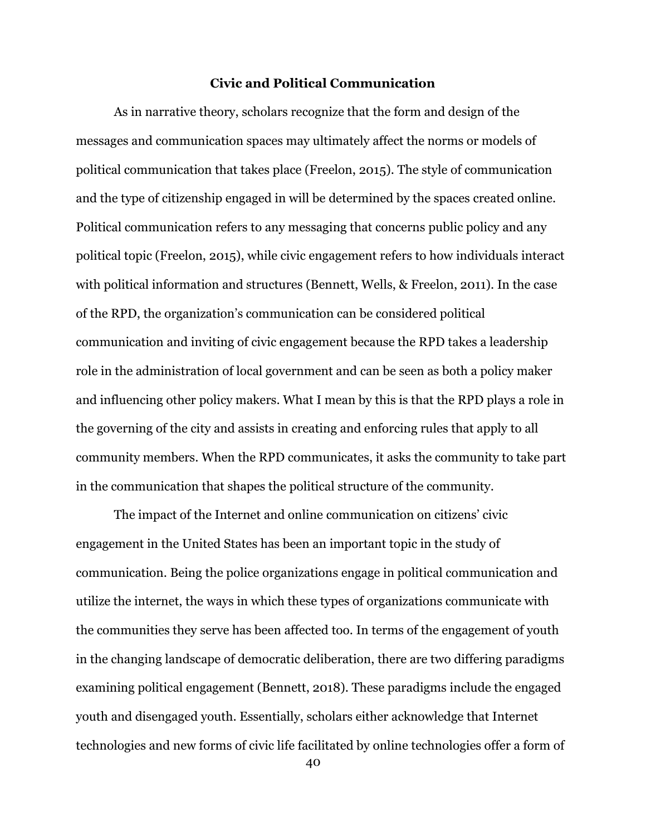## **Civic and Political Communication**

As in narrative theory, scholars recognize that the form and design of the messages and communication spaces may ultimately affect the norms or models of political communication that takes place (Freelon, 2015). The style of communication and the type of citizenship engaged in will be determined by the spaces created online. Political communication refers to any messaging that concerns public policy and any political topic (Freelon, 2015), while civic engagement refers to how individuals interact with political information and structures (Bennett, Wells, & Freelon, 2011). In the case of the RPD, the organization's communication can be considered political communication and inviting of civic engagement because the RPD takes a leadership role in the administration of local government and can be seen as both a policy maker and influencing other policy makers. What I mean by this is that the RPD plays a role in the governing of the city and assists in creating and enforcing rules that apply to all community members. When the RPD communicates, it asks the community to take part in the communication that shapes the political structure of the community.

The impact of the Internet and online communication on citizens' civic engagement in the United States has been an important topic in the study of communication. Being the police organizations engage in political communication and utilize the internet, the ways in which these types of organizations communicate with the communities they serve has been affected too. In terms of the engagement of youth in the changing landscape of democratic deliberation, there are two differing paradigms examining political engagement (Bennett, 2018). These paradigms include the engaged youth and disengaged youth. Essentially, scholars either acknowledge that Internet technologies and new forms of civic life facilitated by online technologies offer a form of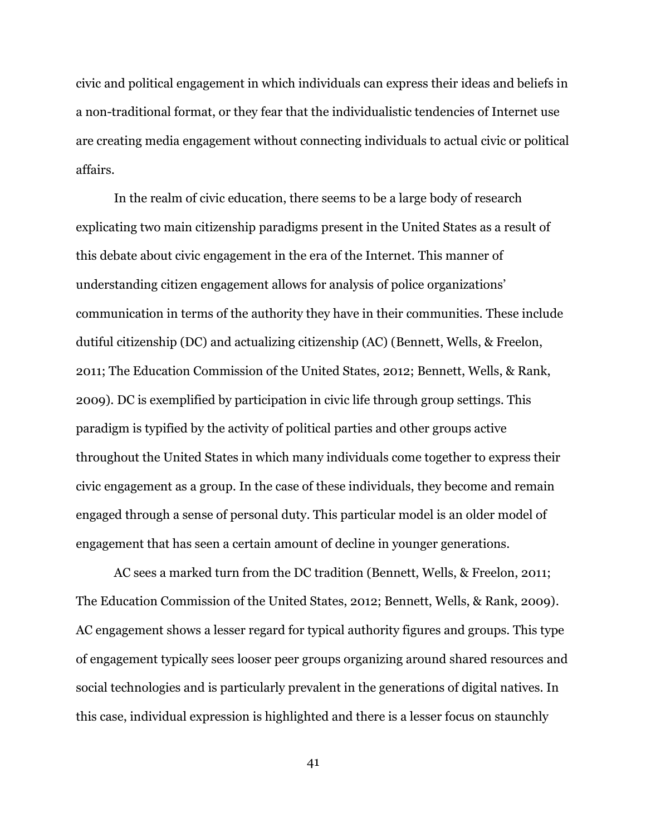civic and political engagement in which individuals can express their ideas and beliefs in a non-traditional format, or they fear that the individualistic tendencies of Internet use are creating media engagement without connecting individuals to actual civic or political affairs.

In the realm of civic education, there seems to be a large body of research explicating two main citizenship paradigms present in the United States as a result of this debate about civic engagement in the era of the Internet. This manner of understanding citizen engagement allows for analysis of police organizations' communication in terms of the authority they have in their communities. These include dutiful citizenship (DC) and actualizing citizenship (AC) (Bennett, Wells, & Freelon, 2011; The Education Commission of the United States, 2012; Bennett, Wells, & Rank, 2009). DC is exemplified by participation in civic life through group settings. This paradigm is typified by the activity of political parties and other groups active throughout the United States in which many individuals come together to express their civic engagement as a group. In the case of these individuals, they become and remain engaged through a sense of personal duty. This particular model is an older model of engagement that has seen a certain amount of decline in younger generations.

AC sees a marked turn from the DC tradition (Bennett, Wells, & Freelon, 2011; The Education Commission of the United States, 2012; Bennett, Wells, & Rank, 2009). AC engagement shows a lesser regard for typical authority figures and groups. This type of engagement typically sees looser peer groups organizing around shared resources and social technologies and is particularly prevalent in the generations of digital natives. In this case, individual expression is highlighted and there is a lesser focus on staunchly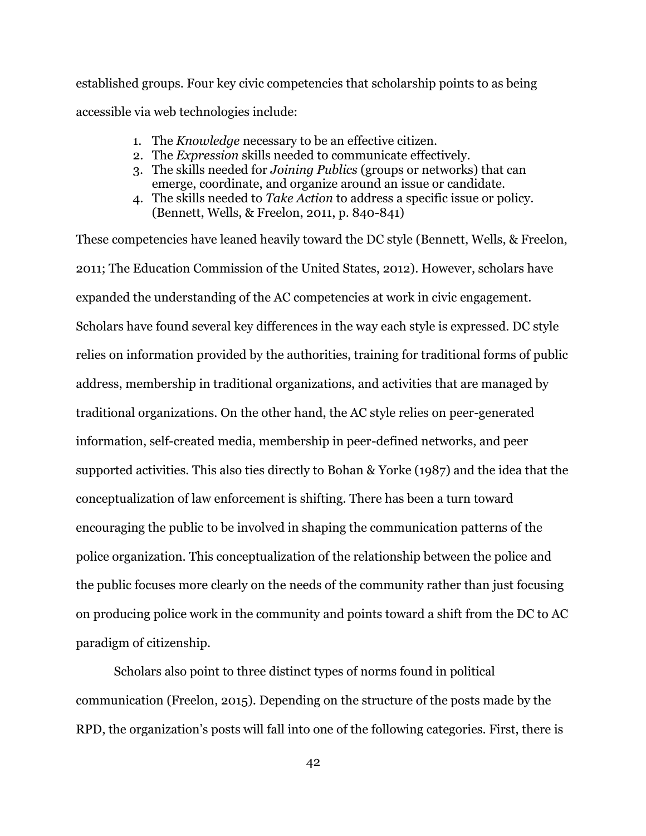established groups. Four key civic competencies that scholarship points to as being accessible via web technologies include:

- 1. The *Knowledge* necessary to be an effective citizen.
- 2. The *Expression* skills needed to communicate effectively.
- 3. The skills needed for *Joining Publics* (groups or networks) that can emerge, coordinate, and organize around an issue or candidate.
- 4. The skills needed to *Take Action* to address a specific issue or policy. (Bennett, Wells, & Freelon, 2011, p. 840-841)

These competencies have leaned heavily toward the DC style (Bennett, Wells, & Freelon, 2011; The Education Commission of the United States, 2012). However, scholars have expanded the understanding of the AC competencies at work in civic engagement. Scholars have found several key differences in the way each style is expressed. DC style relies on information provided by the authorities, training for traditional forms of public address, membership in traditional organizations, and activities that are managed by traditional organizations. On the other hand, the AC style relies on peer-generated information, self-created media, membership in peer-defined networks, and peer supported activities. This also ties directly to Bohan & Yorke (1987) and the idea that the conceptualization of law enforcement is shifting. There has been a turn toward encouraging the public to be involved in shaping the communication patterns of the police organization. This conceptualization of the relationship between the police and the public focuses more clearly on the needs of the community rather than just focusing on producing police work in the community and points toward a shift from the DC to AC paradigm of citizenship.

Scholars also point to three distinct types of norms found in political communication (Freelon, 2015). Depending on the structure of the posts made by the RPD, the organization's posts will fall into one of the following categories. First, there is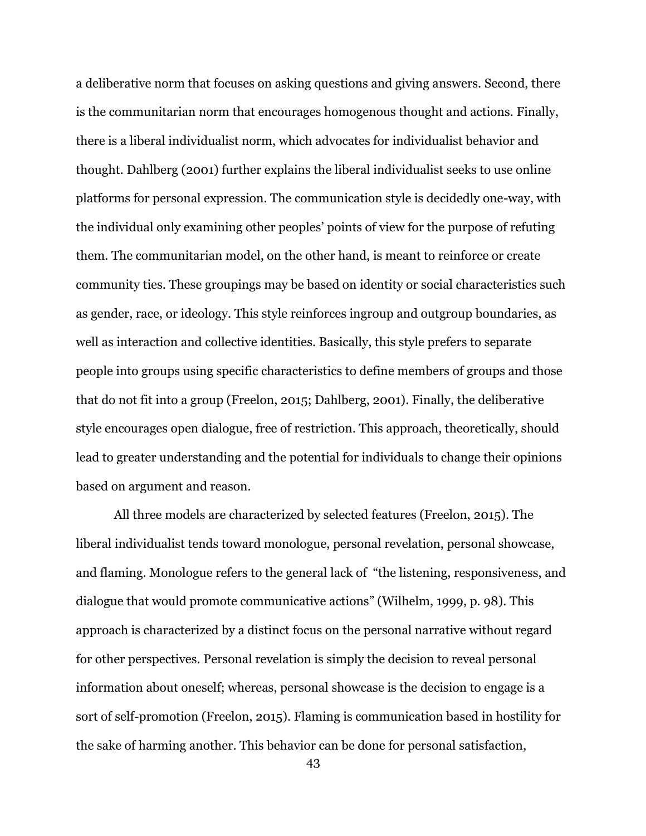a deliberative norm that focuses on asking questions and giving answers. Second, there is the communitarian norm that encourages homogenous thought and actions. Finally, there is a liberal individualist norm, which advocates for individualist behavior and thought. Dahlberg (2001) further explains the liberal individualist seeks to use online platforms for personal expression. The communication style is decidedly one-way, with the individual only examining other peoples' points of view for the purpose of refuting them. The communitarian model, on the other hand, is meant to reinforce or create community ties. These groupings may be based on identity or social characteristics such as gender, race, or ideology. This style reinforces ingroup and outgroup boundaries, as well as interaction and collective identities. Basically, this style prefers to separate people into groups using specific characteristics to define members of groups and those that do not fit into a group (Freelon, 2015; Dahlberg, 2001). Finally, the deliberative style encourages open dialogue, free of restriction. This approach, theoretically, should lead to greater understanding and the potential for individuals to change their opinions based on argument and reason.

All three models are characterized by selected features (Freelon, 2015). The liberal individualist tends toward monologue, personal revelation, personal showcase, and flaming. Monologue refers to the general lack of "the listening, responsiveness, and dialogue that would promote communicative actions" (Wilhelm, 1999, p. 98). This approach is characterized by a distinct focus on the personal narrative without regard for other perspectives. Personal revelation is simply the decision to reveal personal information about oneself; whereas, personal showcase is the decision to engage is a sort of self-promotion (Freelon, 2015). Flaming is communication based in hostility for the sake of harming another. This behavior can be done for personal satisfaction,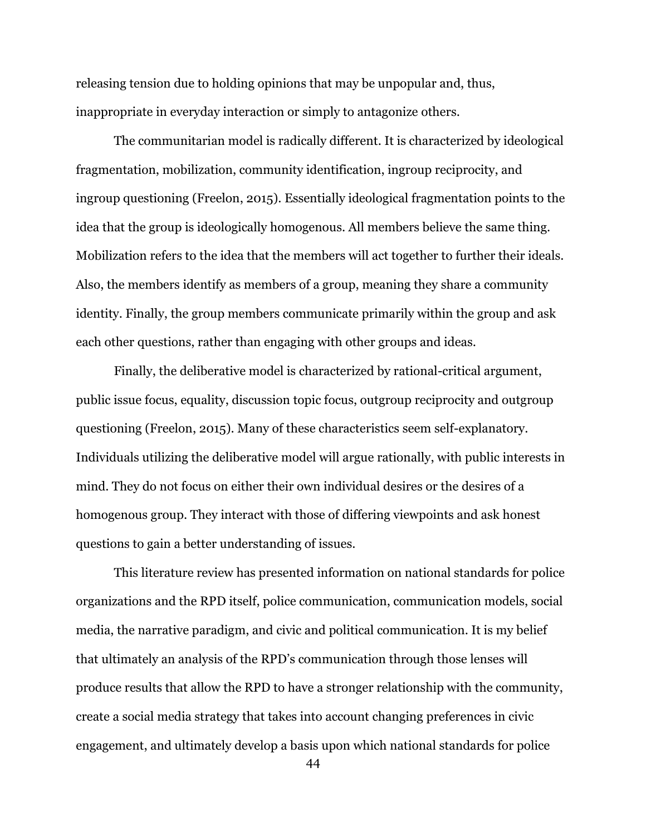releasing tension due to holding opinions that may be unpopular and, thus, inappropriate in everyday interaction or simply to antagonize others.

The communitarian model is radically different. It is characterized by ideological fragmentation, mobilization, community identification, ingroup reciprocity, and ingroup questioning (Freelon, 2015). Essentially ideological fragmentation points to the idea that the group is ideologically homogenous. All members believe the same thing. Mobilization refers to the idea that the members will act together to further their ideals. Also, the members identify as members of a group, meaning they share a community identity. Finally, the group members communicate primarily within the group and ask each other questions, rather than engaging with other groups and ideas.

Finally, the deliberative model is characterized by rational-critical argument, public issue focus, equality, discussion topic focus, outgroup reciprocity and outgroup questioning (Freelon, 2015). Many of these characteristics seem self-explanatory. Individuals utilizing the deliberative model will argue rationally, with public interests in mind. They do not focus on either their own individual desires or the desires of a homogenous group. They interact with those of differing viewpoints and ask honest questions to gain a better understanding of issues.

This literature review has presented information on national standards for police organizations and the RPD itself, police communication, communication models, social media, the narrative paradigm, and civic and political communication. It is my belief that ultimately an analysis of the RPD's communication through those lenses will produce results that allow the RPD to have a stronger relationship with the community, create a social media strategy that takes into account changing preferences in civic engagement, and ultimately develop a basis upon which national standards for police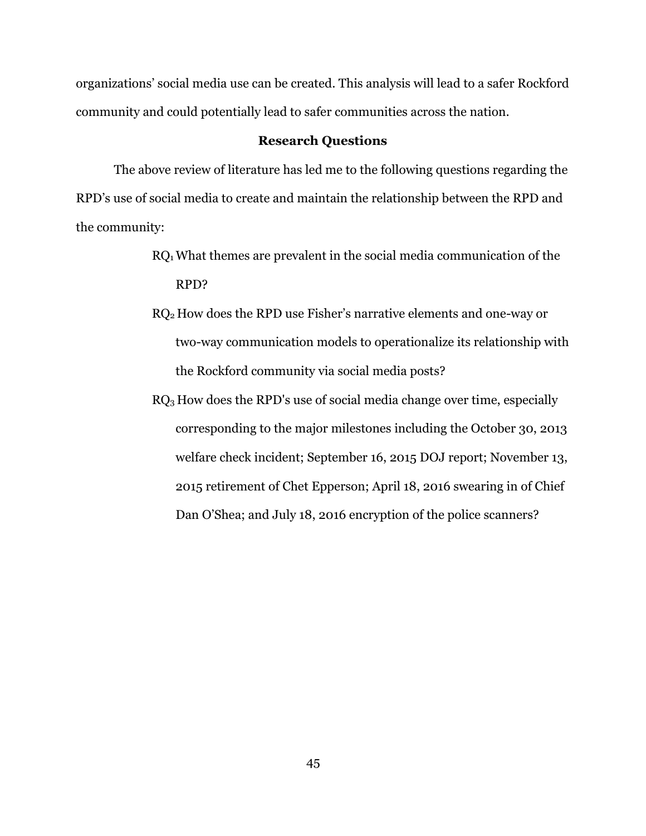organizations' social media use can be created. This analysis will lead to a safer Rockford community and could potentially lead to safer communities across the nation.

## **Research Questions**

The above review of literature has led me to the following questions regarding the RPD's use of social media to create and maintain the relationship between the RPD and the community:

- RQ1 What themes are prevalent in the social media communication of the RPD?
- RQ2 How does the RPD use Fisher's narrative elements and one-way or two-way communication models to operationalize its relationship with the Rockford community via social media posts?
- $RQ<sub>3</sub>$  How does the RPD's use of social media change over time, especially corresponding to the major milestones including the October 30, 2013 welfare check incident; September 16, 2015 DOJ report; November 13, 2015 retirement of Chet Epperson; April 18, 2016 swearing in of Chief Dan O'Shea; and July 18, 2016 encryption of the police scanners?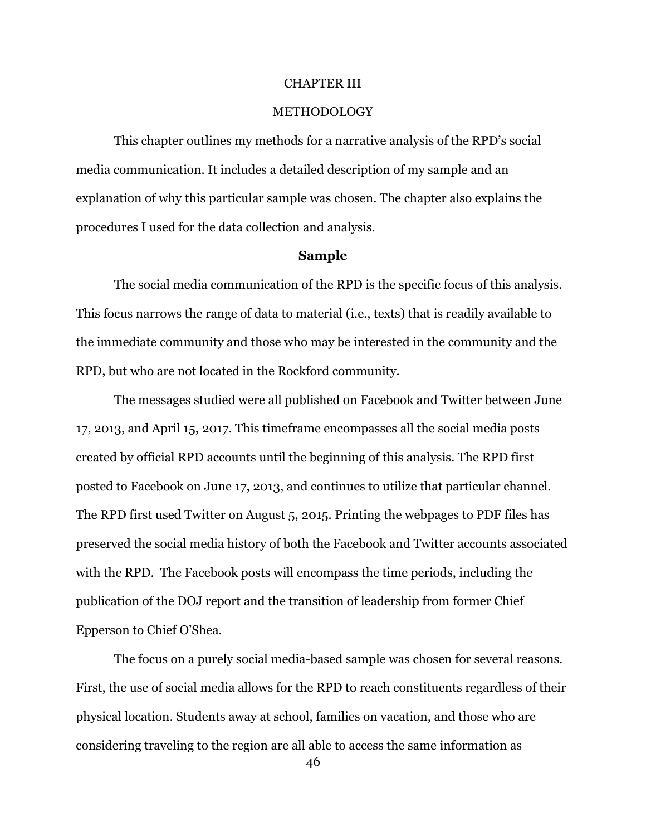#### CHAPTER III

#### **METHODOLOGY**

This chapter outlines my methods for a narrative analysis of the RPD's social media communication. It includes a detailed description of my sample and an explanation of why this particular sample was chosen. The chapter also explains the procedures I used for the data collection and analysis.

### **Sample**

The social media communication of the RPD is the specific focus of this analysis. This focus narrows the range of data to material (i.e., texts) that is readily available to the immediate community and those who may be interested in the community and the RPD, but who are not located in the Rockford community.

The messages studied were all published on Facebook and Twitter between June 17, 2013, and April 15, 2017. This timeframe encompasses all the social media posts created by official RPD accounts until the beginning of this analysis. The RPD first posted to Facebook on June 17, 2013, and continues to utilize that particular channel. The RPD first used Twitter on August 5, 2015. Printing the webpages to PDF files has preserved the social media history of both the Facebook and Twitter accounts associated with the RPD. The Facebook posts will encompass the time periods, including the publication of the DOJ report and the transition of leadership from former Chief Epperson to Chief O'Shea.

The focus on a purely social media-based sample was chosen for several reasons. First, the use of social media allows for the RPD to reach constituents regardless of their physical location. Students away at school, families on vacation, and those who are considering traveling to the region are all able to access the same information as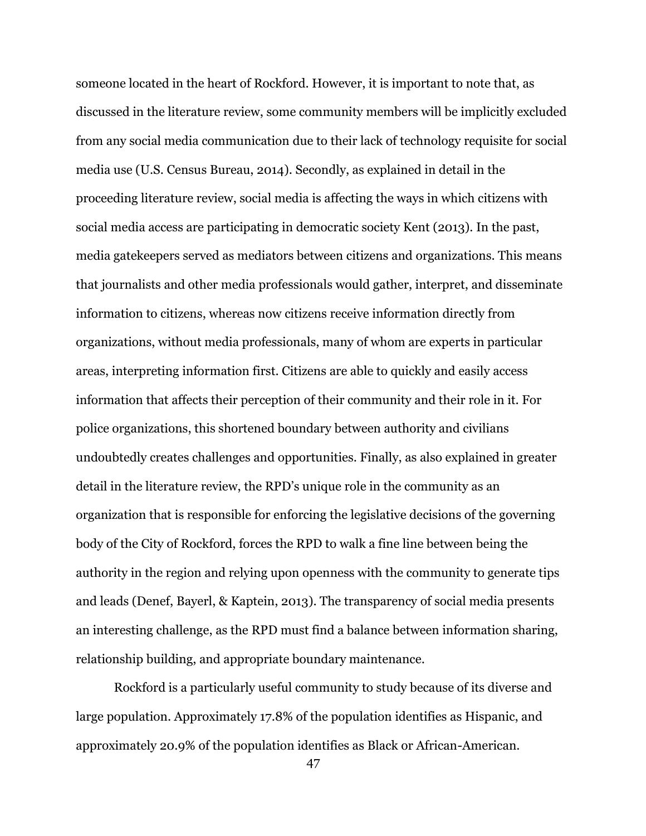someone located in the heart of Rockford. However, it is important to note that, as discussed in the literature review, some community members will be implicitly excluded from any social media communication due to their lack of technology requisite for social media use (U.S. Census Bureau, 2014). Secondly, as explained in detail in the proceeding literature review, social media is affecting the ways in which citizens with social media access are participating in democratic society Kent (2013). In the past, media gatekeepers served as mediators between citizens and organizations. This means that journalists and other media professionals would gather, interpret, and disseminate information to citizens, whereas now citizens receive information directly from organizations, without media professionals, many of whom are experts in particular areas, interpreting information first. Citizens are able to quickly and easily access information that affects their perception of their community and their role in it. For police organizations, this shortened boundary between authority and civilians undoubtedly creates challenges and opportunities. Finally, as also explained in greater detail in the literature review, the RPD's unique role in the community as an organization that is responsible for enforcing the legislative decisions of the governing body of the City of Rockford, forces the RPD to walk a fine line between being the authority in the region and relying upon openness with the community to generate tips and leads (Denef, Bayerl, & Kaptein, 2013). The transparency of social media presents an interesting challenge, as the RPD must find a balance between information sharing, relationship building, and appropriate boundary maintenance.

Rockford is a particularly useful community to study because of its diverse and large population. Approximately 17.8% of the population identifies as Hispanic, and approximately 20.9% of the population identifies as Black or African-American.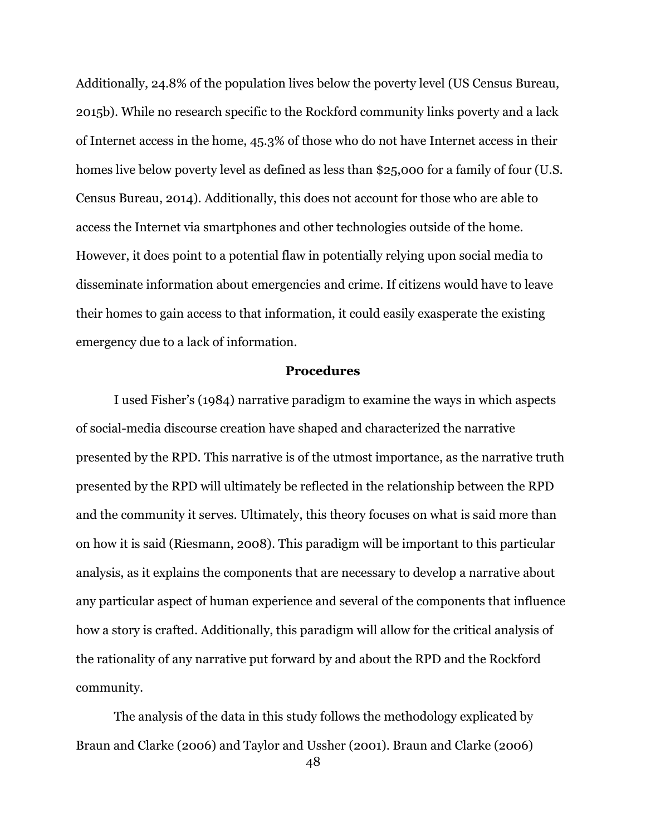Additionally, 24.8% of the population lives below the poverty level (US Census Bureau, 2015b). While no research specific to the Rockford community links poverty and a lack of Internet access in the home, 45.3% of those who do not have Internet access in their homes live below poverty level as defined as less than \$25,000 for a family of four (U.S. Census Bureau, 2014). Additionally, this does not account for those who are able to access the Internet via smartphones and other technologies outside of the home. However, it does point to a potential flaw in potentially relying upon social media to disseminate information about emergencies and crime. If citizens would have to leave their homes to gain access to that information, it could easily exasperate the existing emergency due to a lack of information.

#### **Procedures**

I used Fisher's (1984) narrative paradigm to examine the ways in which aspects of social-media discourse creation have shaped and characterized the narrative presented by the RPD. This narrative is of the utmost importance, as the narrative truth presented by the RPD will ultimately be reflected in the relationship between the RPD and the community it serves. Ultimately, this theory focuses on what is said more than on how it is said (Riesmann, 2008). This paradigm will be important to this particular analysis, as it explains the components that are necessary to develop a narrative about any particular aspect of human experience and several of the components that influence how a story is crafted. Additionally, this paradigm will allow for the critical analysis of the rationality of any narrative put forward by and about the RPD and the Rockford community.

The analysis of the data in this study follows the methodology explicated by Braun and Clarke (2006) and Taylor and Ussher (2001). Braun and Clarke (2006)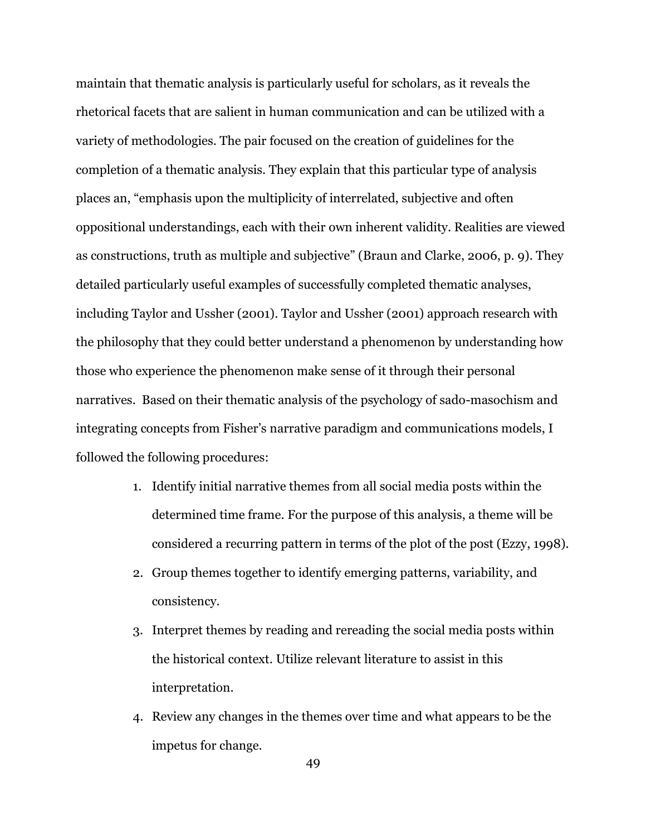maintain that thematic analysis is particularly useful for scholars, as it reveals the rhetorical facets that are salient in human communication and can be utilized with a variety of methodologies. The pair focused on the creation of guidelines for the completion of a thematic analysis. They explain that this particular type of analysis places an, "emphasis upon the multiplicity of interrelated, subjective and often oppositional understandings, each with their own inherent validity. Realities are viewed as constructions, truth as multiple and subjective" (Braun and Clarke, 2006, p. 9). They detailed particularly useful examples of successfully completed thematic analyses, including Taylor and Ussher (2001). Taylor and Ussher (2001) approach research with the philosophy that they could better understand a phenomenon by understanding how those who experience the phenomenon make sense of it through their personal narratives. Based on their thematic analysis of the psychology of sado-masochism and integrating concepts from Fisher's narrative paradigm and communications models, I followed the following procedures:

- 1. Identify initial narrative themes from all social media posts within the determined time frame. For the purpose of this analysis, a theme will be considered a recurring pattern in terms of the plot of the post (Ezzy, 1998).
- 2. Group themes together to identify emerging patterns, variability, and consistency.
- 3. Interpret themes by reading and rereading the social media posts within the historical context. Utilize relevant literature to assist in this interpretation.
- 4. Review any changes in the themes over time and what appears to be the impetus for change.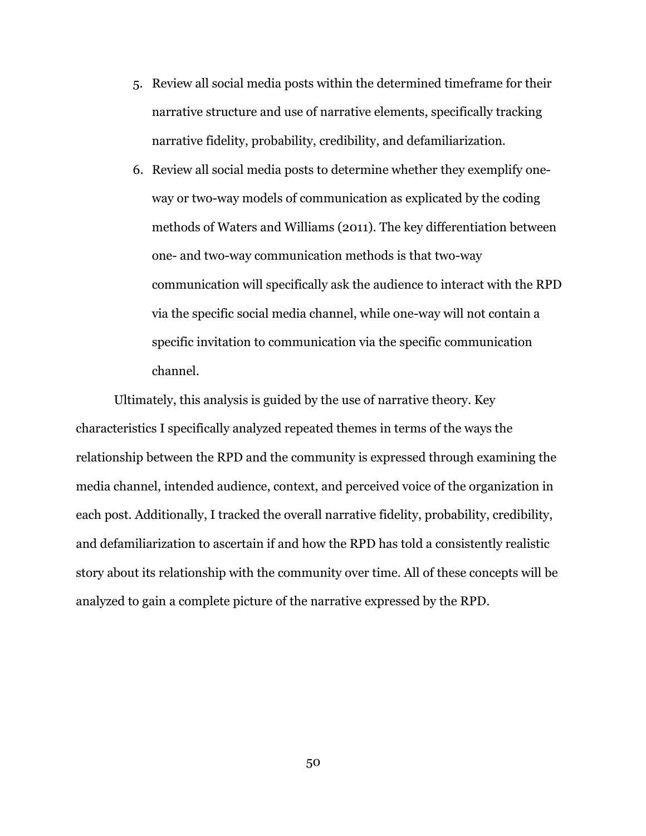- 5. Review all social media posts within the determined timeframe for their narrative structure and use of narrative elements, specifically tracking narrative fidelity, probability, credibility, and defamiliarization.
- 6. Review all social media posts to determine whether they exemplify oneway or two-way models of communication as explicated by the coding methods of Waters and Williams (2011). The key differentiation between one- and two-way communication methods is that two-way communication will specifically ask the audience to interact with the RPD via the specific social media channel, while one-way will not contain a specific invitation to communication via the specific communication channel.

Ultimately, this analysis is guided by the use of narrative theory. Key characteristics I specifically analyzed repeated themes in terms of the ways the relationship between the RPD and the community is expressed through examining the media channel, intended audience, context, and perceived voice of the organization in each post. Additionally, I tracked the overall narrative fidelity, probability, credibility, and defamiliarization to ascertain if and how the RPD has told a consistently realistic story about its relationship with the community over time. All of these concepts will be analyzed to gain a complete picture of the narrative expressed by the RPD.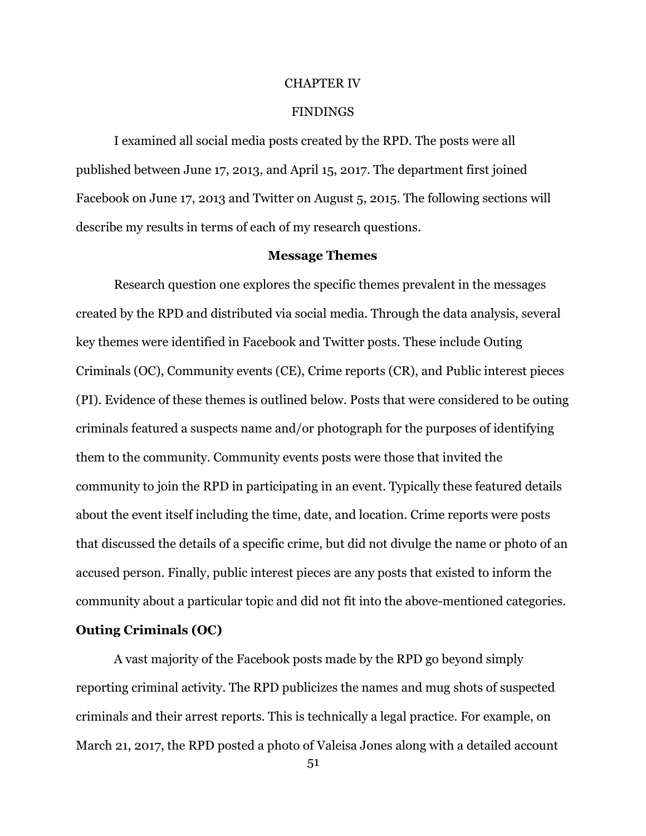#### CHAPTER IV

#### FINDINGS

I examined all social media posts created by the RPD. The posts were all published between June 17, 2013, and April 15, 2017. The department first joined Facebook on June 17, 2013 and Twitter on August 5, 2015. The following sections will describe my results in terms of each of my research questions.

### **Message Themes**

Research question one explores the specific themes prevalent in the messages created by the RPD and distributed via social media. Through the data analysis, several key themes were identified in Facebook and Twitter posts. These include Outing Criminals (OC), Community events (CE), Crime reports (CR), and Public interest pieces (PI). Evidence of these themes is outlined below. Posts that were considered to be outing criminals featured a suspects name and/or photograph for the purposes of identifying them to the community. Community events posts were those that invited the community to join the RPD in participating in an event. Typically these featured details about the event itself including the time, date, and location. Crime reports were posts that discussed the details of a specific crime, but did not divulge the name or photo of an accused person. Finally, public interest pieces are any posts that existed to inform the community about a particular topic and did not fit into the above-mentioned categories.

### **Outing Criminals (OC)**

A vast majority of the Facebook posts made by the RPD go beyond simply reporting criminal activity. The RPD publicizes the names and mug shots of suspected criminals and their arrest reports. This is technically a legal practice. For example, on March 21, 2017, the RPD posted a photo of Valeisa Jones along with a detailed account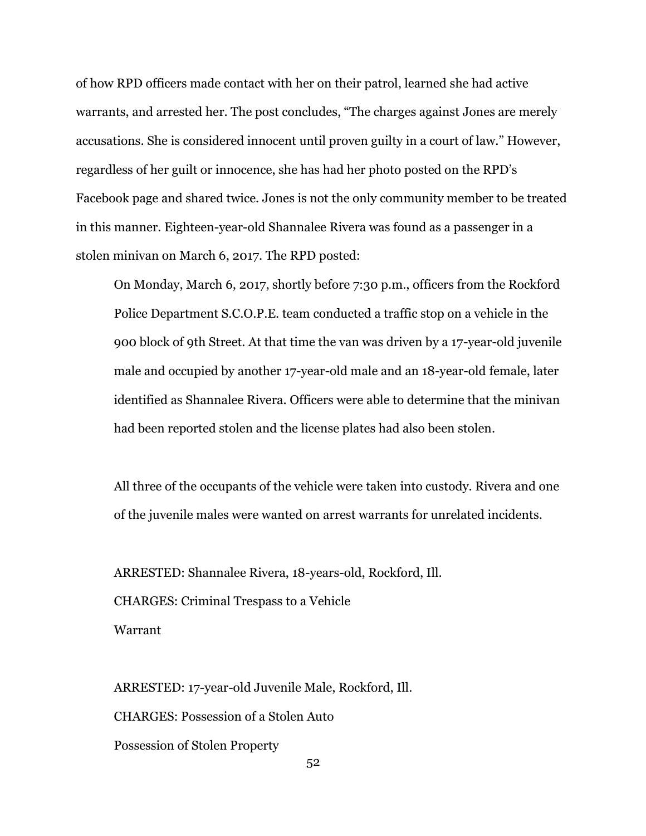of how RPD officers made contact with her on their patrol, learned she had active warrants, and arrested her. The post concludes, "The charges against Jones are merely accusations. She is considered innocent until proven guilty in a court of law." However, regardless of her guilt or innocence, she has had her photo posted on the RPD's Facebook page and shared twice. Jones is not the only community member to be treated in this manner. Eighteen-year-old Shannalee Rivera was found as a passenger in a stolen minivan on March 6, 2017. The RPD posted:

On Monday, March 6, 2017, shortly before 7:30 p.m., officers from the Rockford Police Department S.C.O.P.E. team conducted a traffic stop on a vehicle in the 900 block of 9th Street. At that time the van was driven by a 17-year-old juvenile male and occupied by another 17-year-old male and an 18-year-old female, later identified as Shannalee Rivera. Officers were able to determine that the minivan had been reported stolen and the license plates had also been stolen.

All three of the occupants of the vehicle were taken into custody. Rivera and one of the juvenile males were wanted on arrest warrants for unrelated incidents.

ARRESTED: Shannalee Rivera, 18-years-old, Rockford, Ill. CHARGES: Criminal Trespass to a Vehicle Warrant

ARRESTED: 17-year-old Juvenile Male, Rockford, Ill. CHARGES: Possession of a Stolen Auto Possession of Stolen Property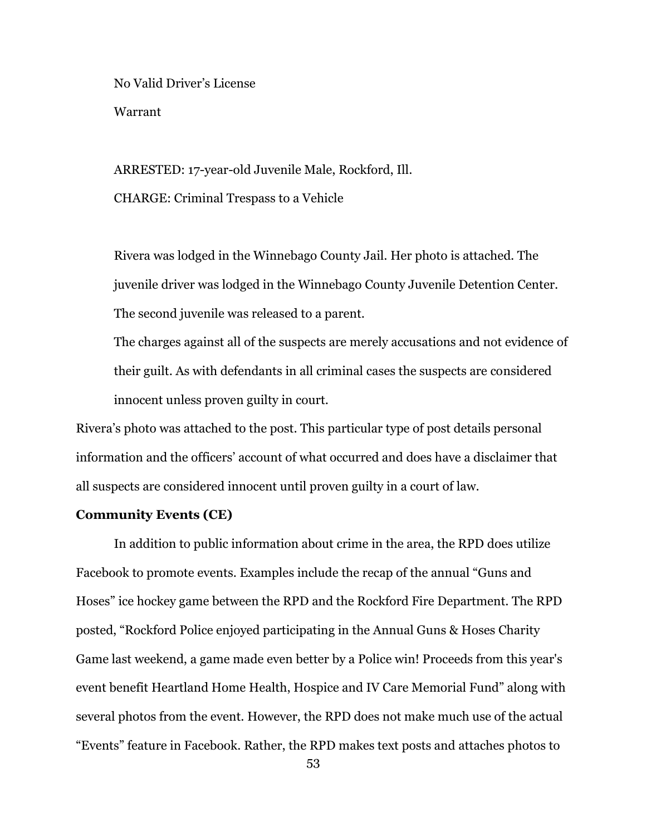No Valid Driver's License Warrant

ARRESTED: 17-year-old Juvenile Male, Rockford, Ill. CHARGE: Criminal Trespass to a Vehicle

Rivera was lodged in the Winnebago County Jail. Her photo is attached. The juvenile driver was lodged in the Winnebago County Juvenile Detention Center. The second juvenile was released to a parent.

The charges against all of the suspects are merely accusations and not evidence of their guilt. As with defendants in all criminal cases the suspects are considered innocent unless proven guilty in court.

Rivera's photo was attached to the post. This particular type of post details personal information and the officers' account of what occurred and does have a disclaimer that all suspects are considered innocent until proven guilty in a court of law.

### **Community Events (CE)**

In addition to public information about crime in the area, the RPD does utilize Facebook to promote events. Examples include the recap of the annual "Guns and Hoses" ice hockey game between the RPD and the Rockford Fire Department. The RPD posted, "Rockford Police enjoyed participating in the Annual Guns & Hoses Charity Game last weekend, a game made even better by a Police win! Proceeds from this year's event benefit Heartland Home Health, Hospice and IV Care Memorial Fund" along with several photos from the event. However, the RPD does not make much use of the actual "Events" feature in Facebook. Rather, the RPD makes text posts and attaches photos to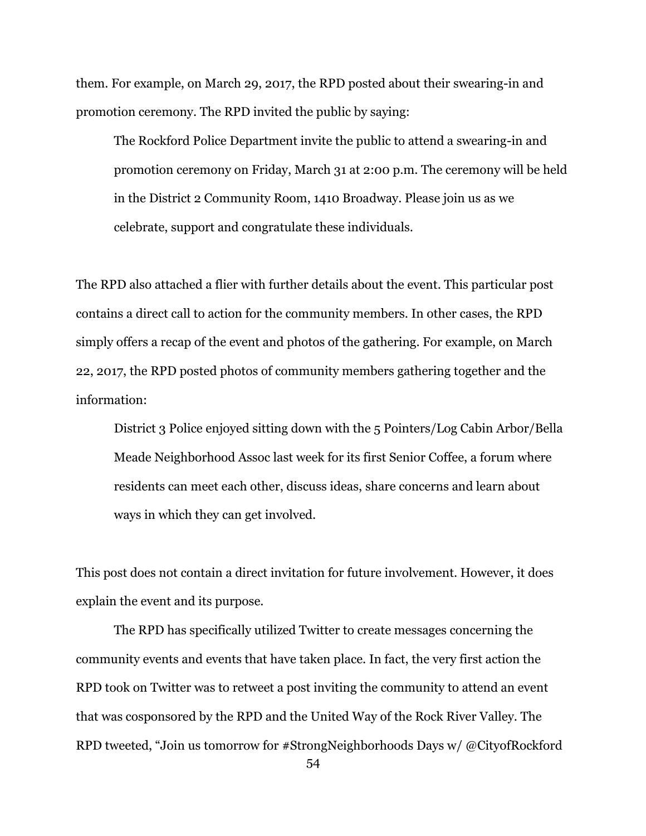them. For example, on March 29, 2017, the RPD posted about their swearing-in and promotion ceremony. The RPD invited the public by saying:

The Rockford Police Department invite the public to attend a swearing-in and promotion ceremony on Friday, March 31 at 2:00 p.m. The ceremony will be held in the District 2 Community Room, 1410 Broadway. Please join us as we celebrate, support and congratulate these individuals.

The RPD also attached a flier with further details about the event. This particular post contains a direct call to action for the community members. In other cases, the RPD simply offers a recap of the event and photos of the gathering. For example, on March 22, 2017, the RPD posted photos of community members gathering together and the information:

District 3 Police enjoyed sitting down with the 5 Pointers/Log Cabin Arbor/Bella Meade Neighborhood Assoc last week for its first Senior Coffee, a forum where residents can meet each other, discuss ideas, share concerns and learn about ways in which they can get involved.

This post does not contain a direct invitation for future involvement. However, it does explain the event and its purpose.

The RPD has specifically utilized Twitter to create messages concerning the community events and events that have taken place. In fact, the very first action the RPD took on Twitter was to retweet a post inviting the community to attend an event that was cosponsored by the RPD and the United Way of the Rock River Valley. The RPD tweeted, "Join us tomorrow for #StrongNeighborhoods Days w/ @CityofRockford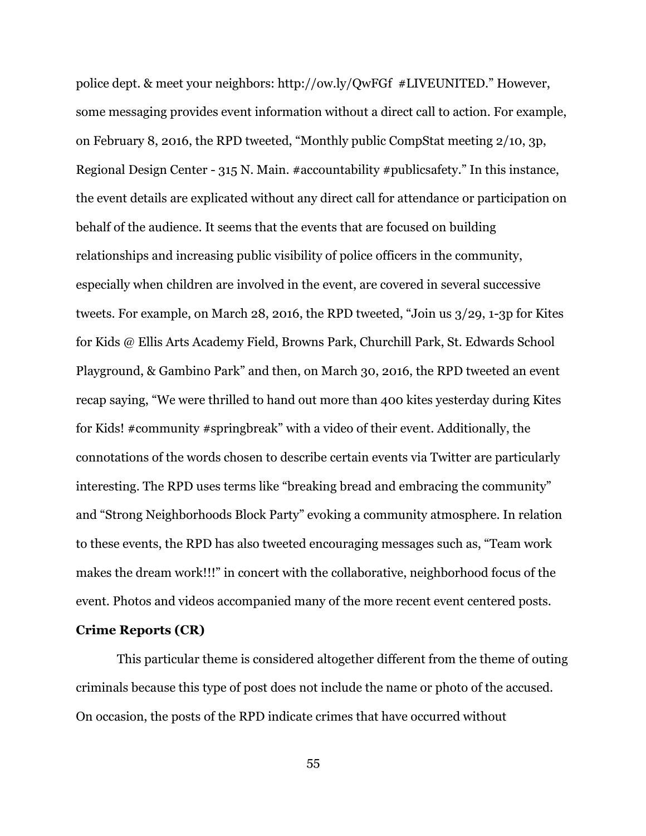police dept. & meet your neighbors: http://ow.ly/QwFGf #LIVEUNITED." However, some messaging provides event information without a direct call to action. For example, on February 8, 2016, the RPD tweeted, "Monthly public CompStat meeting 2/10, 3p, Regional Design Center - 315 N. Main. #accountability #publicsafety." In this instance, the event details are explicated without any direct call for attendance or participation on behalf of the audience. It seems that the events that are focused on building relationships and increasing public visibility of police officers in the community, especially when children are involved in the event, are covered in several successive tweets. For example, on March 28, 2016, the RPD tweeted, "Join us 3/29, 1-3p for Kites for Kids @ Ellis Arts Academy Field, Browns Park, Churchill Park, St. Edwards School Playground, & Gambino Park" and then, on March 30, 2016, the RPD tweeted an event recap saying, "We were thrilled to hand out more than 400 kites yesterday during Kites for Kids! #community #springbreak" with a video of their event. Additionally, the connotations of the words chosen to describe certain events via Twitter are particularly interesting. The RPD uses terms like "breaking bread and embracing the community" and "Strong Neighborhoods Block Party" evoking a community atmosphere. In relation to these events, the RPD has also tweeted encouraging messages such as, "Team work makes the dream work!!!" in concert with the collaborative, neighborhood focus of the event. Photos and videos accompanied many of the more recent event centered posts.

# **Crime Reports (CR)**

This particular theme is considered altogether different from the theme of outing criminals because this type of post does not include the name or photo of the accused. On occasion, the posts of the RPD indicate crimes that have occurred without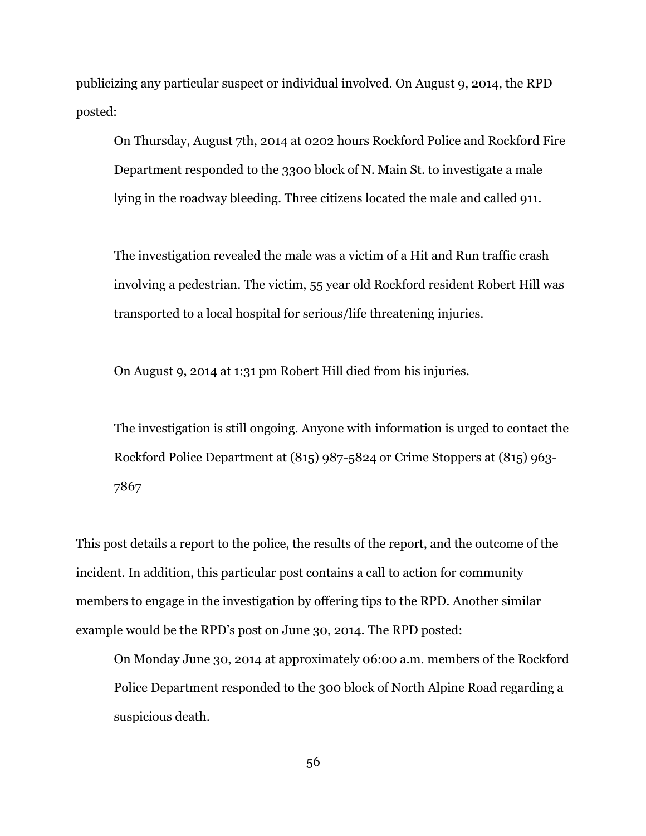publicizing any particular suspect or individual involved. On August 9, 2014, the RPD posted:

On Thursday, August 7th, 2014 at 0202 hours Rockford Police and Rockford Fire Department responded to the 3300 block of N. Main St. to investigate a male lying in the roadway bleeding. Three citizens located the male and called 911.

The investigation revealed the male was a victim of a Hit and Run traffic crash involving a pedestrian. The victim, 55 year old Rockford resident Robert Hill was transported to a local hospital for serious/life threatening injuries.

On August 9, 2014 at 1:31 pm Robert Hill died from his injuries.

The investigation is still ongoing. Anyone with information is urged to contact the Rockford Police Department at (815) 987-5824 or Crime Stoppers at (815) 963- 7867

This post details a report to the police, the results of the report, and the outcome of the incident. In addition, this particular post contains a call to action for community members to engage in the investigation by offering tips to the RPD. Another similar example would be the RPD's post on June 30, 2014. The RPD posted:

On Monday June 30, 2014 at approximately 06:00 a.m. members of the Rockford Police Department responded to the 300 block of North Alpine Road regarding a suspicious death.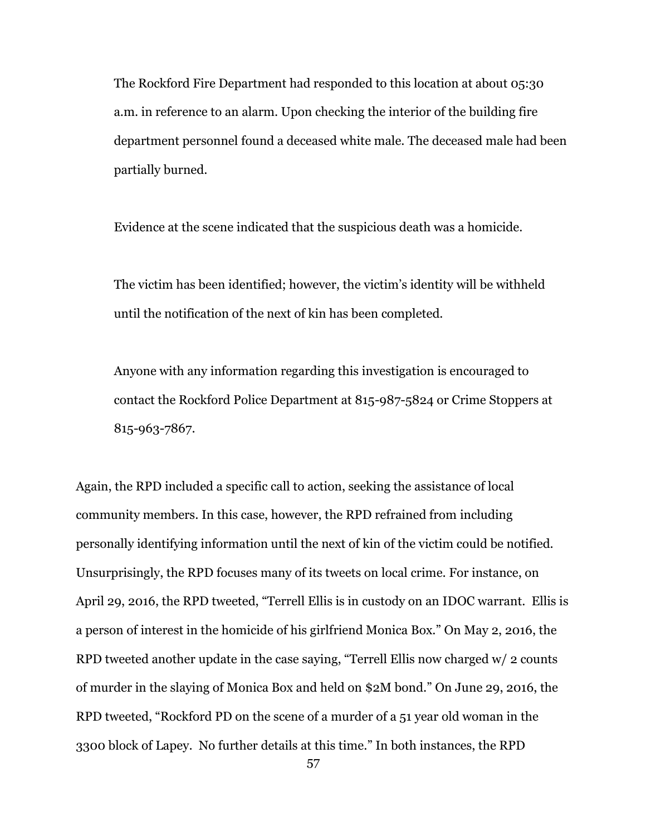The Rockford Fire Department had responded to this location at about 05:30 a.m. in reference to an alarm. Upon checking the interior of the building fire department personnel found a deceased white male. The deceased male had been partially burned.

Evidence at the scene indicated that the suspicious death was a homicide.

The victim has been identified; however, the victim's identity will be withheld until the notification of the next of kin has been completed.

Anyone with any information regarding this investigation is encouraged to contact the Rockford Police Department at 815-987-5824 or Crime Stoppers at 815-963-7867.

Again, the RPD included a specific call to action, seeking the assistance of local community members. In this case, however, the RPD refrained from including personally identifying information until the next of kin of the victim could be notified. Unsurprisingly, the RPD focuses many of its tweets on local crime. For instance, on April 29, 2016, the RPD tweeted, "Terrell Ellis is in custody on an IDOC warrant. Ellis is a person of interest in the homicide of his girlfriend Monica Box." On May 2, 2016, the RPD tweeted another update in the case saying, "Terrell Ellis now charged w/ 2 counts of murder in the slaying of Monica Box and held on \$2M bond." On June 29, 2016, the RPD tweeted, "Rockford PD on the scene of a murder of a 51 year old woman in the 3300 block of Lapey. No further details at this time." In both instances, the RPD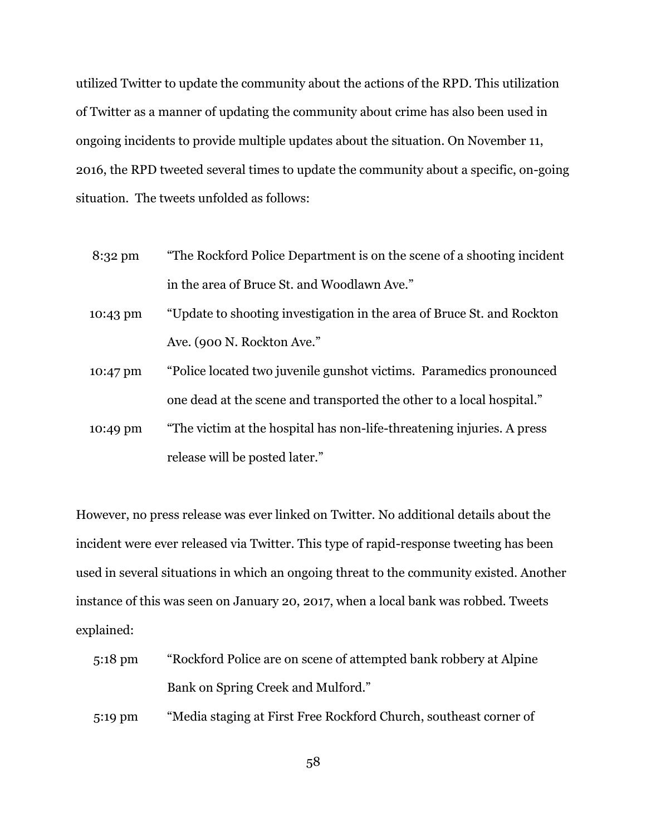utilized Twitter to update the community about the actions of the RPD. This utilization of Twitter as a manner of updating the community about crime has also been used in ongoing incidents to provide multiple updates about the situation. On November 11, 2016, the RPD tweeted several times to update the community about a specific, on-going situation. The tweets unfolded as follows:

- 8:32 pm "The Rockford Police Department is on the scene of a shooting incident in the area of Bruce St. and Woodlawn Ave."
- 10:43 pm "Update to shooting investigation in the area of Bruce St. and Rockton Ave. (900 N. Rockton Ave."
- 10:47 pm "Police located two juvenile gunshot victims. Paramedics pronounced one dead at the scene and transported the other to a local hospital."
- 10:49 pm "The victim at the hospital has non-life-threatening injuries. A press release will be posted later."

However, no press release was ever linked on Twitter. No additional details about the incident were ever released via Twitter. This type of rapid-response tweeting has been used in several situations in which an ongoing threat to the community existed. Another instance of this was seen on January 20, 2017, when a local bank was robbed. Tweets explained:

5:18 pm "Rockford Police are on scene of attempted bank robbery at Alpine Bank on Spring Creek and Mulford."

5:19 pm "Media staging at First Free Rockford Church, southeast corner of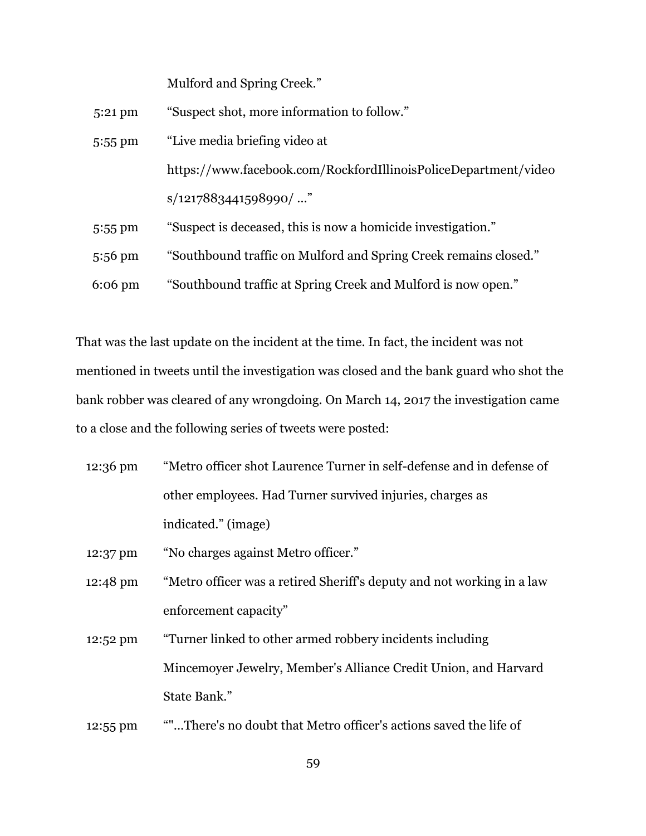Mulford and Spring Creek."

| $5:21$ pm         | "Suspect shot, more information to follow."                      |
|-------------------|------------------------------------------------------------------|
| 5:55 pm           | "Live media briefing video at                                    |
|                   | https://www.facebook.com/RockfordIllinoisPoliceDepartment/video  |
|                   | $s/1217883441598990/$ "                                          |
| $5:55$ pm         | "Suspect is deceased, this is now a homicide investigation."     |
| $5:56 \text{ pm}$ | "Southbound traffic on Mulford and Spring Creek remains closed." |
| $6:06 \text{ pm}$ | "Southbound traffic at Spring Creek and Mulford is now open."    |

That was the last update on the incident at the time. In fact, the incident was not mentioned in tweets until the investigation was closed and the bank guard who shot the bank robber was cleared of any wrongdoing. On March 14, 2017 the investigation came to a close and the following series of tweets were posted:

- 12:36 pm "Metro officer shot Laurence Turner in self-defense and in defense of other employees. Had Turner survived injuries, charges as indicated." (image)
- 12:37 pm "No charges against Metro officer."
- 12:48 pm "Metro officer was a retired Sheriff's deputy and not working in a law enforcement capacity"
- 12:52 pm "Turner linked to other armed robbery incidents including Mincemoyer Jewelry, Member's Alliance Credit Union, and Harvard State Bank."
- 12:55 pm ""...There's no doubt that Metro officer's actions saved the life of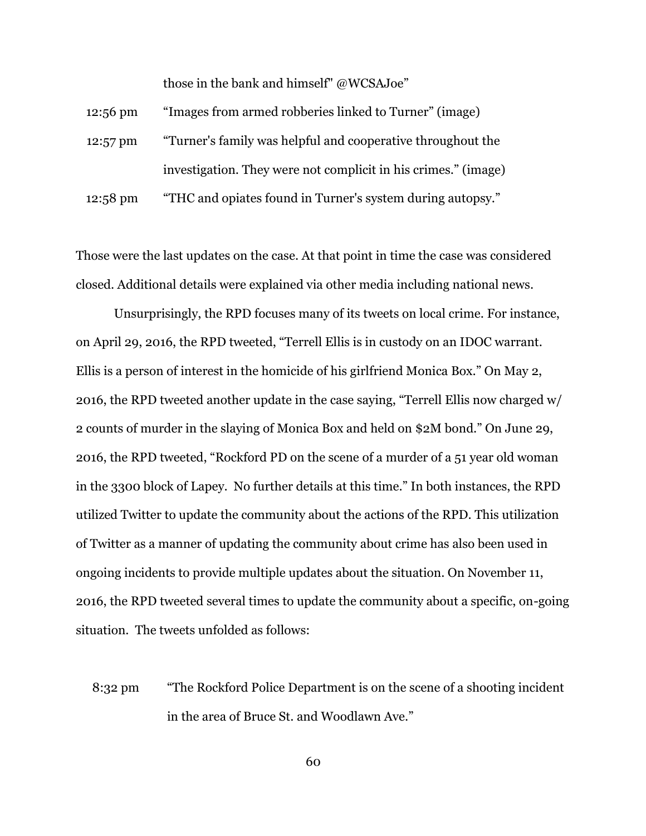those in the bank and himself" @WCSAJoe"

| $12:56 \text{ pm}$ | "Images from armed robberies linked to Turner" (image)         |
|--------------------|----------------------------------------------------------------|
| 12:57 pm           | "Turner's family was helpful and cooperative throughout the    |
|                    | investigation. They were not complicit in his crimes." (image) |
| 12:58 pm           | "THC and opiates found in Turner's system during autopsy."     |

Those were the last updates on the case. At that point in time the case was considered closed. Additional details were explained via other media including national news.

Unsurprisingly, the RPD focuses many of its tweets on local crime. For instance, on April 29, 2016, the RPD tweeted, "Terrell Ellis is in custody on an IDOC warrant. Ellis is a person of interest in the homicide of his girlfriend Monica Box." On May 2, 2016, the RPD tweeted another update in the case saying, "Terrell Ellis now charged w/ 2 counts of murder in the slaying of Monica Box and held on \$2M bond." On June 29, 2016, the RPD tweeted, "Rockford PD on the scene of a murder of a 51 year old woman in the 3300 block of Lapey. No further details at this time." In both instances, the RPD utilized Twitter to update the community about the actions of the RPD. This utilization of Twitter as a manner of updating the community about crime has also been used in ongoing incidents to provide multiple updates about the situation. On November 11, 2016, the RPD tweeted several times to update the community about a specific, on-going situation. The tweets unfolded as follows:

8:32 pm "The Rockford Police Department is on the scene of a shooting incident in the area of Bruce St. and Woodlawn Ave."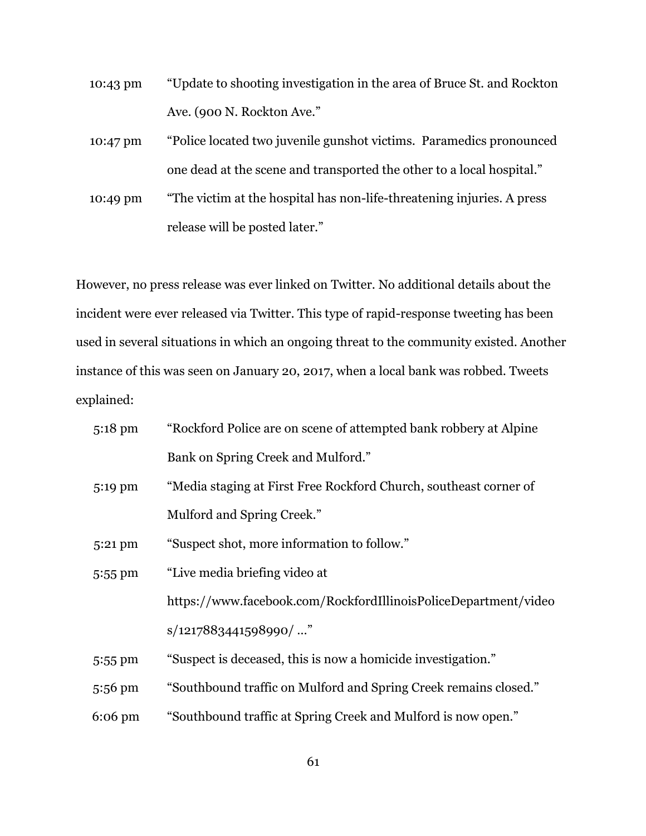- 10:43 pm "Update to shooting investigation in the area of Bruce St. and Rockton Ave. (900 N. Rockton Ave."
- 10:47 pm "Police located two juvenile gunshot victims. Paramedics pronounced one dead at the scene and transported the other to a local hospital."
- 10:49 pm "The victim at the hospital has non-life-threatening injuries. A press release will be posted later."

However, no press release was ever linked on Twitter. No additional details about the incident were ever released via Twitter. This type of rapid-response tweeting has been used in several situations in which an ongoing threat to the community existed. Another instance of this was seen on January 20, 2017, when a local bank was robbed. Tweets explained:

| $5:18$ pm | "Rockford Police are on scene of attempted bank robbery at Alpine |
|-----------|-------------------------------------------------------------------|
|           | Bank on Spring Creek and Mulford."                                |
| 5:19 pm   | "Media staging at First Free Rockford Church, southeast corner of |
|           | Mulford and Spring Creek."                                        |
| 5:21 pm   | "Suspect shot, more information to follow."                       |
| 5:55 pm   | "Live media briefing video at                                     |
|           | https://www.facebook.com/RockfordIllinoisPoliceDepartment/video   |
|           | $s/1217883441598990/$ "                                           |
| 5:55 pm   | "Suspect is deceased, this is now a homicide investigation."      |
| 5:56 pm   | "Southbound traffic on Mulford and Spring Creek remains closed."  |
| $6:06$ pm | "Southbound traffic at Spring Creek and Mulford is now open."     |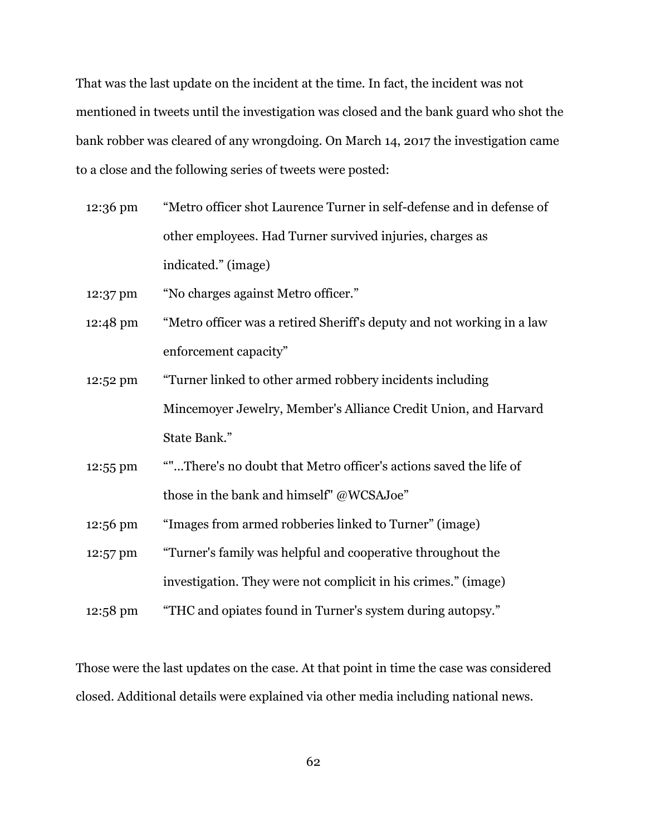That was the last update on the incident at the time. In fact, the incident was not mentioned in tweets until the investigation was closed and the bank guard who shot the bank robber was cleared of any wrongdoing. On March 14, 2017 the investigation came to a close and the following series of tweets were posted:

- 12:36 pm "Metro officer shot Laurence Turner in self-defense and in defense of other employees. Had Turner survived injuries, charges as indicated." (image)
- 12:37 pm "No charges against Metro officer."
- 12:48 pm "Metro officer was a retired Sheriff's deputy and not working in a law enforcement capacity"
- 12:52 pm "Turner linked to other armed robbery incidents including Mincemoyer Jewelry, Member's Alliance Credit Union, and Harvard State Bank."
- 12:55 pm ""...There's no doubt that Metro officer's actions saved the life of those in the bank and himself" @WCSAJoe"
- 12:56 pm "Images from armed robberies linked to Turner" (image)
- 12:57 pm "Turner's family was helpful and cooperative throughout the investigation. They were not complicit in his crimes." (image)
- 12:58 pm "THC and opiates found in Turner's system during autopsy."

Those were the last updates on the case. At that point in time the case was considered closed. Additional details were explained via other media including national news.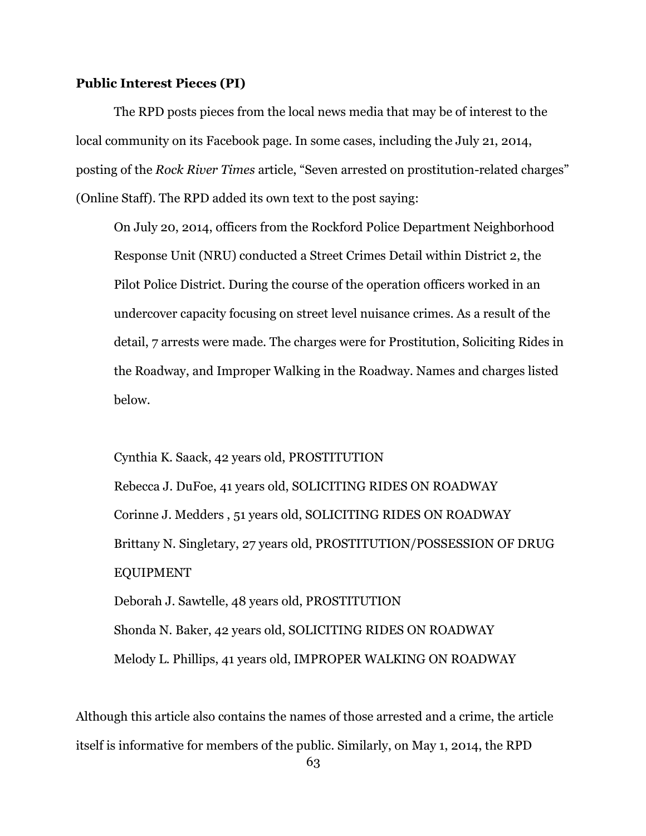## **Public Interest Pieces (PI)**

The RPD posts pieces from the local news media that may be of interest to the local community on its Facebook page. In some cases, including the July 21, 2014, posting of the *Rock River Times* article, "Seven arrested on prostitution-related charges" (Online Staff). The RPD added its own text to the post saying:

On July 20, 2014, officers from the Rockford Police Department Neighborhood Response Unit (NRU) conducted a Street Crimes Detail within District 2, the Pilot Police District. During the course of the operation officers worked in an undercover capacity focusing on street level nuisance crimes. As a result of the detail, 7 arrests were made. The charges were for Prostitution, Soliciting Rides in the Roadway, and Improper Walking in the Roadway. Names and charges listed below.

Cynthia K. Saack, 42 years old, PROSTITUTION

Rebecca J. DuFoe, 41 years old, SOLICITING RIDES ON ROADWAY Corinne J. Medders , 51 years old, SOLICITING RIDES ON ROADWAY Brittany N. Singletary, 27 years old, PROSTITUTION/POSSESSION OF DRUG EQUIPMENT Deborah J. Sawtelle, 48 years old, PROSTITUTION

Shonda N. Baker, 42 years old, SOLICITING RIDES ON ROADWAY Melody L. Phillips, 41 years old, IMPROPER WALKING ON ROADWAY

Although this article also contains the names of those arrested and a crime, the article itself is informative for members of the public. Similarly, on May 1, 2014, the RPD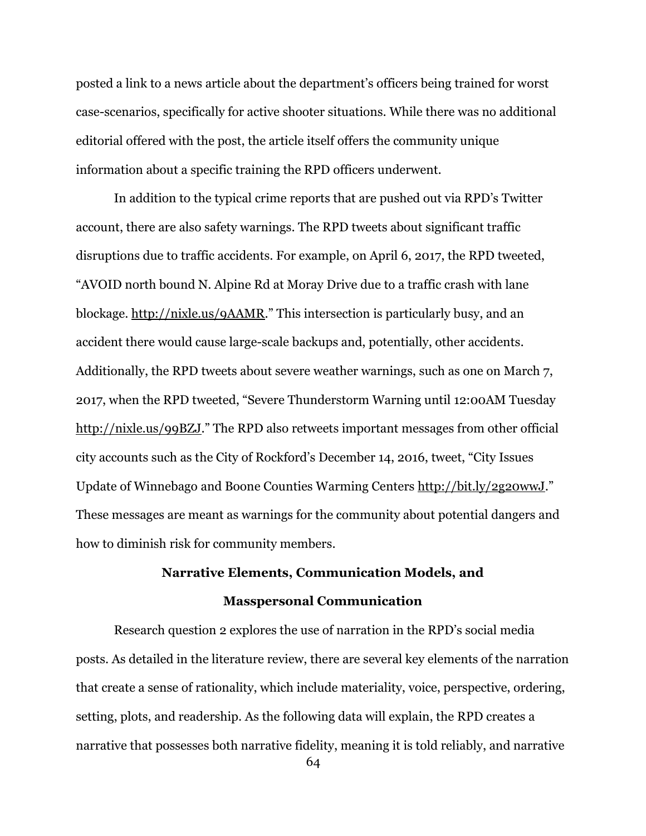posted a link to a news article about the department's officers being trained for worst case-scenarios, specifically for active shooter situations. While there was no additional editorial offered with the post, the article itself offers the community unique information about a specific training the RPD officers underwent.

In addition to the typical crime reports that are pushed out via RPD's Twitter account, there are also safety warnings. The RPD tweets about significant traffic disruptions due to traffic accidents. For example, on April 6, 2017, the RPD tweeted, "AVOID north bound N. Alpine Rd at Moray Drive due to a traffic crash with lane blockage.<http://nixle.us/9AAMR>." This intersection is particularly busy, and an accident there would cause large-scale backups and, potentially, other accidents. Additionally, the RPD tweets about severe weather warnings, such as one on March 7, 2017, when the RPD tweeted, "Severe Thunderstorm Warning until 12:00AM Tuesday <http://nixle.us/99BZJ>." The RPD also retweets important messages from other official city accounts such as the City of Rockford's December 14, 2016, tweet, "City Issues Update of Winnebago and Boone Counties Warming Centers<http://bit.ly/2g20wwJ>." These messages are meant as warnings for the community about potential dangers and how to diminish risk for community members.

# **Narrative Elements, Communication Models, and Masspersonal Communication**

Research question 2 explores the use of narration in the RPD's social media posts. As detailed in the literature review, there are several key elements of the narration that create a sense of rationality, which include materiality, voice, perspective, ordering, setting, plots, and readership. As the following data will explain, the RPD creates a narrative that possesses both narrative fidelity, meaning it is told reliably, and narrative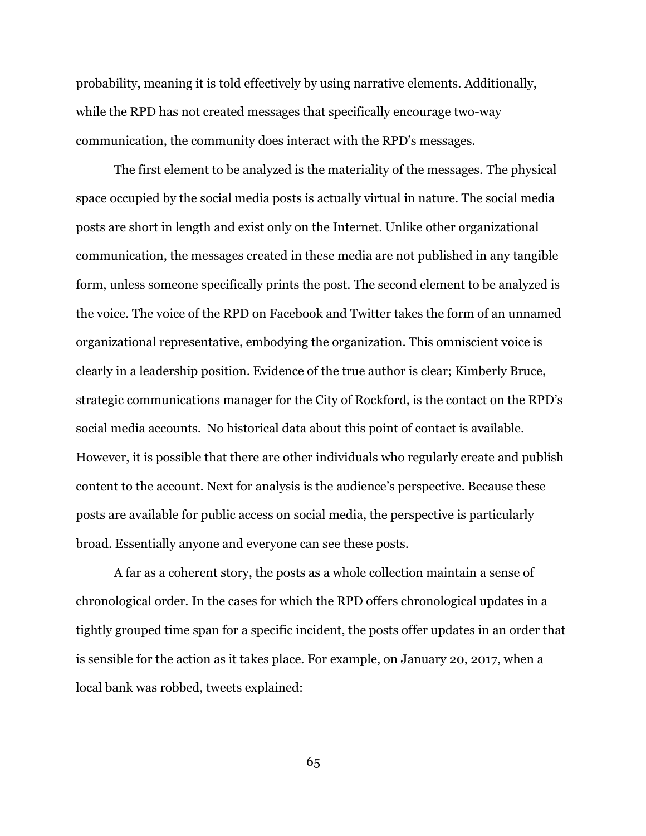probability, meaning it is told effectively by using narrative elements. Additionally, while the RPD has not created messages that specifically encourage two-way communication, the community does interact with the RPD's messages.

The first element to be analyzed is the materiality of the messages. The physical space occupied by the social media posts is actually virtual in nature. The social media posts are short in length and exist only on the Internet. Unlike other organizational communication, the messages created in these media are not published in any tangible form, unless someone specifically prints the post. The second element to be analyzed is the voice. The voice of the RPD on Facebook and Twitter takes the form of an unnamed organizational representative, embodying the organization. This omniscient voice is clearly in a leadership position. Evidence of the true author is clear; Kimberly Bruce, strategic communications manager for the City of Rockford, is the contact on the RPD's social media accounts. No historical data about this point of contact is available. However, it is possible that there are other individuals who regularly create and publish content to the account. Next for analysis is the audience's perspective. Because these posts are available for public access on social media, the perspective is particularly broad. Essentially anyone and everyone can see these posts.

A far as a coherent story, the posts as a whole collection maintain a sense of chronological order. In the cases for which the RPD offers chronological updates in a tightly grouped time span for a specific incident, the posts offer updates in an order that is sensible for the action as it takes place. For example, on January 20, 2017, when a local bank was robbed, tweets explained: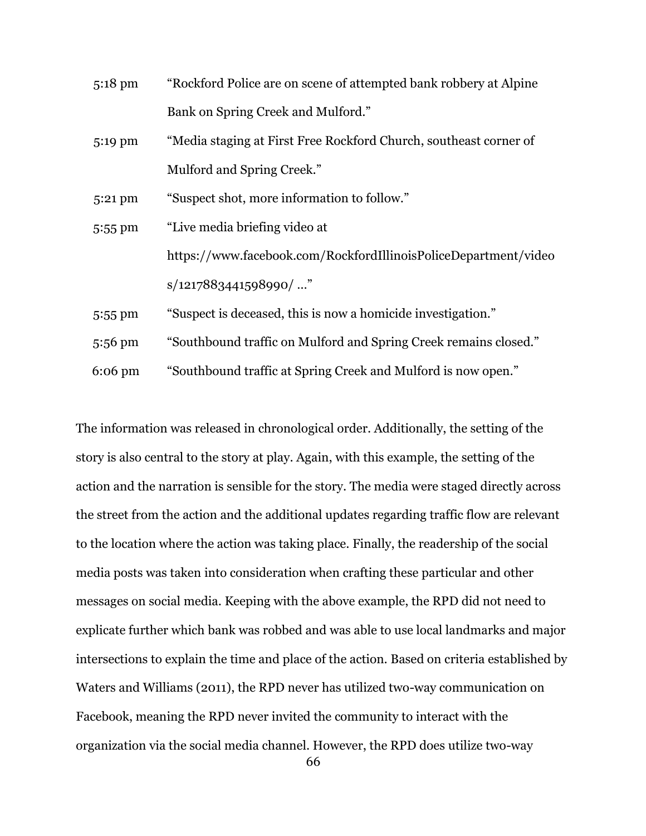| $5:18 \text{ pm}$ | "Rockford Police are on scene of attempted bank robbery at Alpine |
|-------------------|-------------------------------------------------------------------|
|                   | Bank on Spring Creek and Mulford."                                |
| 5:19 pm           | "Media staging at First Free Rockford Church, southeast corner of |
|                   | Mulford and Spring Creek."                                        |
| $5:21 \text{ pm}$ | "Suspect shot, more information to follow."                       |
| $5:55$ pm         | "Live media briefing video at                                     |
|                   | https://www.facebook.com/RockfordIllinoisPoliceDepartment/video   |
|                   | $s/1217883441598990/$ "                                           |
| 5:55 pm           | "Suspect is deceased, this is now a homicide investigation."      |
| 5:56 pm           | "Southbound traffic on Mulford and Spring Creek remains closed."  |

6:06 pm "Southbound traffic at Spring Creek and Mulford is now open."

The information was released in chronological order. Additionally, the setting of the story is also central to the story at play. Again, with this example, the setting of the action and the narration is sensible for the story. The media were staged directly across the street from the action and the additional updates regarding traffic flow are relevant to the location where the action was taking place. Finally, the readership of the social media posts was taken into consideration when crafting these particular and other messages on social media. Keeping with the above example, the RPD did not need to explicate further which bank was robbed and was able to use local landmarks and major intersections to explain the time and place of the action. Based on criteria established by Waters and Williams (2011), the RPD never has utilized two-way communication on Facebook, meaning the RPD never invited the community to interact with the organization via the social media channel. However, the RPD does utilize two-way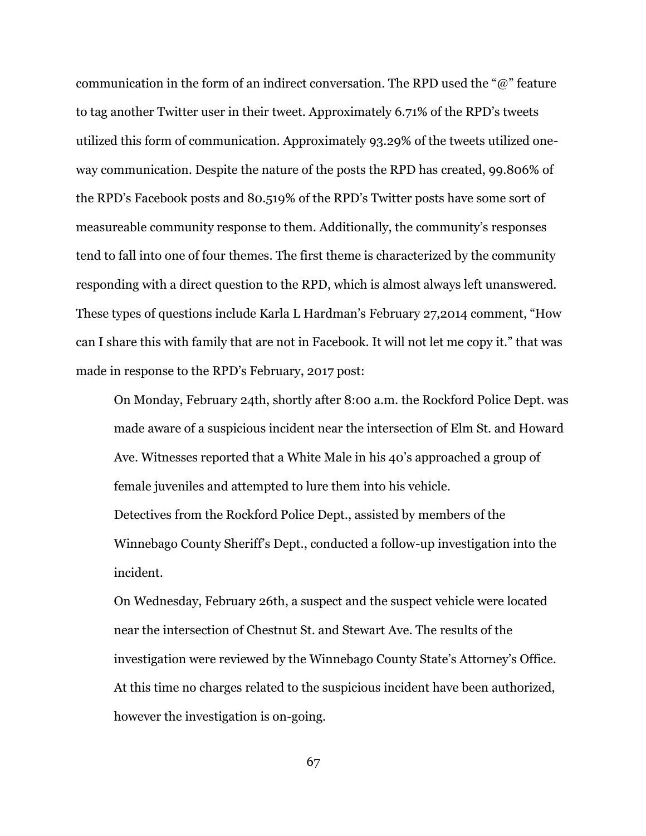communication in the form of an indirect conversation. The RPD used the "@" feature to tag another Twitter user in their tweet. Approximately 6.71% of the RPD's tweets utilized this form of communication. Approximately 93.29% of the tweets utilized oneway communication. Despite the nature of the posts the RPD has created, 99.806% of the RPD's Facebook posts and 80.519% of the RPD's Twitter posts have some sort of measureable community response to them. Additionally, the community's responses tend to fall into one of four themes. The first theme is characterized by the community responding with a direct question to the RPD, which is almost always left unanswered. These types of questions include Karla L Hardman's February 27,2014 comment, "How can I share this with family that are not in Facebook. It will not let me copy it." that was made in response to the RPD's February, 2017 post:

On Monday, February 24th, shortly after 8:00 a.m. the Rockford Police Dept. was made aware of a suspicious incident near the intersection of Elm St. and Howard Ave. Witnesses reported that a White Male in his 40's approached a group of female juveniles and attempted to lure them into his vehicle. Detectives from the Rockford Police Dept., assisted by members of the Winnebago County Sheriff's Dept., conducted a follow-up investigation into the incident.

On Wednesday, February 26th, a suspect and the suspect vehicle were located near the intersection of Chestnut St. and Stewart Ave. The results of the investigation were reviewed by the Winnebago County State's Attorney's Office. At this time no charges related to the suspicious incident have been authorized, however the investigation is on-going.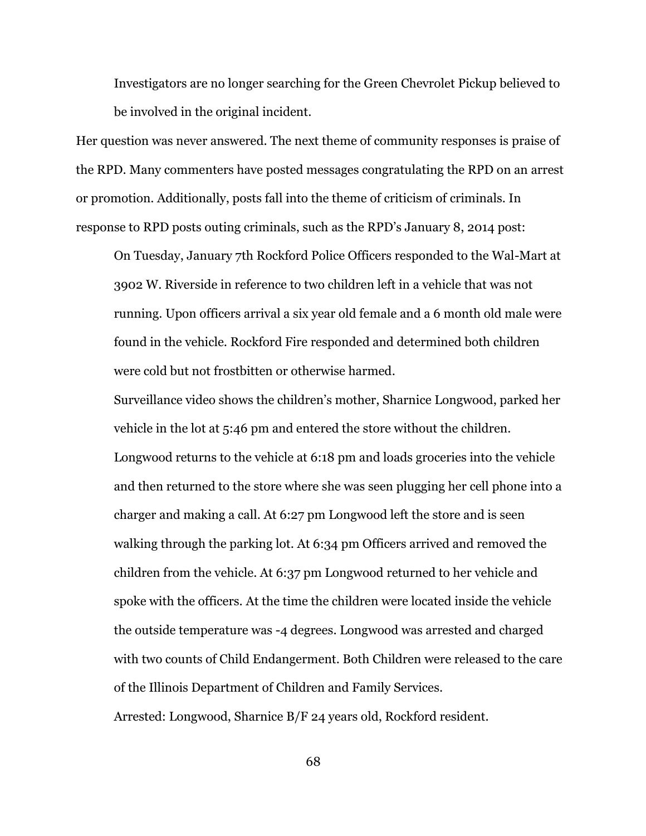Investigators are no longer searching for the Green Chevrolet Pickup believed to be involved in the original incident.

Her question was never answered. The next theme of community responses is praise of the RPD. Many commenters have posted messages congratulating the RPD on an arrest or promotion. Additionally, posts fall into the theme of criticism of criminals. In response to RPD posts outing criminals, such as the RPD's January 8, 2014 post:

On Tuesday, January 7th Rockford Police Officers responded to the Wal-Mart at 3902 W. Riverside in reference to two children left in a vehicle that was not running. Upon officers arrival a six year old female and a 6 month old male were found in the vehicle. Rockford Fire responded and determined both children were cold but not frostbitten or otherwise harmed.

Surveillance video shows the children's mother, Sharnice Longwood, parked her vehicle in the lot at 5:46 pm and entered the store without the children. Longwood returns to the vehicle at 6:18 pm and loads groceries into the vehicle and then returned to the store where she was seen plugging her cell phone into a charger and making a call. At 6:27 pm Longwood left the store and is seen walking through the parking lot. At 6:34 pm Officers arrived and removed the children from the vehicle. At 6:37 pm Longwood returned to her vehicle and spoke with the officers. At the time the children were located inside the vehicle the outside temperature was -4 degrees. Longwood was arrested and charged with two counts of Child Endangerment. Both Children were released to the care of the Illinois Department of Children and Family Services.

Arrested: Longwood, Sharnice B/F 24 years old, Rockford resident.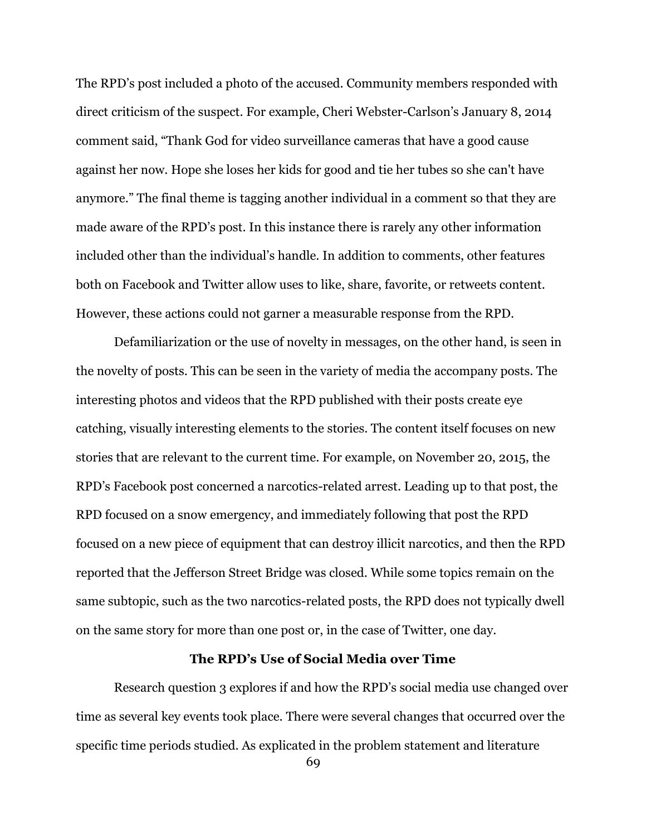The RPD's post included a photo of the accused. Community members responded with direct criticism of the suspect. For example, Cheri Webster-Carlson's January 8, 2014 comment said, "Thank God for video surveillance cameras that have a good cause against her now. Hope she loses her kids for good and tie her tubes so she can't have anymore." The final theme is tagging another individual in a comment so that they are made aware of the RPD's post. In this instance there is rarely any other information included other than the individual's handle. In addition to comments, other features both on Facebook and Twitter allow uses to like, share, favorite, or retweets content. However, these actions could not garner a measurable response from the RPD.

Defamiliarization or the use of novelty in messages, on the other hand, is seen in the novelty of posts. This can be seen in the variety of media the accompany posts. The interesting photos and videos that the RPD published with their posts create eye catching, visually interesting elements to the stories. The content itself focuses on new stories that are relevant to the current time. For example, on November 20, 2015, the RPD's Facebook post concerned a narcotics-related arrest. Leading up to that post, the RPD focused on a snow emergency, and immediately following that post the RPD focused on a new piece of equipment that can destroy illicit narcotics, and then the RPD reported that the Jefferson Street Bridge was closed. While some topics remain on the same subtopic, such as the two narcotics-related posts, the RPD does not typically dwell on the same story for more than one post or, in the case of Twitter, one day.

## **The RPD's Use of Social Media over Time**

Research question 3 explores if and how the RPD's social media use changed over time as several key events took place. There were several changes that occurred over the specific time periods studied. As explicated in the problem statement and literature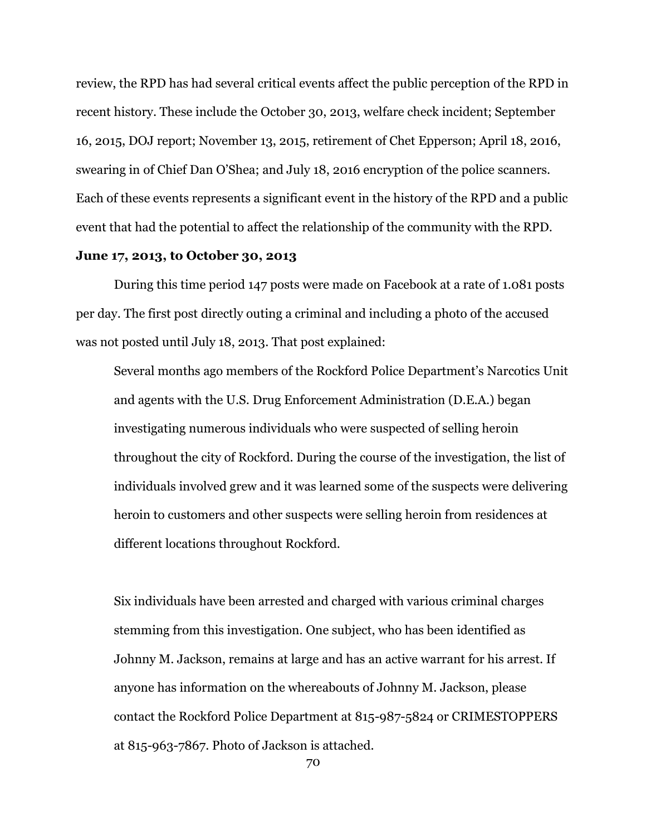review, the RPD has had several critical events affect the public perception of the RPD in recent history. These include the October 30, 2013, welfare check incident; September 16, 2015, DOJ report; November 13, 2015, retirement of Chet Epperson; April 18, 2016, swearing in of Chief Dan O'Shea; and July 18, 2016 encryption of the police scanners. Each of these events represents a significant event in the history of the RPD and a public event that had the potential to affect the relationship of the community with the RPD.

## **June 17, 2013, to October 30, 2013**

During this time period 147 posts were made on Facebook at a rate of 1.081 posts per day. The first post directly outing a criminal and including a photo of the accused was not posted until July 18, 2013. That post explained:

Several months ago members of the Rockford Police Department's Narcotics Unit and agents with the U.S. Drug Enforcement Administration (D.E.A.) began investigating numerous individuals who were suspected of selling heroin throughout the city of Rockford. During the course of the investigation, the list of individuals involved grew and it was learned some of the suspects were delivering heroin to customers and other suspects were selling heroin from residences at different locations throughout Rockford.

Six individuals have been arrested and charged with various criminal charges stemming from this investigation. One subject, who has been identified as Johnny M. Jackson, remains at large and has an active warrant for his arrest. If anyone has information on the whereabouts of Johnny M. Jackson, please contact the Rockford Police Department at 815-987-5824 or CRIMESTOPPERS at 815-963-7867. Photo of Jackson is attached.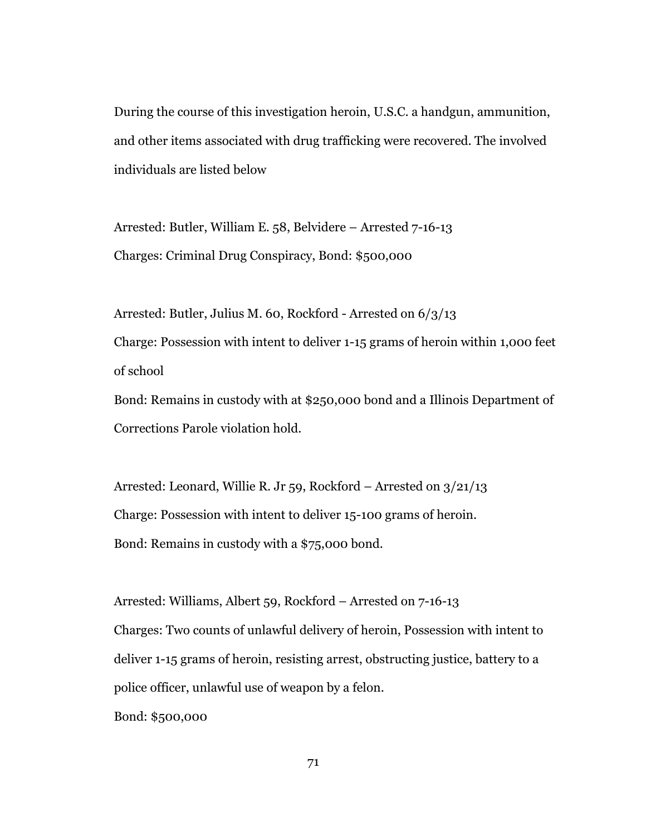During the course of this investigation heroin, U.S.C. a handgun, ammunition, and other items associated with drug trafficking were recovered. The involved individuals are listed below

Arrested: Butler, William E. 58, Belvidere – Arrested 7-16-13 Charges: Criminal Drug Conspiracy, Bond: \$500,000

Arrested: Butler, Julius M. 60, Rockford - Arrested on 6/3/13 Charge: Possession with intent to deliver 1-15 grams of heroin within 1,000 feet of school

Bond: Remains in custody with at \$250,000 bond and a Illinois Department of Corrections Parole violation hold.

Arrested: Leonard, Willie R. Jr 59, Rockford – Arrested on 3/21/13 Charge: Possession with intent to deliver 15-100 grams of heroin. Bond: Remains in custody with a \$75,000 bond.

Arrested: Williams, Albert 59, Rockford – Arrested on 7-16-13 Charges: Two counts of unlawful delivery of heroin, Possession with intent to deliver 1-15 grams of heroin, resisting arrest, obstructing justice, battery to a police officer, unlawful use of weapon by a felon.

Bond: \$500,000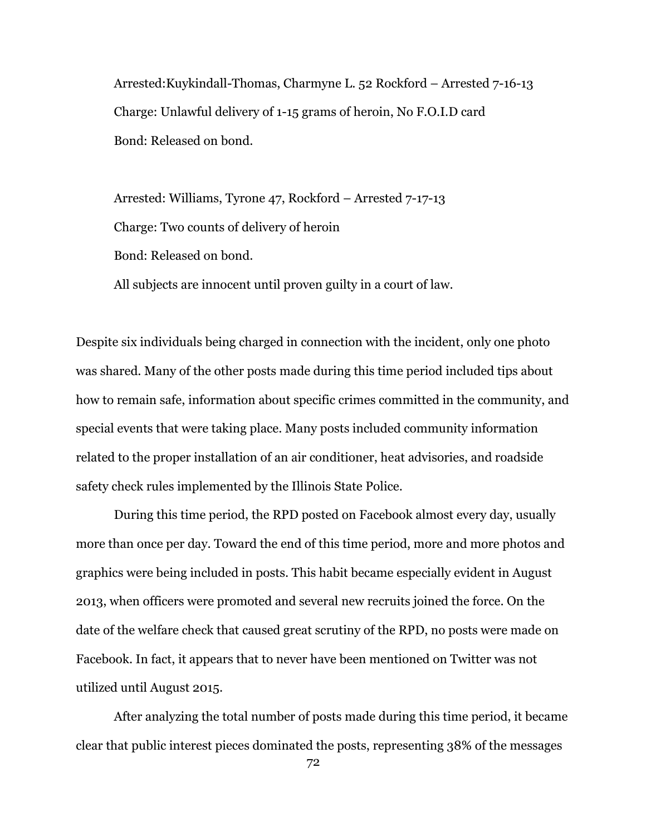Arrested:Kuykindall-Thomas, Charmyne L. 52 Rockford – Arrested 7-16-13 Charge: Unlawful delivery of 1-15 grams of heroin, No F.O.I.D card Bond: Released on bond.

Arrested: Williams, Tyrone 47, Rockford – Arrested 7-17-13 Charge: Two counts of delivery of heroin Bond: Released on bond. All subjects are innocent until proven guilty in a court of law.

Despite six individuals being charged in connection with the incident, only one photo was shared. Many of the other posts made during this time period included tips about how to remain safe, information about specific crimes committed in the community, and special events that were taking place. Many posts included community information related to the proper installation of an air conditioner, heat advisories, and roadside safety check rules implemented by the Illinois State Police.

During this time period, the RPD posted on Facebook almost every day, usually more than once per day. Toward the end of this time period, more and more photos and graphics were being included in posts. This habit became especially evident in August 2013, when officers were promoted and several new recruits joined the force. On the date of the welfare check that caused great scrutiny of the RPD, no posts were made on Facebook. In fact, it appears that to never have been mentioned on Twitter was not utilized until August 2015.

After analyzing the total number of posts made during this time period, it became clear that public interest pieces dominated the posts, representing 38% of the messages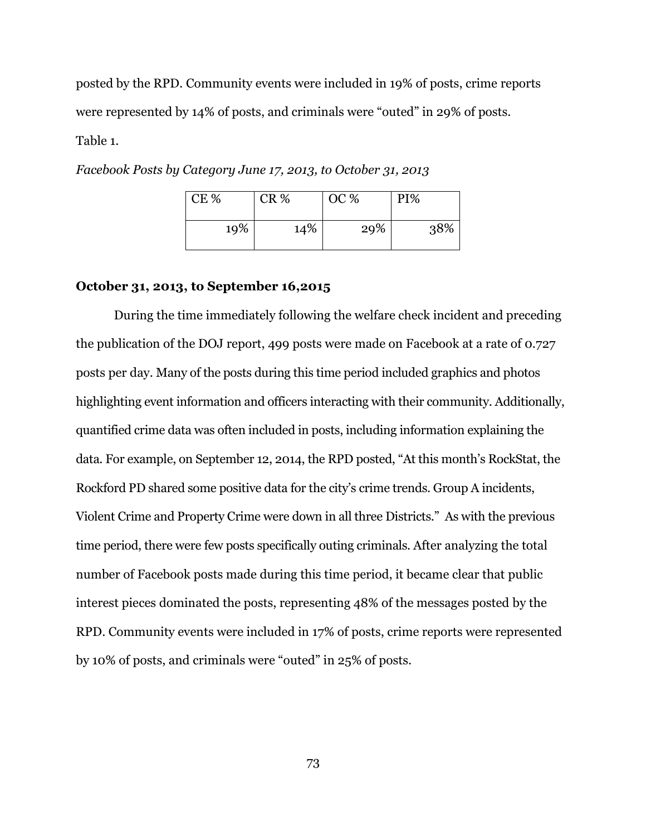posted by the RPD. Community events were included in 19% of posts, crime reports were represented by 14% of posts, and criminals were "outed" in 29% of posts. Table 1.

| CE % | CR % | OC % | PI% |
|------|------|------|-----|
| 19%  | 14%  | 29%  | 38% |

*Facebook Posts by Category June 17, 2013, to October 31, 2013*

## **October 31, 2013, to September 16,2015**

During the time immediately following the welfare check incident and preceding the publication of the DOJ report, 499 posts were made on Facebook at a rate of 0.727 posts per day. Many of the posts during this time period included graphics and photos highlighting event information and officers interacting with their community. Additionally, quantified crime data was often included in posts, including information explaining the data. For example, on September 12, 2014, the RPD posted, "At this month's RockStat, the Rockford PD shared some positive data for the city's crime trends. Group A incidents, Violent Crime and Property Crime were down in all three Districts." As with the previous time period, there were few posts specifically outing criminals. After analyzing the total number of Facebook posts made during this time period, it became clear that public interest pieces dominated the posts, representing 48% of the messages posted by the RPD. Community events were included in 17% of posts, crime reports were represented by 10% of posts, and criminals were "outed" in 25% of posts.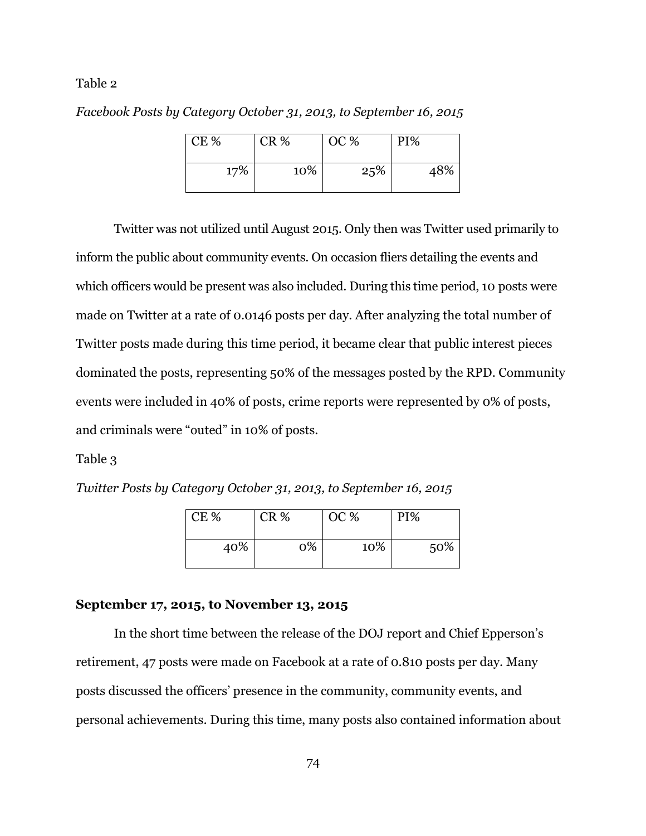## Table 2

*Facebook Posts by Category October 31, 2013, to September 16, 2015*

| CE % | CR % | OC % | PI% |
|------|------|------|-----|
| 17%  | 10%  | 25%  | 48% |

Twitter was not utilized until August 2015. Only then was Twitter used primarily to inform the public about community events. On occasion fliers detailing the events and which officers would be present was also included. During this time period, 10 posts were made on Twitter at a rate of 0.0146 posts per day. After analyzing the total number of Twitter posts made during this time period, it became clear that public interest pieces dominated the posts, representing 50% of the messages posted by the RPD. Community events were included in 40% of posts, crime reports were represented by 0% of posts, and criminals were "outed" in 10% of posts.

## Table 3

*Twitter Posts by Category October 31, 2013, to September 16, 2015*

| CE% | CR % | OC % | PI% |
|-----|------|------|-----|
| 40% | 0%   | 10%  | 50% |

## **September 17, 2015, to November 13, 2015**

In the short time between the release of the DOJ report and Chief Epperson's retirement, 47 posts were made on Facebook at a rate of 0.810 posts per day. Many posts discussed the officers' presence in the community, community events, and personal achievements. During this time, many posts also contained information about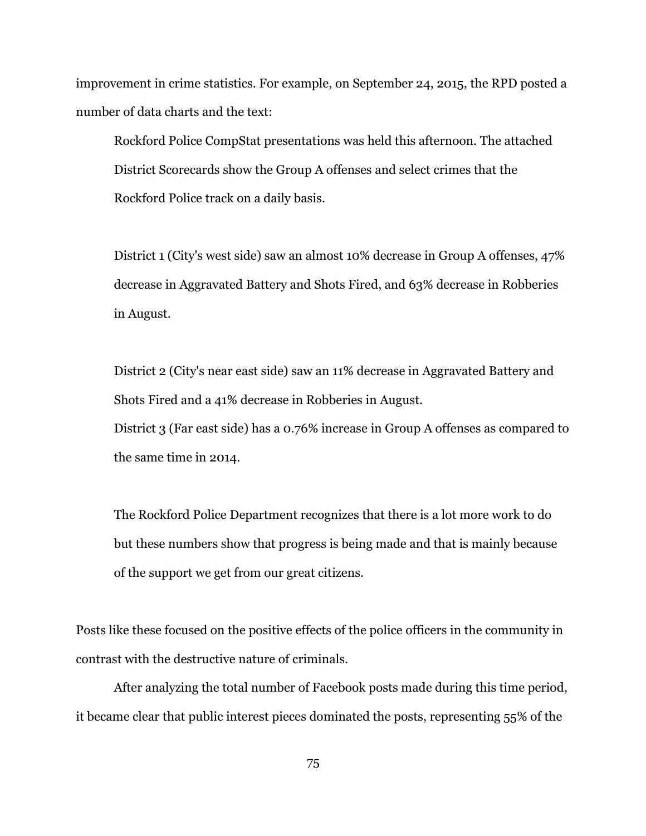improvement in crime statistics. For example, on September 24, 2015, the RPD posted a number of data charts and the text:

Rockford Police CompStat presentations was held this afternoon. The attached District Scorecards show the Group A offenses and select crimes that the Rockford Police track on a daily basis.

District 1 (City's west side) saw an almost 10% decrease in Group A offenses, 47% decrease in Aggravated Battery and Shots Fired, and 63% decrease in Robberies in August.

District 2 (City's near east side) saw an 11% decrease in Aggravated Battery and Shots Fired and a 41% decrease in Robberies in August. District 3 (Far east side) has a 0.76% increase in Group A offenses as compared to the same time in 2014.

The Rockford Police Department recognizes that there is a lot more work to do but these numbers show that progress is being made and that is mainly because of the support we get from our great citizens.

Posts like these focused on the positive effects of the police officers in the community in contrast with the destructive nature of criminals.

After analyzing the total number of Facebook posts made during this time period, it became clear that public interest pieces dominated the posts, representing 55% of the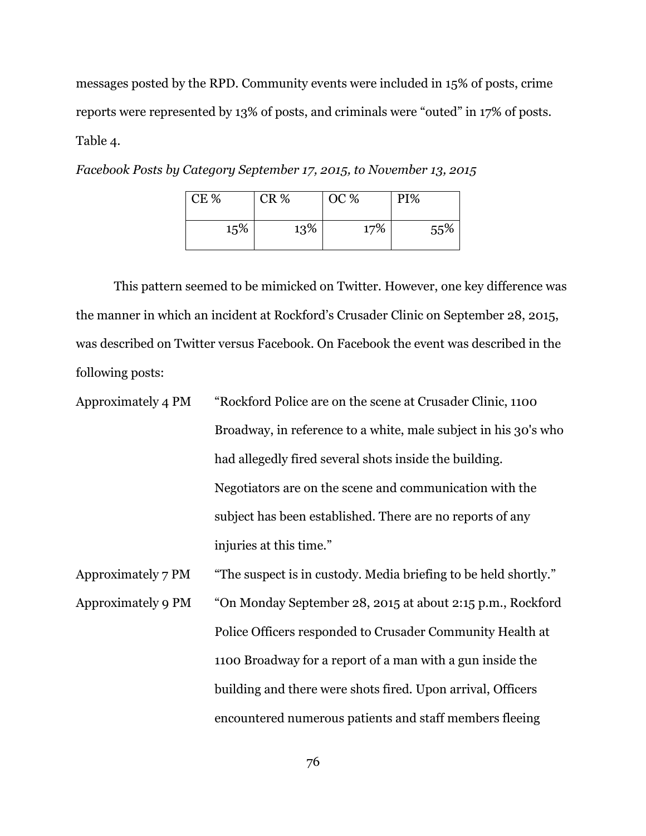messages posted by the RPD. Community events were included in 15% of posts, crime reports were represented by 13% of posts, and criminals were "outed" in 17% of posts. Table 4.

| Facebook Posts by Category September 17, 2015, to November 13, 2015 |  |  |
|---------------------------------------------------------------------|--|--|
|                                                                     |  |  |

| CE % | <b>CR %</b> | OC % | PI% |
|------|-------------|------|-----|
| 15%  | 13%         | 17%  | 55% |

This pattern seemed to be mimicked on Twitter. However, one key difference was the manner in which an incident at Rockford's Crusader Clinic on September 28, 2015, was described on Twitter versus Facebook. On Facebook the event was described in the following posts:

| Approximately 4 PM | "Rockford Police are on the scene at Crusader Clinic, 1100      |
|--------------------|-----------------------------------------------------------------|
|                    | Broadway, in reference to a white, male subject in his 30's who |
|                    | had allegedly fired several shots inside the building.          |
|                    | Negotiators are on the scene and communication with the         |
|                    | subject has been established. There are no reports of any       |
|                    | injuries at this time."                                         |
| Approximately 7 PM | "The suspect is in custody. Media briefing to be held shortly." |
| Approximately 9 PM | "On Monday September 28, 2015 at about 2:15 p.m., Rockford      |
|                    | Police Officers responded to Crusader Community Health at       |
|                    | 1100 Broadway for a report of a man with a gun inside the       |
|                    | building and there were shots fired. Upon arrival, Officers     |

encountered numerous patients and staff members fleeing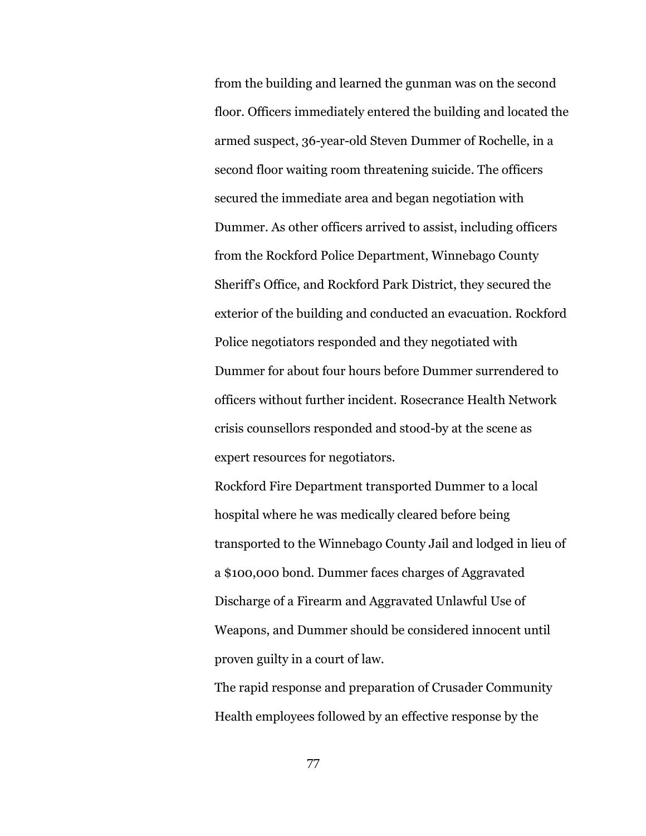from the building and learned the gunman was on the second floor. Officers immediately entered the building and located the armed suspect, 36-year-old Steven Dummer of Rochelle, in a second floor waiting room threatening suicide. The officers secured the immediate area and began negotiation with Dummer. As other officers arrived to assist, including officers from the Rockford Police Department, Winnebago County Sheriff's Office, and Rockford Park District, they secured the exterior of the building and conducted an evacuation. Rockford Police negotiators responded and they negotiated with Dummer for about four hours before Dummer surrendered to officers without further incident. Rosecrance Health Network crisis counsellors responded and stood-by at the scene as expert resources for negotiators.

Rockford Fire Department transported Dummer to a local hospital where he was medically cleared before being transported to the Winnebago County Jail and lodged in lieu of a \$100,000 bond. Dummer faces charges of Aggravated Discharge of a Firearm and Aggravated Unlawful Use of Weapons, and Dummer should be considered innocent until proven guilty in a court of law.

The rapid response and preparation of Crusader Community Health employees followed by an effective response by the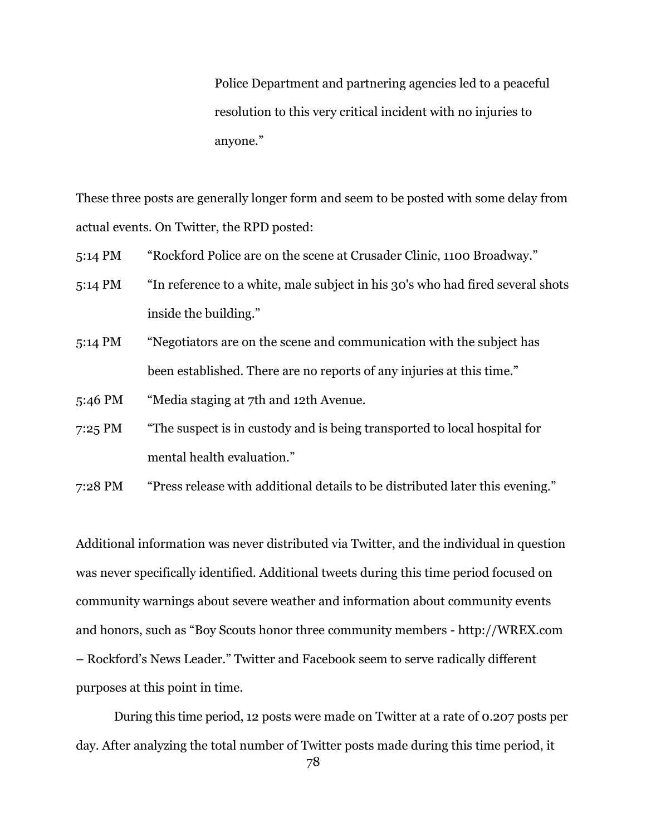Police Department and partnering agencies led to a peaceful resolution to this very critical incident with no injuries to anyone."

These three posts are generally longer form and seem to be posted with some delay from actual events. On Twitter, the RPD posted:

- 5:14 PM "Rockford Police are on the scene at Crusader Clinic, 1100 Broadway."
- 5:14 PM "In reference to a white, male subject in his 30's who had fired several shots inside the building."
- 5:14 PM "Negotiators are on the scene and communication with the subject has been established. There are no reports of any injuries at this time."
- 5:46 PM "Media staging at 7th and 12th Avenue.
- 7:25 PM "The suspect is in custody and is being transported to local hospital for mental health evaluation."
- 7:28 PM "Press release with additional details to be distributed later this evening."

Additional information was never distributed via Twitter, and the individual in question was never specifically identified. Additional tweets during this time period focused on community warnings about severe weather and information about community events and honors, such as "Boy Scouts honor three community members - http://WREX.com – Rockford's News Leader." Twitter and Facebook seem to serve radically different purposes at this point in time.

During this time period, 12 posts were made on Twitter at a rate of 0.207 posts per day. After analyzing the total number of Twitter posts made during this time period, it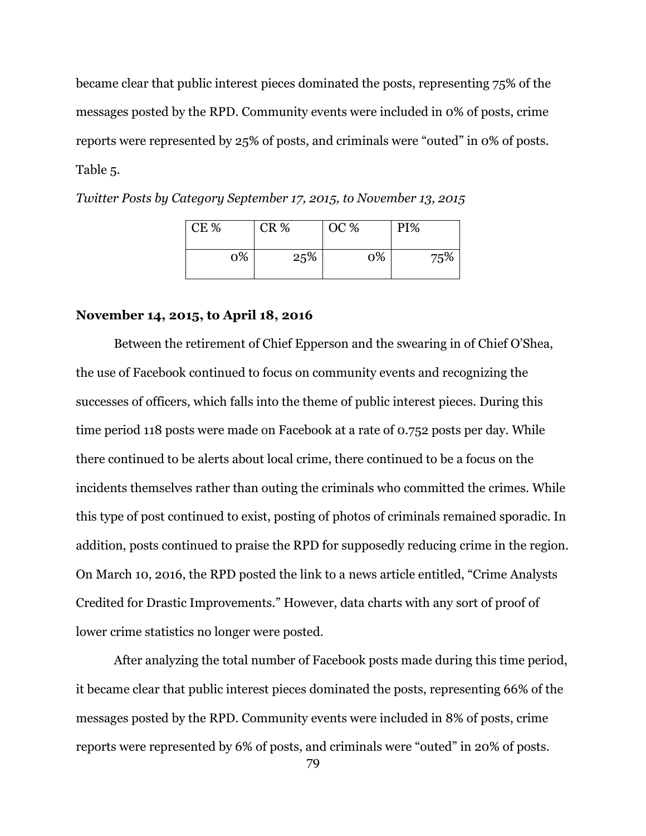became clear that public interest pieces dominated the posts, representing 75% of the messages posted by the RPD. Community events were included in 0% of posts, crime reports were represented by 25% of posts, and criminals were "outed" in 0% of posts. Table 5.

*Twitter Posts by Category September 17, 2015, to November 13, 2015*

| CE % | CR % | OC % | PI% |
|------|------|------|-----|
| 0%   | 25%  | 0%   | 75% |

### **November 14, 2015, to April 18, 2016**

Between the retirement of Chief Epperson and the swearing in of Chief O'Shea, the use of Facebook continued to focus on community events and recognizing the successes of officers, which falls into the theme of public interest pieces. During this time period 118 posts were made on Facebook at a rate of 0.752 posts per day. While there continued to be alerts about local crime, there continued to be a focus on the incidents themselves rather than outing the criminals who committed the crimes. While this type of post continued to exist, posting of photos of criminals remained sporadic. In addition, posts continued to praise the RPD for supposedly reducing crime in the region. On March 10, 2016, the RPD posted the link to a news article entitled, "Crime Analysts Credited for Drastic Improvements." However, data charts with any sort of proof of lower crime statistics no longer were posted.

After analyzing the total number of Facebook posts made during this time period, it became clear that public interest pieces dominated the posts, representing 66% of the messages posted by the RPD. Community events were included in 8% of posts, crime reports were represented by 6% of posts, and criminals were "outed" in 20% of posts.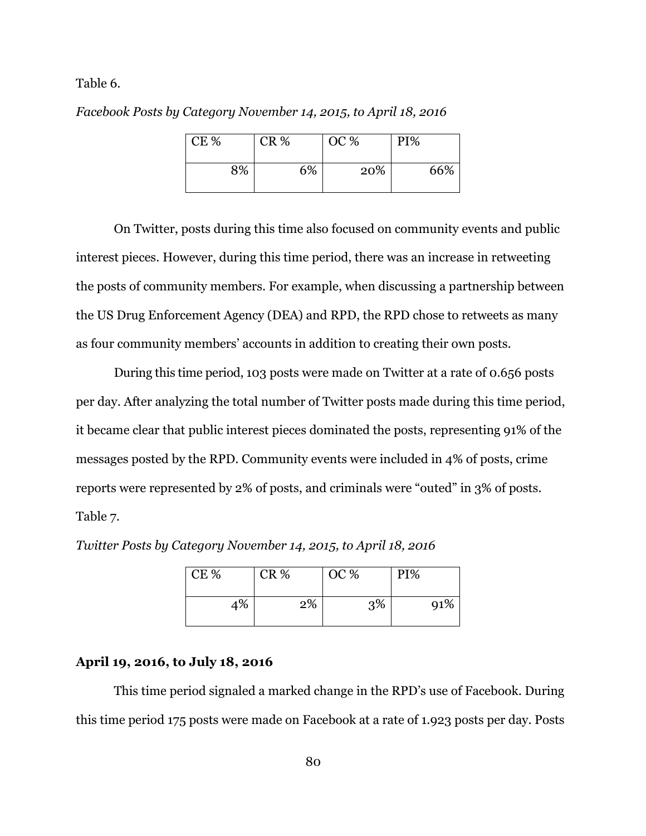Table 6.

*Facebook Posts by Category November 14, 2015, to April 18, 2016*

| CE % | CR % | OC % | PI% |
|------|------|------|-----|
| 8%   | 6%   | 20%  | 66% |

On Twitter, posts during this time also focused on community events and public interest pieces. However, during this time period, there was an increase in retweeting the posts of community members. For example, when discussing a partnership between the US Drug Enforcement Agency (DEA) and RPD, the RPD chose to retweets as many as four community members' accounts in addition to creating their own posts.

During this time period, 103 posts were made on Twitter at a rate of 0.656 posts per day. After analyzing the total number of Twitter posts made during this time period, it became clear that public interest pieces dominated the posts, representing 91% of the messages posted by the RPD. Community events were included in 4% of posts, crime reports were represented by 2% of posts, and criminals were "outed" in 3% of posts. Table 7.

| CE % | CR % | OC % | PI% |
|------|------|------|-----|
| 4%   | 2%   | 3%   | 91% |

*Twitter Posts by Category November 14, 2015, to April 18, 2016*

# **April 19, 2016, to July 18, 2016**

This time period signaled a marked change in the RPD's use of Facebook. During this time period 175 posts were made on Facebook at a rate of 1.923 posts per day. Posts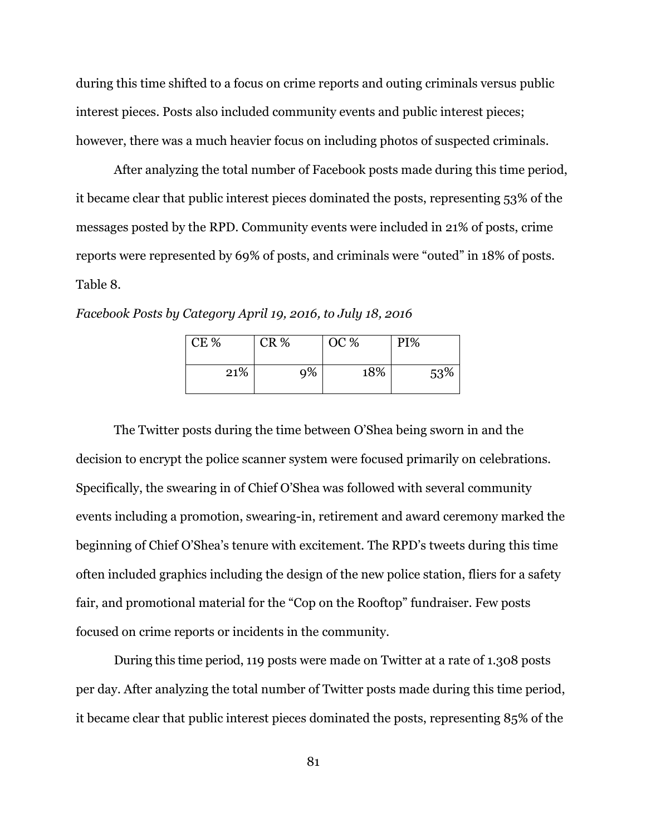during this time shifted to a focus on crime reports and outing criminals versus public interest pieces. Posts also included community events and public interest pieces; however, there was a much heavier focus on including photos of suspected criminals.

After analyzing the total number of Facebook posts made during this time period, it became clear that public interest pieces dominated the posts, representing 53% of the messages posted by the RPD. Community events were included in 21% of posts, crime reports were represented by 69% of posts, and criminals were "outed" in 18% of posts. Table 8.

 $CE \%$   $CR \%$   $OC \%$   $PI%$ 

*Facebook Posts by Category April 19, 2016, to July 18, 2016*

The Twitter posts during the time between O'Shea being sworn in and the decision to encrypt the police scanner system were focused primarily on celebrations. Specifically, the swearing in of Chief O'Shea was followed with several community events including a promotion, swearing-in, retirement and award ceremony marked the beginning of Chief O'Shea's tenure with excitement. The RPD's tweets during this time often included graphics including the design of the new police station, fliers for a safety fair, and promotional material for the "Cop on the Rooftop" fundraiser. Few posts focused on crime reports or incidents in the community.

 $21\%$  9% 18% 53%

During this time period, 119 posts were made on Twitter at a rate of 1.308 posts per day. After analyzing the total number of Twitter posts made during this time period, it became clear that public interest pieces dominated the posts, representing 85% of the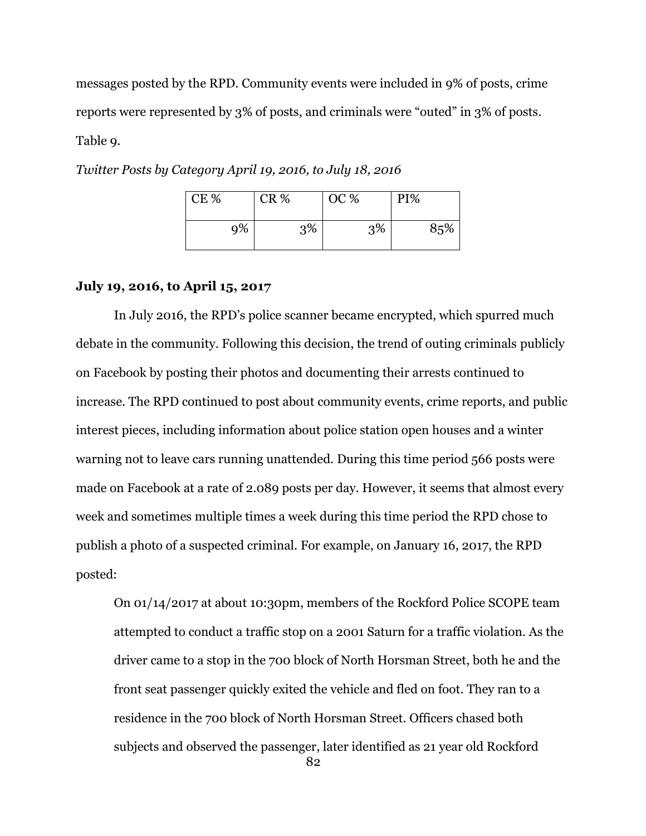messages posted by the RPD. Community events were included in 9% of posts, crime reports were represented by 3% of posts, and criminals were "outed" in 3% of posts. Table 9.

| CE % | CR % | OC % | PI% |
|------|------|------|-----|
| 9%   | 3%   | 3%   | 85% |

*Twitter Posts by Category April 19, 2016, to July 18, 2016*

### **July 19, 2016, to April 15, 2017**

In July 2016, the RPD's police scanner became encrypted, which spurred much debate in the community. Following this decision, the trend of outing criminals publicly on Facebook by posting their photos and documenting their arrests continued to increase. The RPD continued to post about community events, crime reports, and public interest pieces, including information about police station open houses and a winter warning not to leave cars running unattended. During this time period 566 posts were made on Facebook at a rate of 2.089 posts per day. However, it seems that almost every week and sometimes multiple times a week during this time period the RPD chose to publish a photo of a suspected criminal. For example, on January 16, 2017, the RPD posted:

82 On 01/14/2017 at about 10:30pm, members of the Rockford Police SCOPE team attempted to conduct a traffic stop on a 2001 Saturn for a traffic violation. As the driver came to a stop in the 700 block of North Horsman Street, both he and the front seat passenger quickly exited the vehicle and fled on foot. They ran to a residence in the 700 block of North Horsman Street. Officers chased both subjects and observed the passenger, later identified as 21 year old Rockford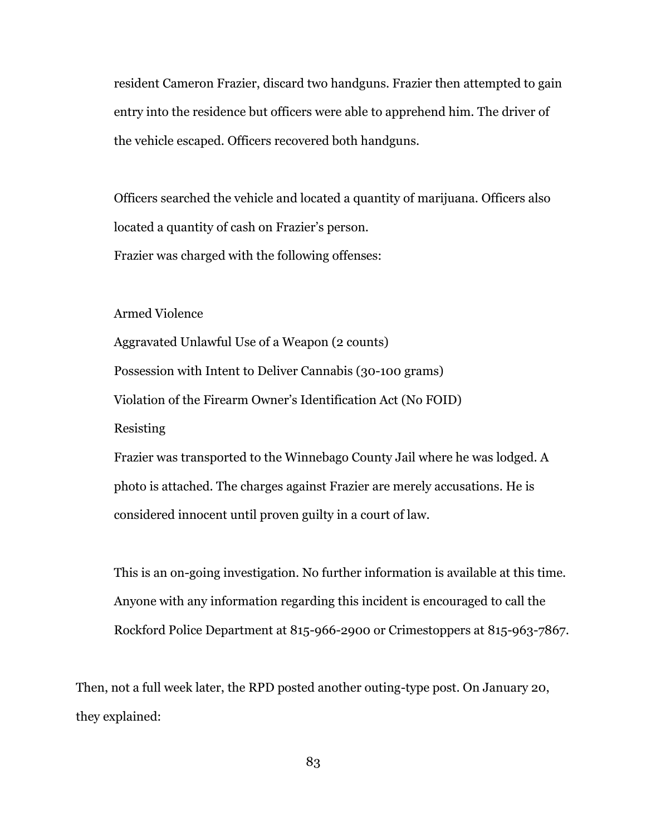resident Cameron Frazier, discard two handguns. Frazier then attempted to gain entry into the residence but officers were able to apprehend him. The driver of the vehicle escaped. Officers recovered both handguns.

Officers searched the vehicle and located a quantity of marijuana. Officers also located a quantity of cash on Frazier's person.

Frazier was charged with the following offenses:

Armed Violence

Aggravated Unlawful Use of a Weapon (2 counts) Possession with Intent to Deliver Cannabis (30-100 grams) Violation of the Firearm Owner's Identification Act (No FOID) Resisting Frazier was transported to the Winnebago County Jail where he was lodged. A

photo is attached. The charges against Frazier are merely accusations. He is considered innocent until proven guilty in a court of law.

This is an on-going investigation. No further information is available at this time. Anyone with any information regarding this incident is encouraged to call the Rockford Police Department at 815-966-2900 or Crimestoppers at 815-963-7867.

Then, not a full week later, the RPD posted another outing-type post. On January 20, they explained: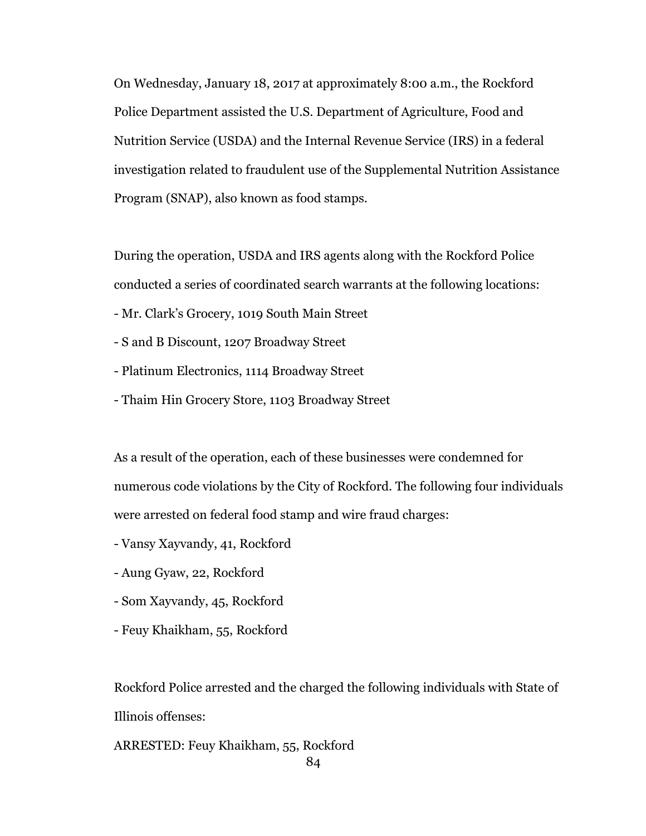On Wednesday, January 18, 2017 at approximately 8:00 a.m., the Rockford Police Department assisted the U.S. Department of Agriculture, Food and Nutrition Service (USDA) and the Internal Revenue Service (IRS) in a federal investigation related to fraudulent use of the Supplemental Nutrition Assistance Program (SNAP), also known as food stamps.

During the operation, USDA and IRS agents along with the Rockford Police conducted a series of coordinated search warrants at the following locations:

- Mr. Clark's Grocery, 1019 South Main Street
- S and B Discount, 1207 Broadway Street
- Platinum Electronics, 1114 Broadway Street
- Thaim Hin Grocery Store, 1103 Broadway Street

As a result of the operation, each of these businesses were condemned for numerous code violations by the City of Rockford. The following four individuals were arrested on federal food stamp and wire fraud charges:

- Vansy Xayvandy, 41, Rockford
- Aung Gyaw, 22, Rockford
- Som Xayvandy, 45, Rockford
- Feuy Khaikham, 55, Rockford

Rockford Police arrested and the charged the following individuals with State of Illinois offenses:

ARRESTED: Feuy Khaikham, 55, Rockford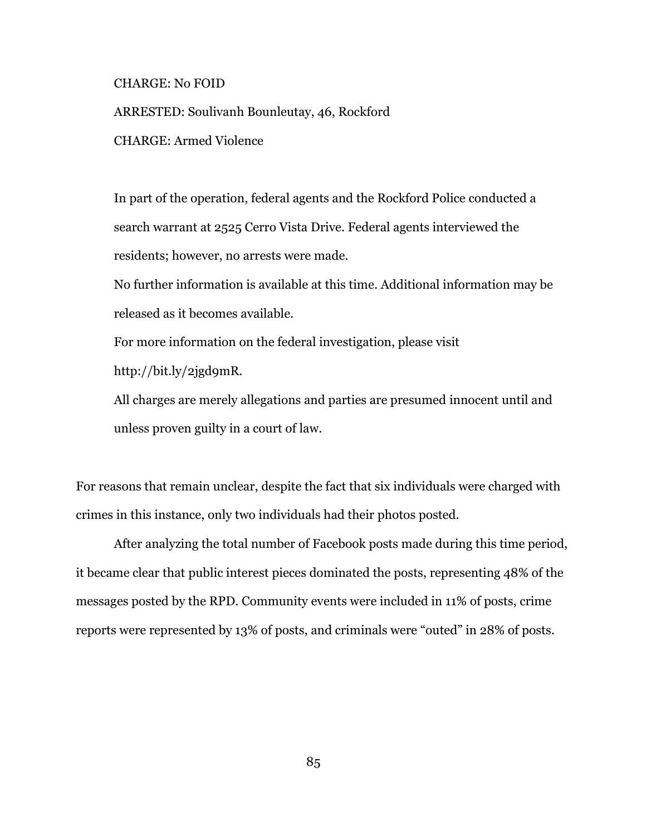### CHARGE: No FOID

ARRESTED: Soulivanh Bounleutay, 46, Rockford CHARGE: Armed Violence

In part of the operation, federal agents and the Rockford Police conducted a search warrant at 2525 Cerro Vista Drive. Federal agents interviewed the residents; however, no arrests were made.

No further information is available at this time. Additional information may be released as it becomes available.

For more information on the federal investigation, please visit http://bit.ly/2jgd9mR.

All charges are merely allegations and parties are presumed innocent until and unless proven guilty in a court of law.

For reasons that remain unclear, despite the fact that six individuals were charged with crimes in this instance, only two individuals had their photos posted.

After analyzing the total number of Facebook posts made during this time period, it became clear that public interest pieces dominated the posts, representing 48% of the messages posted by the RPD. Community events were included in 11% of posts, crime reports were represented by 13% of posts, and criminals were "outed" in 28% of posts.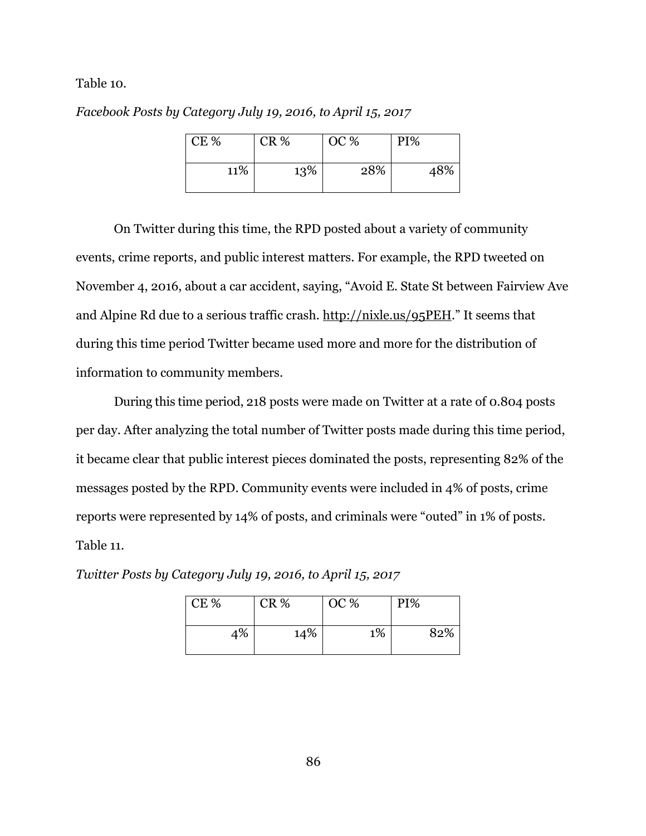Table 10.

*Facebook Posts by Category July 19, 2016, to April 15, 2017*

| <b>CE %</b> | CR % | OC % | PI% |
|-------------|------|------|-----|
| 11%         | 13%  | 28%  | 48% |

On Twitter during this time, the RPD posted about a variety of community events, crime reports, and public interest matters. For example, the RPD tweeted on November 4, 2016, about a car accident, saying, "Avoid E. State St between Fairview Ave and Alpine Rd due to a serious traffic crash.<http://nixle.us/95PEH>." It seems that during this time period Twitter became used more and more for the distribution of information to community members.

During this time period, 218 posts were made on Twitter at a rate of 0.804 posts per day. After analyzing the total number of Twitter posts made during this time period, it became clear that public interest pieces dominated the posts, representing 82% of the messages posted by the RPD. Community events were included in 4% of posts, crime reports were represented by 14% of posts, and criminals were "outed" in 1% of posts. Table 11.

| CE% | OC %<br>CR % |    | PI% |     |
|-----|--------------|----|-----|-----|
| 4%  | 14%          | 1% |     | 82% |

*Twitter Posts by Category July 19, 2016, to April 15, 2017*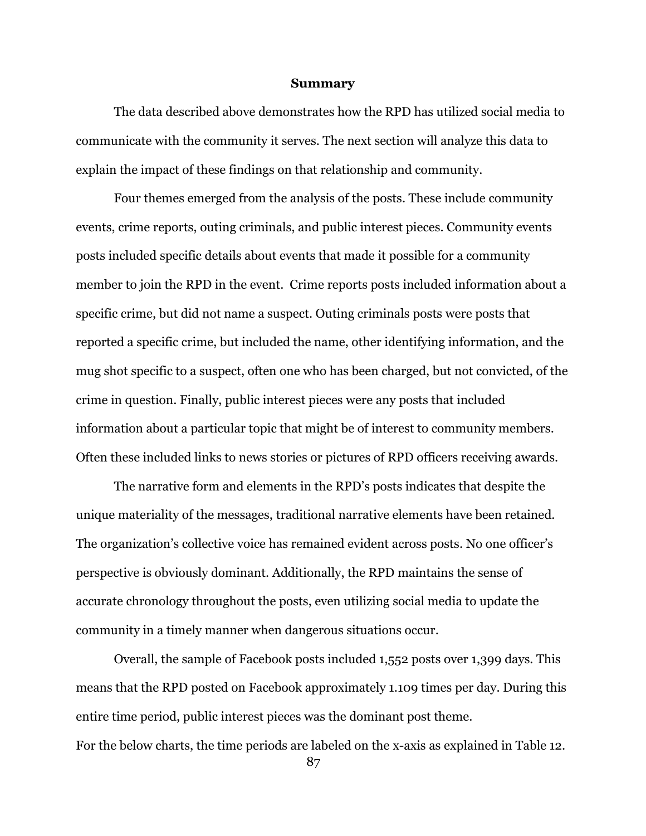#### **Summary**

The data described above demonstrates how the RPD has utilized social media to communicate with the community it serves. The next section will analyze this data to explain the impact of these findings on that relationship and community.

Four themes emerged from the analysis of the posts. These include community events, crime reports, outing criminals, and public interest pieces. Community events posts included specific details about events that made it possible for a community member to join the RPD in the event. Crime reports posts included information about a specific crime, but did not name a suspect. Outing criminals posts were posts that reported a specific crime, but included the name, other identifying information, and the mug shot specific to a suspect, often one who has been charged, but not convicted, of the crime in question. Finally, public interest pieces were any posts that included information about a particular topic that might be of interest to community members. Often these included links to news stories or pictures of RPD officers receiving awards.

The narrative form and elements in the RPD's posts indicates that despite the unique materiality of the messages, traditional narrative elements have been retained. The organization's collective voice has remained evident across posts. No one officer's perspective is obviously dominant. Additionally, the RPD maintains the sense of accurate chronology throughout the posts, even utilizing social media to update the community in a timely manner when dangerous situations occur.

Overall, the sample of Facebook posts included 1,552 posts over 1,399 days. This means that the RPD posted on Facebook approximately 1.109 times per day. During this entire time period, public interest pieces was the dominant post theme. For the below charts, the time periods are labeled on the x-axis as explained in Table 12.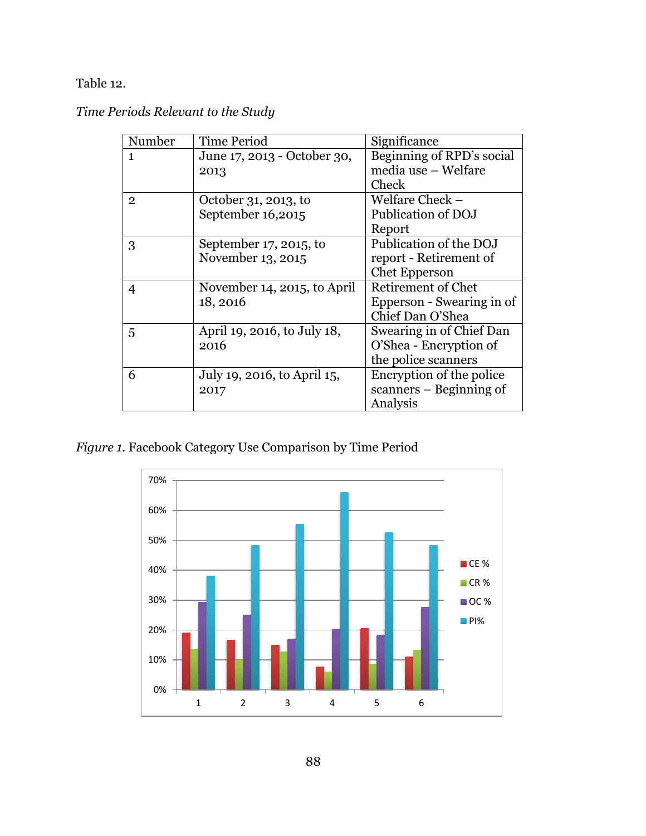Table 12.

|  |  |  | Time Periods Relevant to the Study |
|--|--|--|------------------------------------|
|--|--|--|------------------------------------|

| Number         | <b>Time Period</b>          | Significance              |
|----------------|-----------------------------|---------------------------|
| 1              | June 17, 2013 - October 30, | Beginning of RPD's social |
|                | 2013                        | media use - Welfare       |
|                |                             | Check                     |
| $\overline{2}$ | October 31, 2013, to        | Welfare Check –           |
|                | September 16,2015           | Publication of DOJ        |
|                |                             | Report                    |
| 3              | September $17, 2015$ , to   | Publication of the DOJ    |
|                | November 13, 2015           | report - Retirement of    |
|                |                             | <b>Chet Epperson</b>      |
| 4              | November 14, 2015, to April | Retirement of Chet        |
|                | 18, 2016                    | Epperson - Swearing in of |
|                |                             | Chief Dan O'Shea          |
| 5              | April 19, 2016, to July 18, | Swearing in of Chief Dan  |
|                | 2016                        | O'Shea - Encryption of    |
|                |                             | the police scanners       |
| 6              | July 19, 2016, to April 15, | Encryption of the police  |
|                | 2017                        | scanners – Beginning of   |
|                |                             | Analysis                  |

*Figure 1.* Facebook Category Use Comparison by Time Period

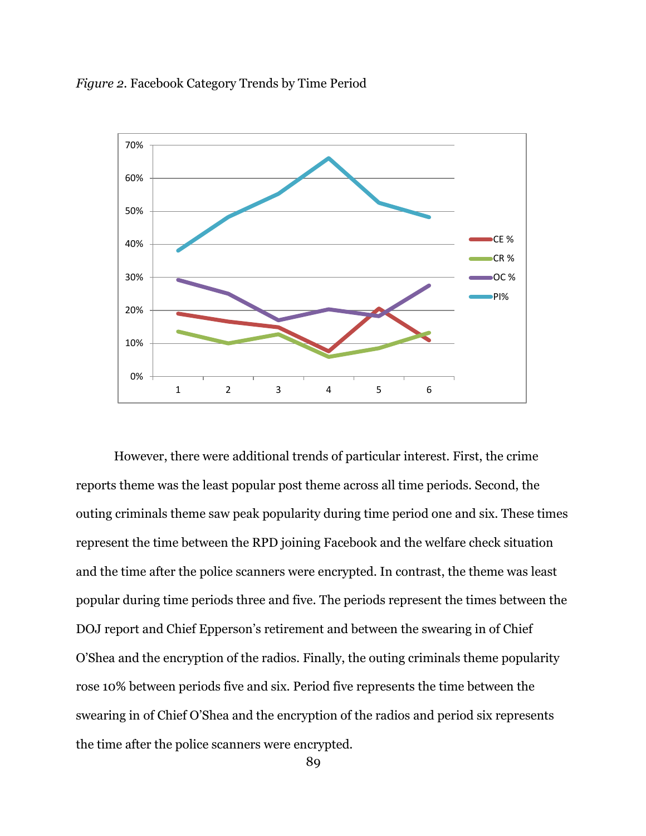



However, there were additional trends of particular interest. First, the crime reports theme was the least popular post theme across all time periods. Second, the outing criminals theme saw peak popularity during time period one and six. These times represent the time between the RPD joining Facebook and the welfare check situation and the time after the police scanners were encrypted. In contrast, the theme was least popular during time periods three and five. The periods represent the times between the DOJ report and Chief Epperson's retirement and between the swearing in of Chief O'Shea and the encryption of the radios. Finally, the outing criminals theme popularity rose 10% between periods five and six. Period five represents the time between the swearing in of Chief O'Shea and the encryption of the radios and period six represents the time after the police scanners were encrypted.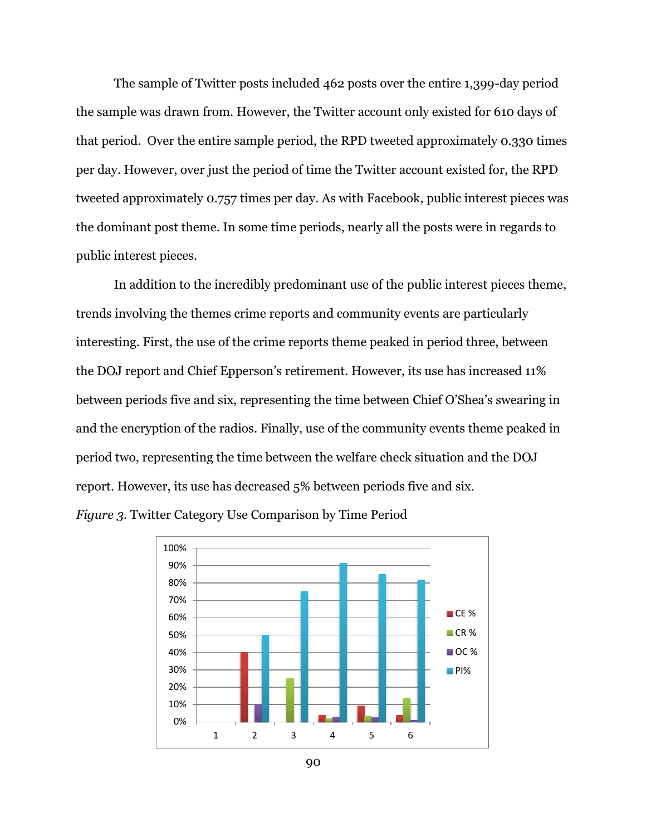The sample of Twitter posts included 462 posts over the entire 1,399-day period the sample was drawn from. However, the Twitter account only existed for 610 days of that period. Over the entire sample period, the RPD tweeted approximately 0.330 times per day. However, over just the period of time the Twitter account existed for, the RPD tweeted approximately 0.757 times per day. As with Facebook, public interest pieces was the dominant post theme. In some time periods, nearly all the posts were in regards to public interest pieces.

In addition to the incredibly predominant use of the public interest pieces theme, trends involving the themes crime reports and community events are particularly interesting. First, the use of the crime reports theme peaked in period three, between the DOJ report and Chief Epperson's retirement. However, its use has increased 11% between periods five and six, representing the time between Chief O'Shea's swearing in and the encryption of the radios. Finally, use of the community events theme peaked in period two, representing the time between the welfare check situation and the DOJ report. However, its use has decreased 5% between periods five and six.

*Figure 3.* Twitter Category Use Comparison by Time Period

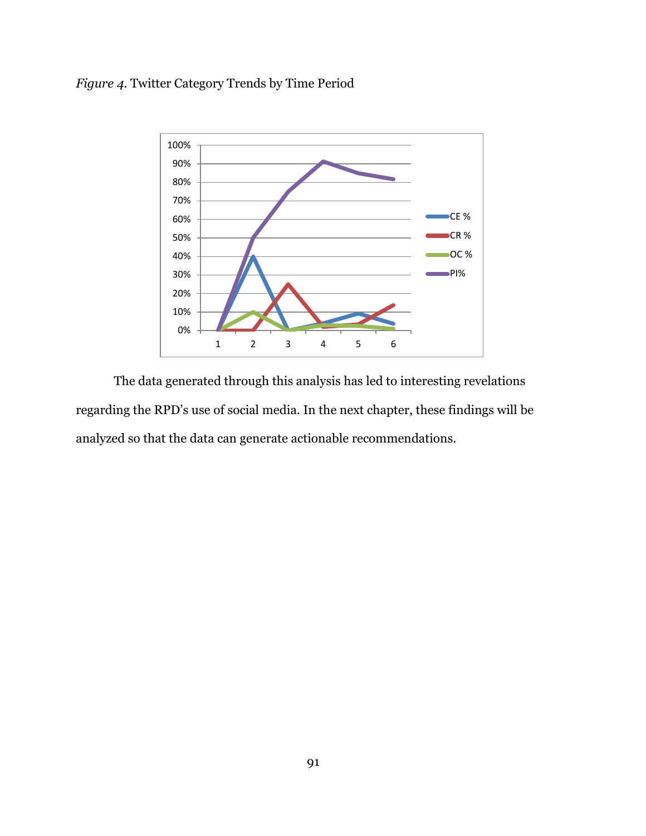# *Figure 4.* Twitter Category Trends by Time Period



The data generated through this analysis has led to interesting revelations regarding the RPD's use of social media. In the next chapter, these findings will be analyzed so that the data can generate actionable recommendations.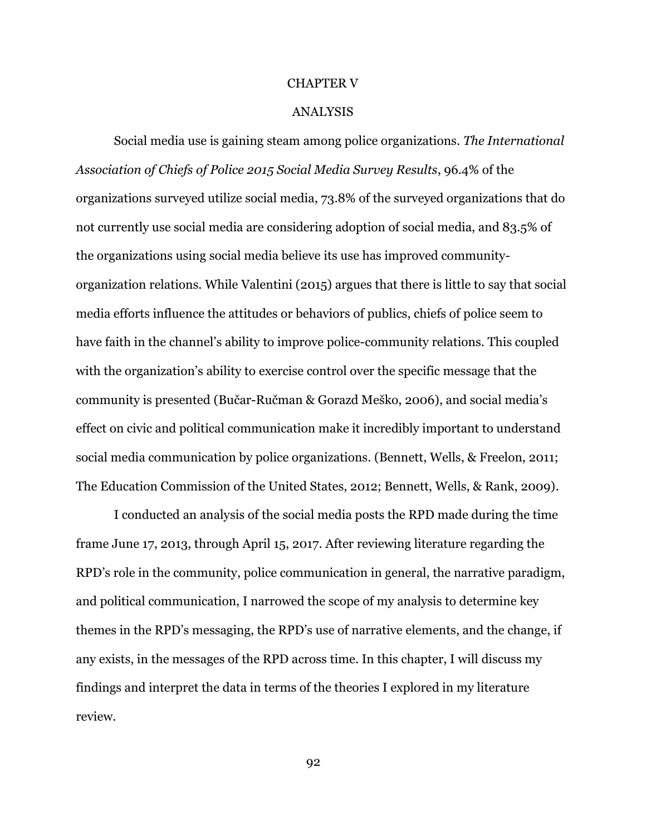#### CHAPTER V

#### ANALYSIS

Social media use is gaining steam among police organizations. *The International Association of Chiefs of Police 2015 Social Media Survey Results*, 96.4% of the organizations surveyed utilize social media, 73.8% of the surveyed organizations that do not currently use social media are considering adoption of social media, and 83.5% of the organizations using social media believe its use has improved communityorganization relations. While Valentini (2015) argues that there is little to say that social media efforts influence the attitudes or behaviors of publics, chiefs of police seem to have faith in the channel's ability to improve police-community relations. This coupled with the organization's ability to exercise control over the specific message that the community is presented (Bučar-Ručman & Gorazd Meško, 2006), and social media's effect on civic and political communication make it incredibly important to understand social media communication by police organizations. (Bennett, Wells, & Freelon, 2011; The Education Commission of the United States, 2012; Bennett, Wells, & Rank, 2009).

I conducted an analysis of the social media posts the RPD made during the time frame June 17, 2013, through April 15, 2017. After reviewing literature regarding the RPD's role in the community, police communication in general, the narrative paradigm, and political communication, I narrowed the scope of my analysis to determine key themes in the RPD's messaging, the RPD's use of narrative elements, and the change, if any exists, in the messages of the RPD across time. In this chapter, I will discuss my findings and interpret the data in terms of the theories I explored in my literature review.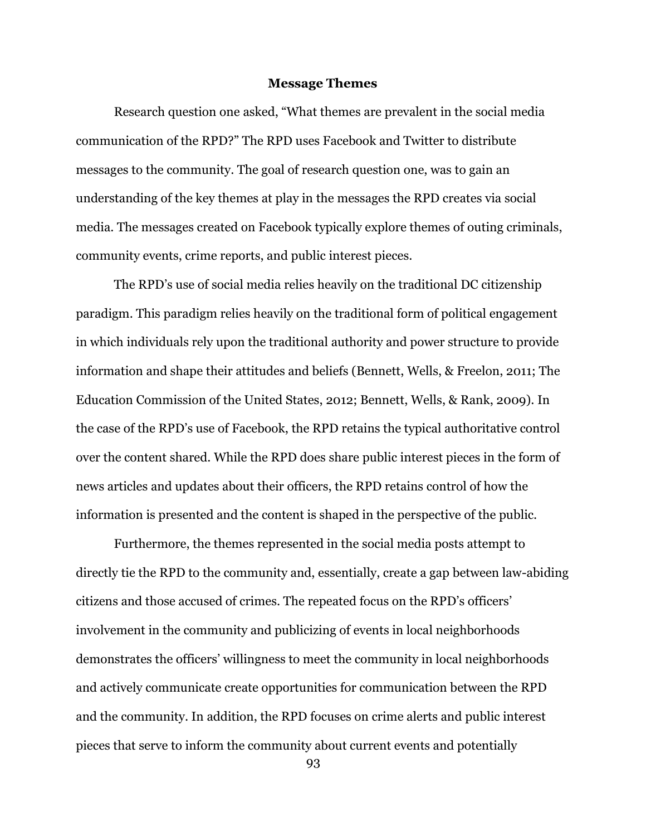### **Message Themes**

Research question one asked, "What themes are prevalent in the social media communication of the RPD?" The RPD uses Facebook and Twitter to distribute messages to the community. The goal of research question one, was to gain an understanding of the key themes at play in the messages the RPD creates via social media. The messages created on Facebook typically explore themes of outing criminals, community events, crime reports, and public interest pieces.

The RPD's use of social media relies heavily on the traditional DC citizenship paradigm. This paradigm relies heavily on the traditional form of political engagement in which individuals rely upon the traditional authority and power structure to provide information and shape their attitudes and beliefs (Bennett, Wells, & Freelon, 2011; The Education Commission of the United States, 2012; Bennett, Wells, & Rank, 2009). In the case of the RPD's use of Facebook, the RPD retains the typical authoritative control over the content shared. While the RPD does share public interest pieces in the form of news articles and updates about their officers, the RPD retains control of how the information is presented and the content is shaped in the perspective of the public.

Furthermore, the themes represented in the social media posts attempt to directly tie the RPD to the community and, essentially, create a gap between law-abiding citizens and those accused of crimes. The repeated focus on the RPD's officers' involvement in the community and publicizing of events in local neighborhoods demonstrates the officers' willingness to meet the community in local neighborhoods and actively communicate create opportunities for communication between the RPD and the community. In addition, the RPD focuses on crime alerts and public interest pieces that serve to inform the community about current events and potentially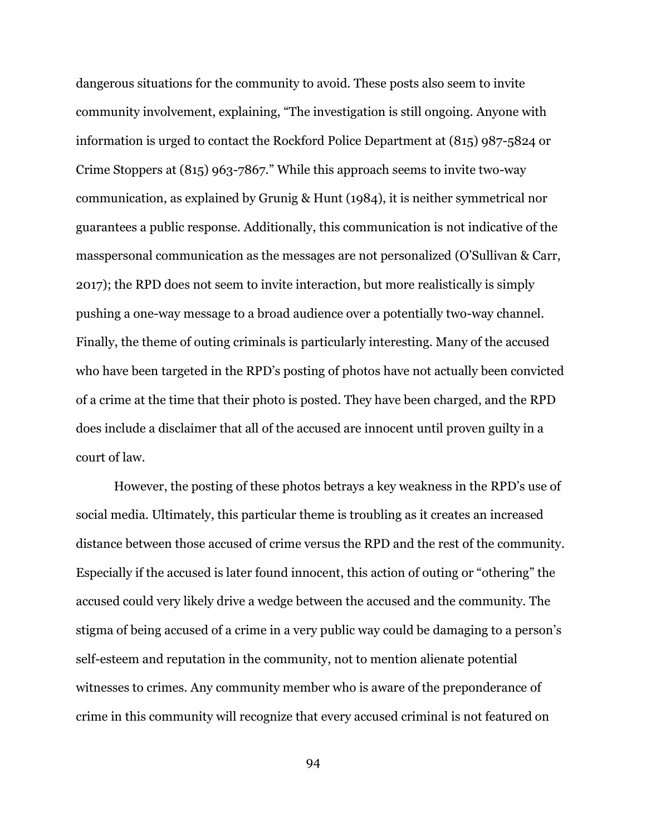dangerous situations for the community to avoid. These posts also seem to invite community involvement, explaining, "The investigation is still ongoing. Anyone with information is urged to contact the Rockford Police Department at (815) 987-5824 or Crime Stoppers at (815) 963-7867." While this approach seems to invite two-way communication, as explained by Grunig & Hunt (1984), it is neither symmetrical nor guarantees a public response. Additionally, this communication is not indicative of the masspersonal communication as the messages are not personalized (O'Sullivan & Carr, 2017); the RPD does not seem to invite interaction, but more realistically is simply pushing a one-way message to a broad audience over a potentially two-way channel. Finally, the theme of outing criminals is particularly interesting. Many of the accused who have been targeted in the RPD's posting of photos have not actually been convicted of a crime at the time that their photo is posted. They have been charged, and the RPD does include a disclaimer that all of the accused are innocent until proven guilty in a court of law.

However, the posting of these photos betrays a key weakness in the RPD's use of social media. Ultimately, this particular theme is troubling as it creates an increased distance between those accused of crime versus the RPD and the rest of the community. Especially if the accused is later found innocent, this action of outing or "othering" the accused could very likely drive a wedge between the accused and the community. The stigma of being accused of a crime in a very public way could be damaging to a person's self-esteem and reputation in the community, not to mention alienate potential witnesses to crimes. Any community member who is aware of the preponderance of crime in this community will recognize that every accused criminal is not featured on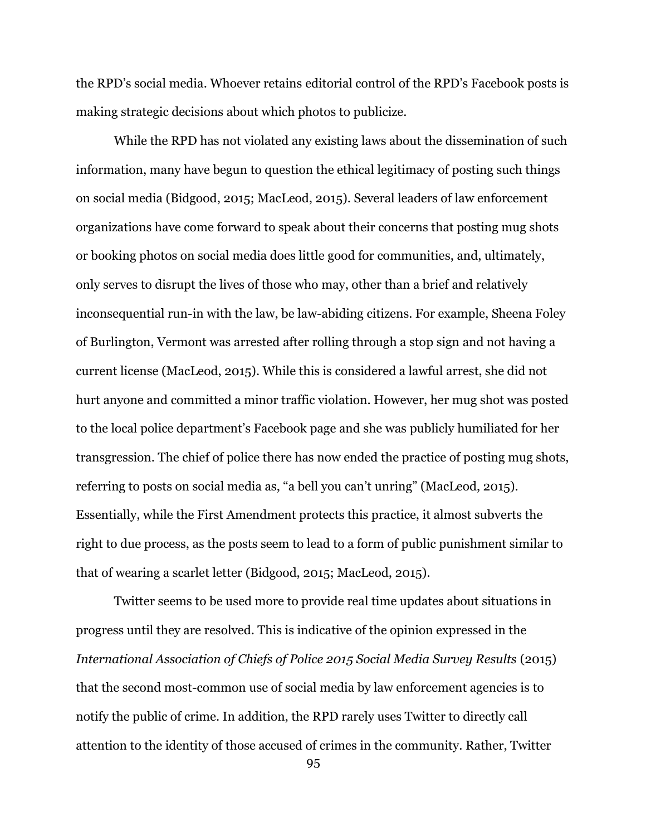the RPD's social media. Whoever retains editorial control of the RPD's Facebook posts is making strategic decisions about which photos to publicize.

While the RPD has not violated any existing laws about the dissemination of such information, many have begun to question the ethical legitimacy of posting such things on social media (Bidgood, 2015; MacLeod, 2015). Several leaders of law enforcement organizations have come forward to speak about their concerns that posting mug shots or booking photos on social media does little good for communities, and, ultimately, only serves to disrupt the lives of those who may, other than a brief and relatively inconsequential run-in with the law, be law-abiding citizens. For example, Sheena Foley of Burlington, Vermont was arrested after rolling through a stop sign and not having a current license (MacLeod, 2015). While this is considered a lawful arrest, she did not hurt anyone and committed a minor traffic violation. However, her mug shot was posted to the local police department's Facebook page and she was publicly humiliated for her transgression. The chief of police there has now ended the practice of posting mug shots, referring to posts on social media as, "a bell you can't unring" (MacLeod, 2015). Essentially, while the First Amendment protects this practice, it almost subverts the right to due process, as the posts seem to lead to a form of public punishment similar to that of wearing a scarlet letter (Bidgood, 2015; MacLeod, 2015).

Twitter seems to be used more to provide real time updates about situations in progress until they are resolved. This is indicative of the opinion expressed in the *International Association of Chiefs of Police 2015 Social Media Survey Results* (2015) that the second most-common use of social media by law enforcement agencies is to notify the public of crime. In addition, the RPD rarely uses Twitter to directly call attention to the identity of those accused of crimes in the community. Rather, Twitter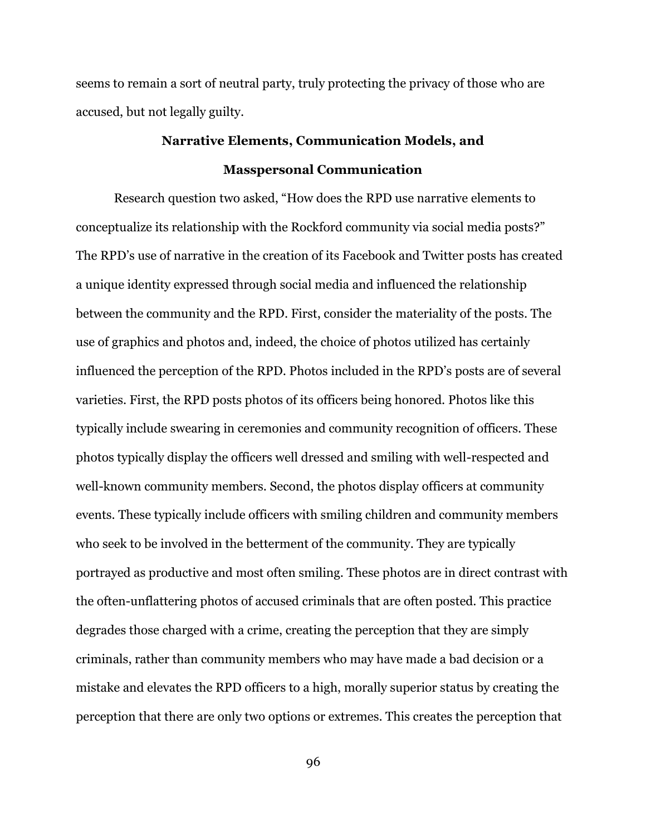seems to remain a sort of neutral party, truly protecting the privacy of those who are accused, but not legally guilty.

# **Narrative Elements, Communication Models, and Masspersonal Communication**

Research question two asked, "How does the RPD use narrative elements to conceptualize its relationship with the Rockford community via social media posts?" The RPD's use of narrative in the creation of its Facebook and Twitter posts has created a unique identity expressed through social media and influenced the relationship between the community and the RPD. First, consider the materiality of the posts. The use of graphics and photos and, indeed, the choice of photos utilized has certainly influenced the perception of the RPD. Photos included in the RPD's posts are of several varieties. First, the RPD posts photos of its officers being honored. Photos like this typically include swearing in ceremonies and community recognition of officers. These photos typically display the officers well dressed and smiling with well-respected and well-known community members. Second, the photos display officers at community events. These typically include officers with smiling children and community members who seek to be involved in the betterment of the community. They are typically portrayed as productive and most often smiling. These photos are in direct contrast with the often-unflattering photos of accused criminals that are often posted. This practice degrades those charged with a crime, creating the perception that they are simply criminals, rather than community members who may have made a bad decision or a mistake and elevates the RPD officers to a high, morally superior status by creating the perception that there are only two options or extremes. This creates the perception that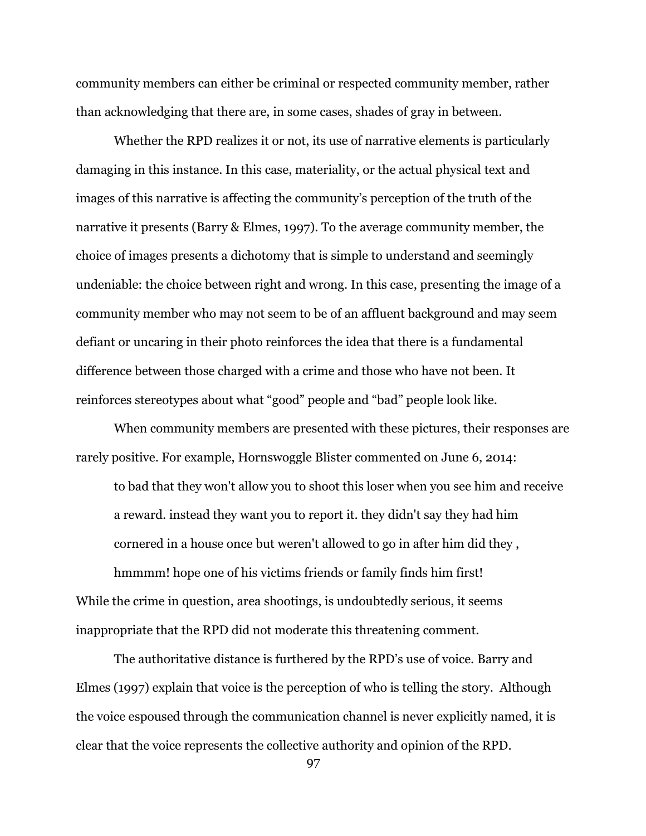community members can either be criminal or respected community member, rather than acknowledging that there are, in some cases, shades of gray in between.

Whether the RPD realizes it or not, its use of narrative elements is particularly damaging in this instance. In this case, materiality, or the actual physical text and images of this narrative is affecting the community's perception of the truth of the narrative it presents (Barry & Elmes, 1997). To the average community member, the choice of images presents a dichotomy that is simple to understand and seemingly undeniable: the choice between right and wrong. In this case, presenting the image of a community member who may not seem to be of an affluent background and may seem defiant or uncaring in their photo reinforces the idea that there is a fundamental difference between those charged with a crime and those who have not been. It reinforces stereotypes about what "good" people and "bad" people look like.

When community members are presented with these pictures, their responses are rarely positive. For example, Hornswoggle Blister commented on June 6, 2014:

to bad that they won't allow you to shoot this loser when you see him and receive a reward. instead they want you to report it. they didn't say they had him cornered in a house once but weren't allowed to go in after him did they ,

hmmmm! hope one of his victims friends or family finds him first! While the crime in question, area shootings, is undoubtedly serious, it seems inappropriate that the RPD did not moderate this threatening comment.

The authoritative distance is furthered by the RPD's use of voice. Barry and Elmes (1997) explain that voice is the perception of who is telling the story. Although the voice espoused through the communication channel is never explicitly named, it is clear that the voice represents the collective authority and opinion of the RPD.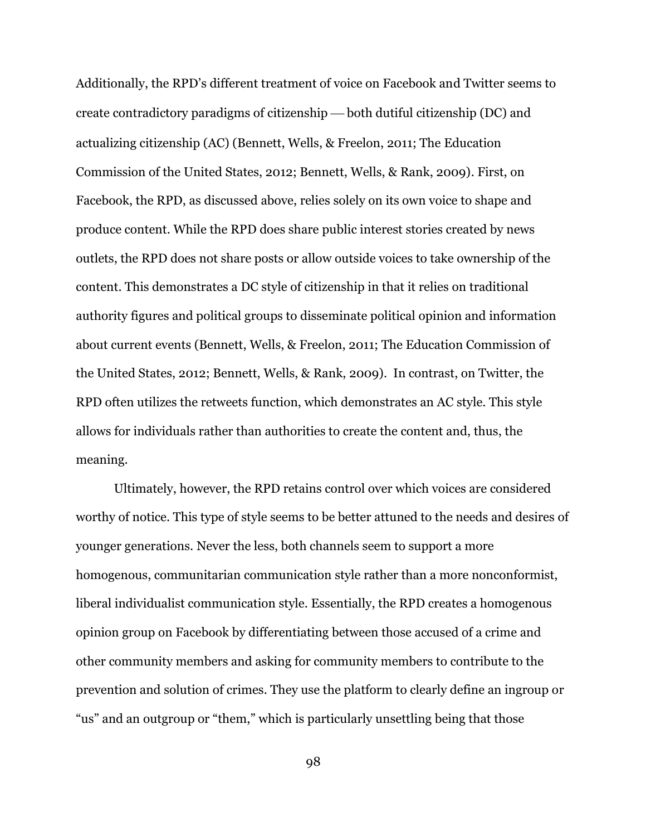Additionally, the RPD's different treatment of voice on Facebook and Twitter seems to create contradictory paradigms of citizenship  $-$  both dutiful citizenship (DC) and actualizing citizenship (AC) (Bennett, Wells, & Freelon, 2011; The Education Commission of the United States, 2012; Bennett, Wells, & Rank, 2009). First, on Facebook, the RPD, as discussed above, relies solely on its own voice to shape and produce content. While the RPD does share public interest stories created by news outlets, the RPD does not share posts or allow outside voices to take ownership of the content. This demonstrates a DC style of citizenship in that it relies on traditional authority figures and political groups to disseminate political opinion and information about current events (Bennett, Wells, & Freelon, 2011; The Education Commission of the United States, 2012; Bennett, Wells, & Rank, 2009). In contrast, on Twitter, the RPD often utilizes the retweets function, which demonstrates an AC style. This style allows for individuals rather than authorities to create the content and, thus, the meaning.

Ultimately, however, the RPD retains control over which voices are considered worthy of notice. This type of style seems to be better attuned to the needs and desires of younger generations. Never the less, both channels seem to support a more homogenous, communitarian communication style rather than a more nonconformist, liberal individualist communication style. Essentially, the RPD creates a homogenous opinion group on Facebook by differentiating between those accused of a crime and other community members and asking for community members to contribute to the prevention and solution of crimes. They use the platform to clearly define an ingroup or "us" and an outgroup or "them," which is particularly unsettling being that those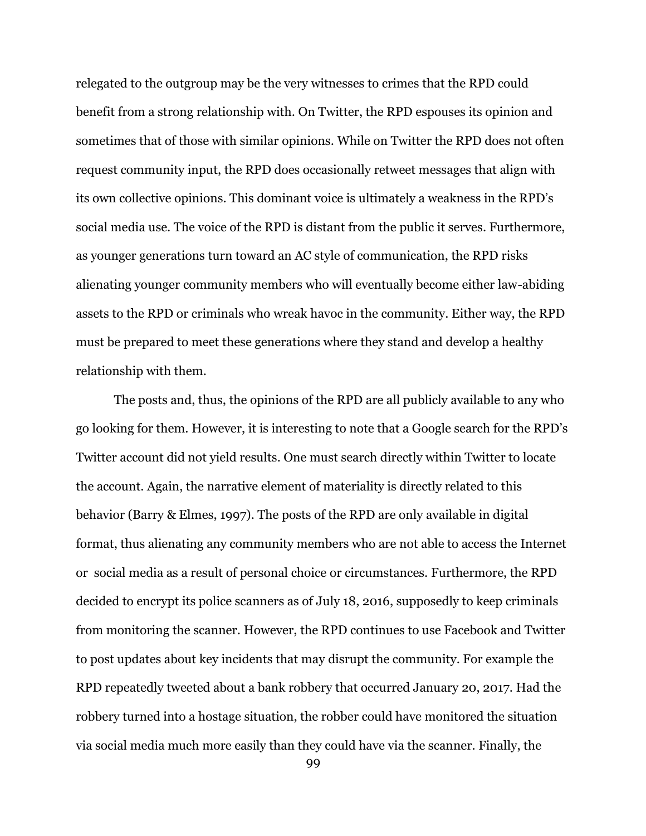relegated to the outgroup may be the very witnesses to crimes that the RPD could benefit from a strong relationship with. On Twitter, the RPD espouses its opinion and sometimes that of those with similar opinions. While on Twitter the RPD does not often request community input, the RPD does occasionally retweet messages that align with its own collective opinions. This dominant voice is ultimately a weakness in the RPD's social media use. The voice of the RPD is distant from the public it serves. Furthermore, as younger generations turn toward an AC style of communication, the RPD risks alienating younger community members who will eventually become either law-abiding assets to the RPD or criminals who wreak havoc in the community. Either way, the RPD must be prepared to meet these generations where they stand and develop a healthy relationship with them.

The posts and, thus, the opinions of the RPD are all publicly available to any who go looking for them. However, it is interesting to note that a Google search for the RPD's Twitter account did not yield results. One must search directly within Twitter to locate the account. Again, the narrative element of materiality is directly related to this behavior (Barry & Elmes, 1997). The posts of the RPD are only available in digital format, thus alienating any community members who are not able to access the Internet or social media as a result of personal choice or circumstances. Furthermore, the RPD decided to encrypt its police scanners as of July 18, 2016, supposedly to keep criminals from monitoring the scanner. However, the RPD continues to use Facebook and Twitter to post updates about key incidents that may disrupt the community. For example the RPD repeatedly tweeted about a bank robbery that occurred January 20, 2017. Had the robbery turned into a hostage situation, the robber could have monitored the situation via social media much more easily than they could have via the scanner. Finally, the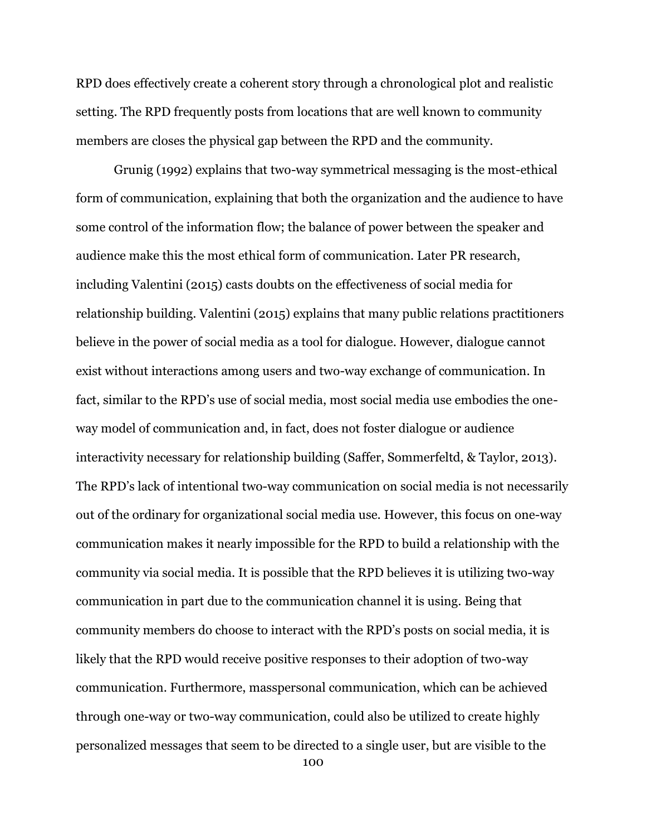RPD does effectively create a coherent story through a chronological plot and realistic setting. The RPD frequently posts from locations that are well known to community members are closes the physical gap between the RPD and the community.

Grunig (1992) explains that two-way symmetrical messaging is the most-ethical form of communication, explaining that both the organization and the audience to have some control of the information flow; the balance of power between the speaker and audience make this the most ethical form of communication. Later PR research, including Valentini (2015) casts doubts on the effectiveness of social media for relationship building. Valentini (2015) explains that many public relations practitioners believe in the power of social media as a tool for dialogue. However, dialogue cannot exist without interactions among users and two-way exchange of communication. In fact, similar to the RPD's use of social media, most social media use embodies the oneway model of communication and, in fact, does not foster dialogue or audience interactivity necessary for relationship building (Saffer, Sommerfeltd, & Taylor, 2013). The RPD's lack of intentional two-way communication on social media is not necessarily out of the ordinary for organizational social media use. However, this focus on one-way communication makes it nearly impossible for the RPD to build a relationship with the community via social media. It is possible that the RPD believes it is utilizing two-way communication in part due to the communication channel it is using. Being that community members do choose to interact with the RPD's posts on social media, it is likely that the RPD would receive positive responses to their adoption of two-way communication. Furthermore, masspersonal communication, which can be achieved through one-way or two-way communication, could also be utilized to create highly personalized messages that seem to be directed to a single user, but are visible to the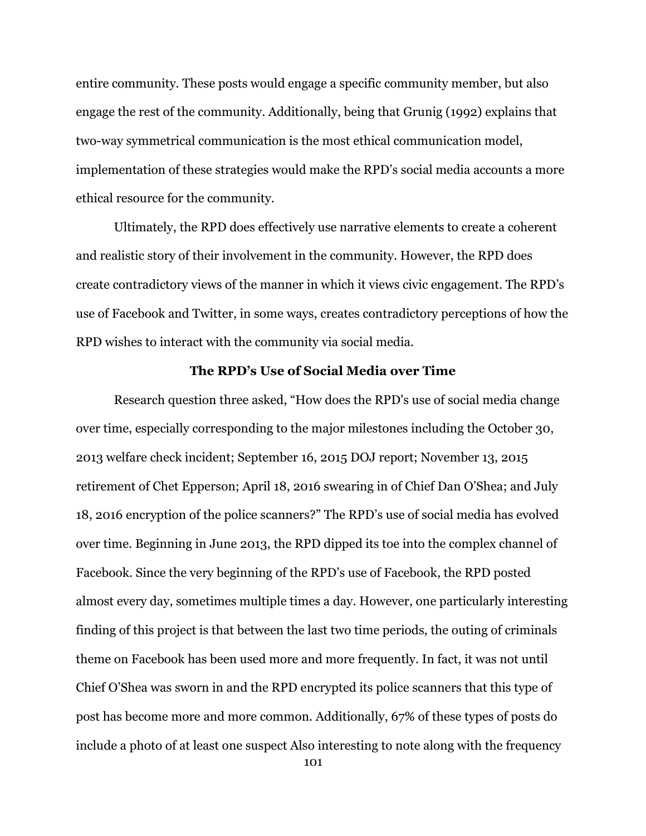entire community. These posts would engage a specific community member, but also engage the rest of the community. Additionally, being that Grunig (1992) explains that two-way symmetrical communication is the most ethical communication model, implementation of these strategies would make the RPD's social media accounts a more ethical resource for the community.

Ultimately, the RPD does effectively use narrative elements to create a coherent and realistic story of their involvement in the community. However, the RPD does create contradictory views of the manner in which it views civic engagement. The RPD's use of Facebook and Twitter, in some ways, creates contradictory perceptions of how the RPD wishes to interact with the community via social media.

## **The RPD's Use of Social Media over Time**

Research question three asked, "How does the RPD's use of social media change over time, especially corresponding to the major milestones including the October 30, 2013 welfare check incident; September 16, 2015 DOJ report; November 13, 2015 retirement of Chet Epperson; April 18, 2016 swearing in of Chief Dan O'Shea; and July 18, 2016 encryption of the police scanners?" The RPD's use of social media has evolved over time. Beginning in June 2013, the RPD dipped its toe into the complex channel of Facebook. Since the very beginning of the RPD's use of Facebook, the RPD posted almost every day, sometimes multiple times a day. However, one particularly interesting finding of this project is that between the last two time periods, the outing of criminals theme on Facebook has been used more and more frequently. In fact, it was not until Chief O'Shea was sworn in and the RPD encrypted its police scanners that this type of post has become more and more common. Additionally, 67% of these types of posts do include a photo of at least one suspect Also interesting to note along with the frequency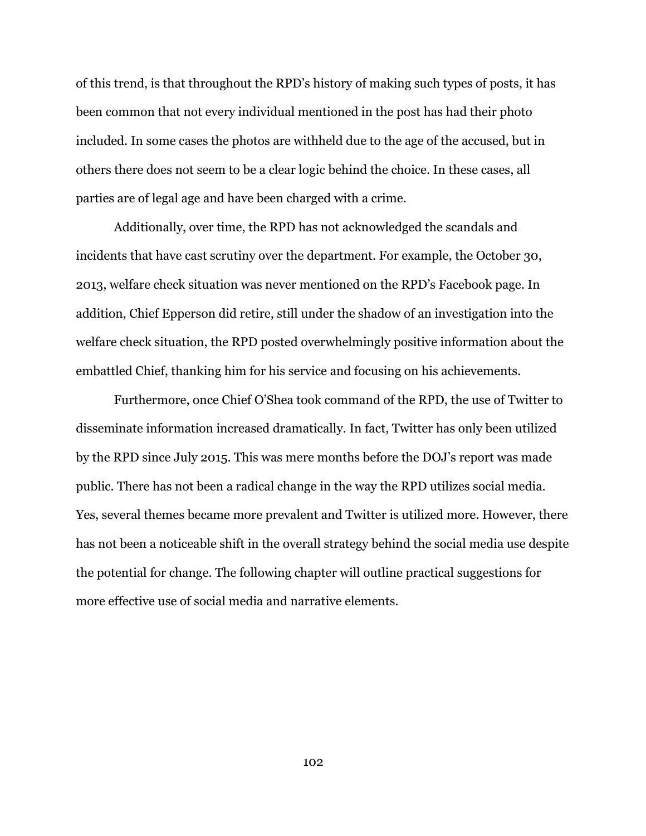of this trend, is that throughout the RPD's history of making such types of posts, it has been common that not every individual mentioned in the post has had their photo included. In some cases the photos are withheld due to the age of the accused, but in others there does not seem to be a clear logic behind the choice. In these cases, all parties are of legal age and have been charged with a crime.

Additionally, over time, the RPD has not acknowledged the scandals and incidents that have cast scrutiny over the department. For example, the October 30, 2013, welfare check situation was never mentioned on the RPD's Facebook page. In addition, Chief Epperson did retire, still under the shadow of an investigation into the welfare check situation, the RPD posted overwhelmingly positive information about the embattled Chief, thanking him for his service and focusing on his achievements.

Furthermore, once Chief O'Shea took command of the RPD, the use of Twitter to disseminate information increased dramatically. In fact, Twitter has only been utilized by the RPD since July 2015. This was mere months before the DOJ's report was made public. There has not been a radical change in the way the RPD utilizes social media. Yes, several themes became more prevalent and Twitter is utilized more. However, there has not been a noticeable shift in the overall strategy behind the social media use despite the potential for change. The following chapter will outline practical suggestions for more effective use of social media and narrative elements.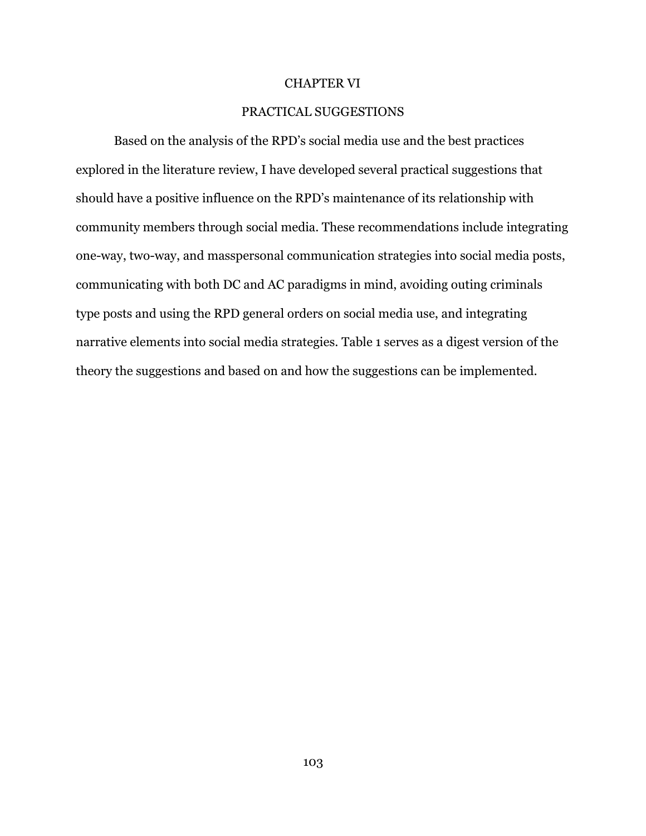#### CHAPTER VI

# PRACTICAL SUGGESTIONS

Based on the analysis of the RPD's social media use and the best practices explored in the literature review, I have developed several practical suggestions that should have a positive influence on the RPD's maintenance of its relationship with community members through social media. These recommendations include integrating one-way, two-way, and masspersonal communication strategies into social media posts, communicating with both DC and AC paradigms in mind, avoiding outing criminals type posts and using the RPD general orders on social media use, and integrating narrative elements into social media strategies. Table 1 serves as a digest version of the theory the suggestions and based on and how the suggestions can be implemented.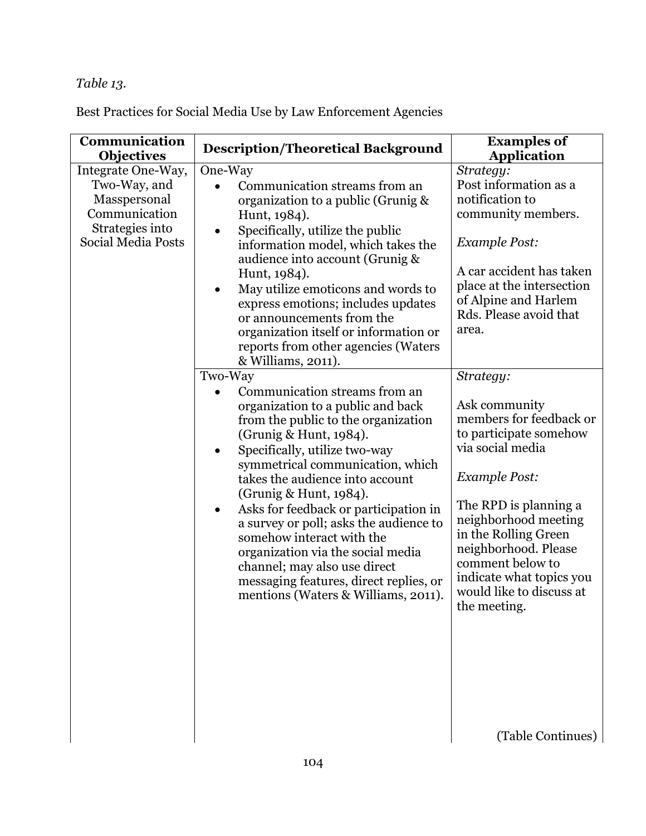# *Table 13.*

Best Practices for Social Media Use by Law Enforcement Agencies

| Communication<br><b>Objectives</b>                                                                           | <b>Description/Theoretical Background</b>                                                                                                                                                                                                                                                                                                                                                                                                                                                                                                                                                                                                                                                                                                                                                                                                                                                                                                                                                                                           | <b>Examples of</b><br><b>Application</b>                                                                                                                                                                                                                                                                                                                                                                                                                                                                                                            |
|--------------------------------------------------------------------------------------------------------------|-------------------------------------------------------------------------------------------------------------------------------------------------------------------------------------------------------------------------------------------------------------------------------------------------------------------------------------------------------------------------------------------------------------------------------------------------------------------------------------------------------------------------------------------------------------------------------------------------------------------------------------------------------------------------------------------------------------------------------------------------------------------------------------------------------------------------------------------------------------------------------------------------------------------------------------------------------------------------------------------------------------------------------------|-----------------------------------------------------------------------------------------------------------------------------------------------------------------------------------------------------------------------------------------------------------------------------------------------------------------------------------------------------------------------------------------------------------------------------------------------------------------------------------------------------------------------------------------------------|
| Integrate One-Way,<br>Two-Way, and<br>Masspersonal<br>Communication<br>Strategies into<br>Social Media Posts | One-Way<br>Communication streams from an<br>organization to a public (Grunig &<br>Hunt, 1984).<br>Specifically, utilize the public<br>٠<br>information model, which takes the<br>audience into account (Grunig &<br>Hunt, 1984).<br>May utilize emoticons and words to<br>express emotions; includes updates<br>or announcements from the<br>organization itself or information or<br>reports from other agencies (Waters<br>& Williams, 2011).<br>Two-Way<br>Communication streams from an<br>organization to a public and back<br>from the public to the organization<br>(Grunig & Hunt, 1984).<br>Specifically, utilize two-way<br>$\bullet$<br>symmetrical communication, which<br>takes the audience into account<br>(Grunig & Hunt, 1984).<br>Asks for feedback or participation in<br>$\bullet$<br>a survey or poll; asks the audience to<br>somehow interact with the<br>organization via the social media<br>channel; may also use direct<br>messaging features, direct replies, or<br>mentions (Waters & Williams, 2011). | Strategy:<br>Post information as a<br>notification to<br>community members.<br><b>Example Post:</b><br>A car accident has taken<br>place at the intersection<br>of Alpine and Harlem<br>Rds. Please avoid that<br>area.<br>Strategy:<br>Ask community<br>members for feedback or<br>to participate somehow<br>via social media<br><b>Example Post:</b><br>The RPD is planning a<br>neighborhood meeting<br>in the Rolling Green<br>neighborhood. Please<br>comment below to<br>indicate what topics you<br>would like to discuss at<br>the meeting. |
|                                                                                                              |                                                                                                                                                                                                                                                                                                                                                                                                                                                                                                                                                                                                                                                                                                                                                                                                                                                                                                                                                                                                                                     | (Table Continues)                                                                                                                                                                                                                                                                                                                                                                                                                                                                                                                                   |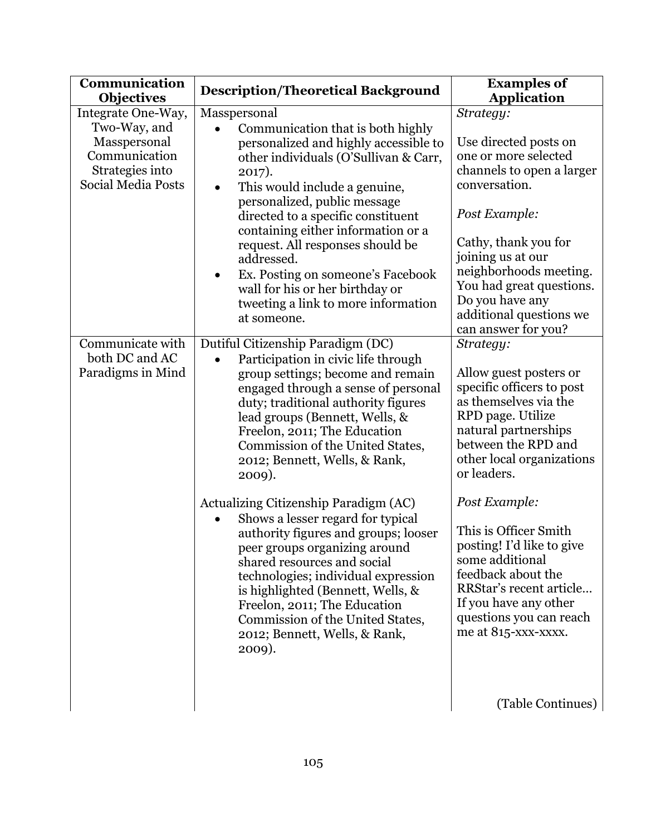| Communication<br><b>Objectives</b>                                                                           | <b>Description/Theoretical Background</b>                                                                                                                                                                                                                                                                                                                                                                                                                                                                                                                                                                                                                                                                                     | <b>Examples of</b><br><b>Application</b>                                                                                                                                                                                                                                                                                                                                                                                        |
|--------------------------------------------------------------------------------------------------------------|-------------------------------------------------------------------------------------------------------------------------------------------------------------------------------------------------------------------------------------------------------------------------------------------------------------------------------------------------------------------------------------------------------------------------------------------------------------------------------------------------------------------------------------------------------------------------------------------------------------------------------------------------------------------------------------------------------------------------------|---------------------------------------------------------------------------------------------------------------------------------------------------------------------------------------------------------------------------------------------------------------------------------------------------------------------------------------------------------------------------------------------------------------------------------|
| Integrate One-Way,<br>Two-Way, and<br>Masspersonal<br>Communication<br>Strategies into<br>Social Media Posts | Masspersonal<br>Communication that is both highly<br>personalized and highly accessible to<br>other individuals (O'Sullivan & Carr,<br>2017).<br>This would include a genuine,<br>$\bullet$<br>personalized, public message<br>directed to a specific constituent<br>containing either information or a<br>request. All responses should be<br>addressed.<br>Ex. Posting on someone's Facebook<br>wall for his or her birthday or<br>tweeting a link to more information<br>at someone.                                                                                                                                                                                                                                       | Strategy:<br>Use directed posts on<br>one or more selected<br>channels to open a larger<br>conversation.<br>Post Example:<br>Cathy, thank you for<br>joining us at our<br>neighborhoods meeting.<br>You had great questions.<br>Do you have any<br>additional questions we<br>can answer for you?                                                                                                                               |
| Communicate with<br>both DC and AC<br>Paradigms in Mind                                                      | Dutiful Citizenship Paradigm (DC)<br>Participation in civic life through<br>group settings; become and remain<br>engaged through a sense of personal<br>duty; traditional authority figures<br>lead groups (Bennett, Wells, &<br>Freelon, 2011; The Education<br>Commission of the United States,<br>2012; Bennett, Wells, & Rank,<br>2009).<br>Actualizing Citizenship Paradigm (AC)<br>Shows a lesser regard for typical<br>authority figures and groups; looser<br>peer groups organizing around<br>shared resources and social<br>technologies; individual expression<br>is highlighted (Bennett, Wells, &<br>Freelon, 2011; The Education<br>Commission of the United States,<br>2012; Bennett, Wells, & Rank,<br>2009). | Strategy:<br>Allow guest posters or<br>specific officers to post<br>as themselves via the<br>RPD page. Utilize<br>natural partnerships<br>between the RPD and<br>other local organizations<br>or leaders.<br>Post Example:<br>This is Officer Smith<br>posting! I'd like to give<br>some additional<br>feedback about the<br>RRStar's recent article<br>If you have any other<br>questions you can reach<br>me at 815-xxx-xxxx. |
|                                                                                                              |                                                                                                                                                                                                                                                                                                                                                                                                                                                                                                                                                                                                                                                                                                                               | (Table Continues)                                                                                                                                                                                                                                                                                                                                                                                                               |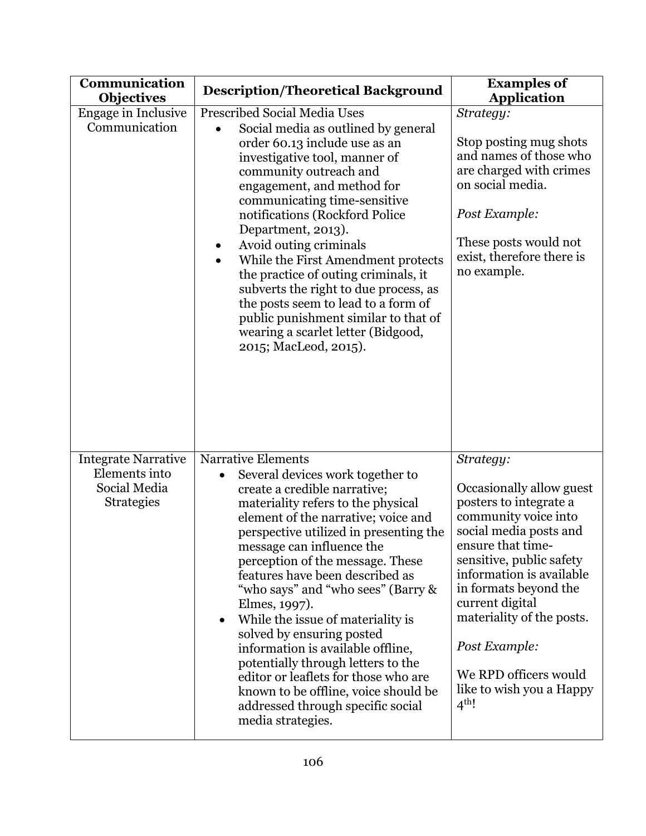| Communication<br><b>Objectives</b>                                               | <b>Description/Theoretical Background</b>                                                                                                                                                                                                                                                                                                                                                                                                                                                                                                                                                                                                                                                        | <b>Examples of</b><br><b>Application</b>                                                                                                                                                                                                                                                                                                                            |
|----------------------------------------------------------------------------------|--------------------------------------------------------------------------------------------------------------------------------------------------------------------------------------------------------------------------------------------------------------------------------------------------------------------------------------------------------------------------------------------------------------------------------------------------------------------------------------------------------------------------------------------------------------------------------------------------------------------------------------------------------------------------------------------------|---------------------------------------------------------------------------------------------------------------------------------------------------------------------------------------------------------------------------------------------------------------------------------------------------------------------------------------------------------------------|
| Engage in Inclusive<br>Communication                                             | <b>Prescribed Social Media Uses</b><br>Social media as outlined by general<br>order 60.13 include use as an<br>investigative tool, manner of<br>community outreach and<br>engagement, and method for<br>communicating time-sensitive<br>notifications (Rockford Police)<br>Department, 2013).<br>Avoid outing criminals<br>While the First Amendment protects<br>$\bullet$<br>the practice of outing criminals, it<br>subverts the right to due process, as<br>the posts seem to lead to a form of<br>public punishment similar to that of<br>wearing a scarlet letter (Bidgood,<br>2015; MacLeod, 2015).                                                                                        | Strategy:<br>Stop posting mug shots<br>and names of those who<br>are charged with crimes<br>on social media.<br>Post Example:<br>These posts would not<br>exist, therefore there is<br>no example.                                                                                                                                                                  |
| <b>Integrate Narrative</b><br>Elements into<br>Social Media<br><b>Strategies</b> | <b>Narrative Elements</b><br>Several devices work together to<br>$\bullet$<br>create a credible narrative;<br>materiality refers to the physical<br>element of the narrative; voice and<br>perspective utilized in presenting the<br>message can influence the<br>perception of the message. These<br>features have been described as<br>"who says" and "who sees" (Barry &<br>Elmes, 1997).<br>While the issue of materiality is<br>$\bullet$<br>solved by ensuring posted<br>information is available offline,<br>potentially through letters to the<br>editor or leaflets for those who are<br>known to be offline, voice should be<br>addressed through specific social<br>media strategies. | Strategy:<br>Occasionally allow guest<br>posters to integrate a<br>community voice into<br>social media posts and<br>ensure that time-<br>sensitive, public safety<br>information is available.<br>in formats beyond the<br>current digital<br>materiality of the posts.<br>Post Example:<br>We RPD officers would<br>like to wish you a Happy<br>4 <sup>th</sup> ! |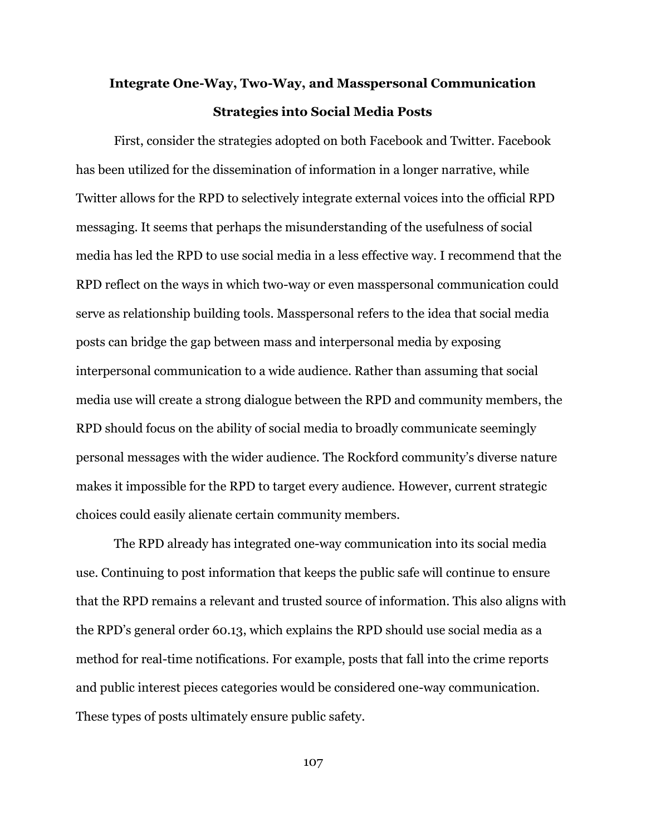# **Integrate One-Way, Two-Way, and Masspersonal Communication Strategies into Social Media Posts**

First, consider the strategies adopted on both Facebook and Twitter. Facebook has been utilized for the dissemination of information in a longer narrative, while Twitter allows for the RPD to selectively integrate external voices into the official RPD messaging. It seems that perhaps the misunderstanding of the usefulness of social media has led the RPD to use social media in a less effective way. I recommend that the RPD reflect on the ways in which two-way or even masspersonal communication could serve as relationship building tools. Masspersonal refers to the idea that social media posts can bridge the gap between mass and interpersonal media by exposing interpersonal communication to a wide audience. Rather than assuming that social media use will create a strong dialogue between the RPD and community members, the RPD should focus on the ability of social media to broadly communicate seemingly personal messages with the wider audience. The Rockford community's diverse nature makes it impossible for the RPD to target every audience. However, current strategic choices could easily alienate certain community members.

The RPD already has integrated one-way communication into its social media use. Continuing to post information that keeps the public safe will continue to ensure that the RPD remains a relevant and trusted source of information. This also aligns with the RPD's general order 60.13, which explains the RPD should use social media as a method for real-time notifications. For example, posts that fall into the crime reports and public interest pieces categories would be considered one-way communication. These types of posts ultimately ensure public safety.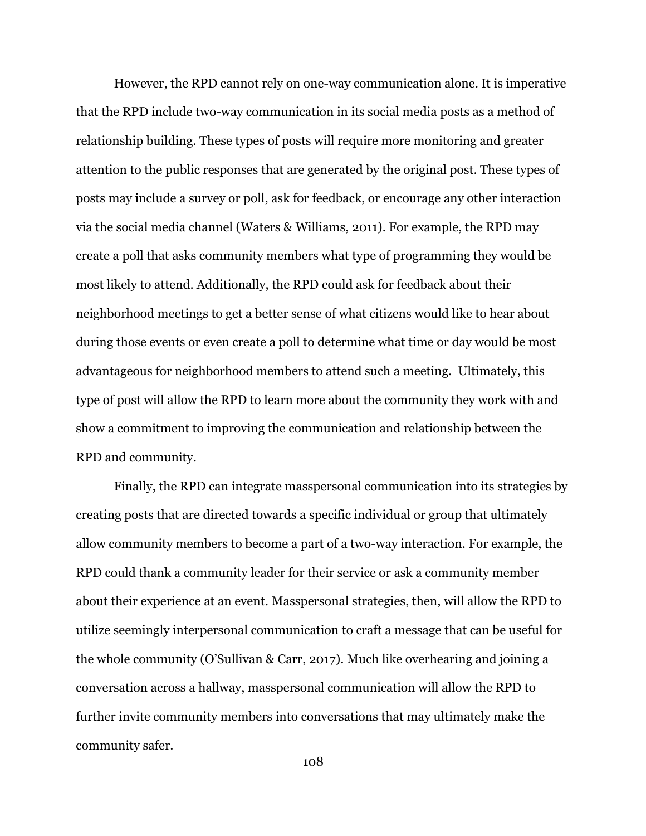However, the RPD cannot rely on one-way communication alone. It is imperative that the RPD include two-way communication in its social media posts as a method of relationship building. These types of posts will require more monitoring and greater attention to the public responses that are generated by the original post. These types of posts may include a survey or poll, ask for feedback, or encourage any other interaction via the social media channel (Waters & Williams, 2011). For example, the RPD may create a poll that asks community members what type of programming they would be most likely to attend. Additionally, the RPD could ask for feedback about their neighborhood meetings to get a better sense of what citizens would like to hear about during those events or even create a poll to determine what time or day would be most advantageous for neighborhood members to attend such a meeting. Ultimately, this type of post will allow the RPD to learn more about the community they work with and show a commitment to improving the communication and relationship between the RPD and community.

Finally, the RPD can integrate masspersonal communication into its strategies by creating posts that are directed towards a specific individual or group that ultimately allow community members to become a part of a two-way interaction. For example, the RPD could thank a community leader for their service or ask a community member about their experience at an event. Masspersonal strategies, then, will allow the RPD to utilize seemingly interpersonal communication to craft a message that can be useful for the whole community (O'Sullivan & Carr, 2017). Much like overhearing and joining a conversation across a hallway, masspersonal communication will allow the RPD to further invite community members into conversations that may ultimately make the community safer.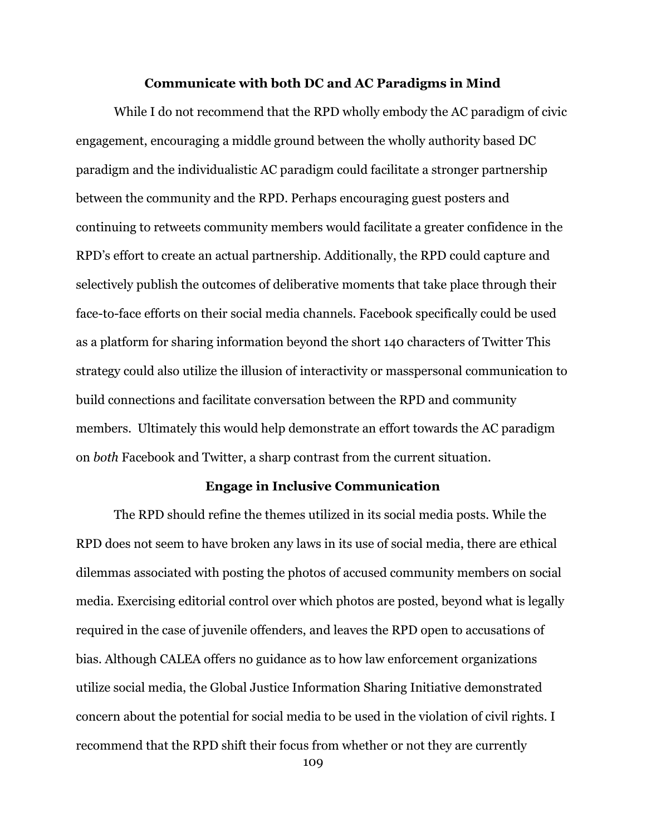## **Communicate with both DC and AC Paradigms in Mind**

While I do not recommend that the RPD wholly embody the AC paradigm of civic engagement, encouraging a middle ground between the wholly authority based DC paradigm and the individualistic AC paradigm could facilitate a stronger partnership between the community and the RPD. Perhaps encouraging guest posters and continuing to retweets community members would facilitate a greater confidence in the RPD's effort to create an actual partnership. Additionally, the RPD could capture and selectively publish the outcomes of deliberative moments that take place through their face-to-face efforts on their social media channels. Facebook specifically could be used as a platform for sharing information beyond the short 140 characters of Twitter This strategy could also utilize the illusion of interactivity or masspersonal communication to build connections and facilitate conversation between the RPD and community members. Ultimately this would help demonstrate an effort towards the AC paradigm on *both* Facebook and Twitter, a sharp contrast from the current situation.

### **Engage in Inclusive Communication**

The RPD should refine the themes utilized in its social media posts. While the RPD does not seem to have broken any laws in its use of social media, there are ethical dilemmas associated with posting the photos of accused community members on social media. Exercising editorial control over which photos are posted, beyond what is legally required in the case of juvenile offenders, and leaves the RPD open to accusations of bias. Although CALEA offers no guidance as to how law enforcement organizations utilize social media, the Global Justice Information Sharing Initiative demonstrated concern about the potential for social media to be used in the violation of civil rights. I recommend that the RPD shift their focus from whether or not they are currently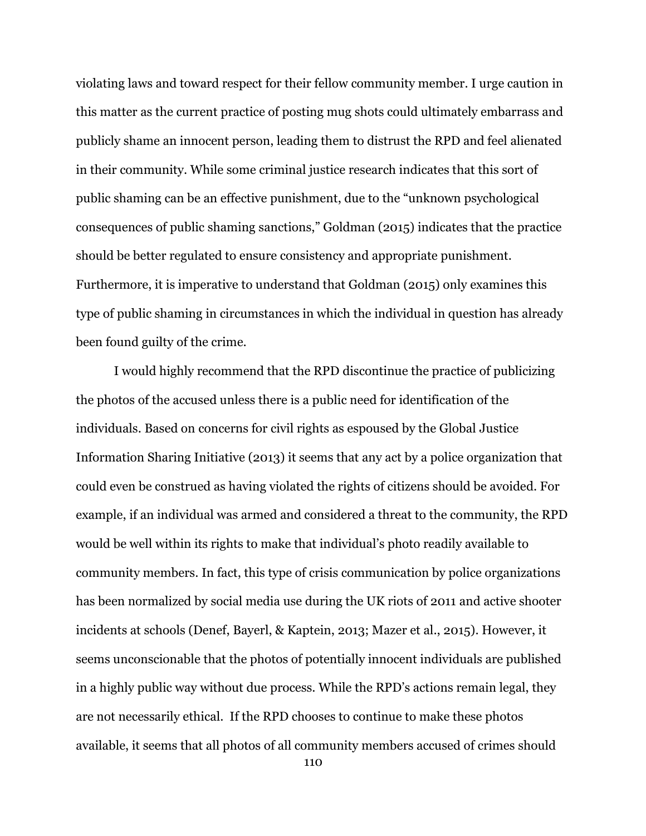violating laws and toward respect for their fellow community member. I urge caution in this matter as the current practice of posting mug shots could ultimately embarrass and publicly shame an innocent person, leading them to distrust the RPD and feel alienated in their community. While some criminal justice research indicates that this sort of public shaming can be an effective punishment, due to the "unknown psychological consequences of public shaming sanctions," Goldman (2015) indicates that the practice should be better regulated to ensure consistency and appropriate punishment. Furthermore, it is imperative to understand that Goldman (2015) only examines this type of public shaming in circumstances in which the individual in question has already been found guilty of the crime.

I would highly recommend that the RPD discontinue the practice of publicizing the photos of the accused unless there is a public need for identification of the individuals. Based on concerns for civil rights as espoused by the Global Justice Information Sharing Initiative (2013) it seems that any act by a police organization that could even be construed as having violated the rights of citizens should be avoided. For example, if an individual was armed and considered a threat to the community, the RPD would be well within its rights to make that individual's photo readily available to community members. In fact, this type of crisis communication by police organizations has been normalized by social media use during the UK riots of 2011 and active shooter incidents at schools (Denef, Bayerl, & Kaptein, 2013; Mazer et al., 2015). However, it seems unconscionable that the photos of potentially innocent individuals are published in a highly public way without due process. While the RPD's actions remain legal, they are not necessarily ethical. If the RPD chooses to continue to make these photos available, it seems that all photos of all community members accused of crimes should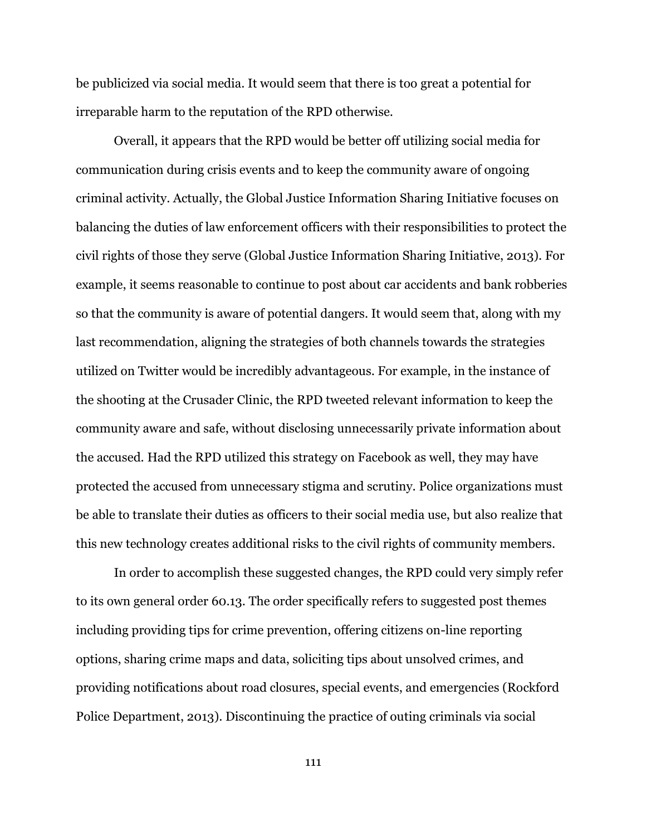be publicized via social media. It would seem that there is too great a potential for irreparable harm to the reputation of the RPD otherwise.

Overall, it appears that the RPD would be better off utilizing social media for communication during crisis events and to keep the community aware of ongoing criminal activity. Actually, the Global Justice Information Sharing Initiative focuses on balancing the duties of law enforcement officers with their responsibilities to protect the civil rights of those they serve (Global Justice Information Sharing Initiative, 2013). For example, it seems reasonable to continue to post about car accidents and bank robberies so that the community is aware of potential dangers. It would seem that, along with my last recommendation, aligning the strategies of both channels towards the strategies utilized on Twitter would be incredibly advantageous. For example, in the instance of the shooting at the Crusader Clinic, the RPD tweeted relevant information to keep the community aware and safe, without disclosing unnecessarily private information about the accused. Had the RPD utilized this strategy on Facebook as well, they may have protected the accused from unnecessary stigma and scrutiny. Police organizations must be able to translate their duties as officers to their social media use, but also realize that this new technology creates additional risks to the civil rights of community members.

In order to accomplish these suggested changes, the RPD could very simply refer to its own general order 60.13. The order specifically refers to suggested post themes including providing tips for crime prevention, offering citizens on-line reporting options, sharing crime maps and data, soliciting tips about unsolved crimes, and providing notifications about road closures, special events, and emergencies (Rockford Police Department, 2013). Discontinuing the practice of outing criminals via social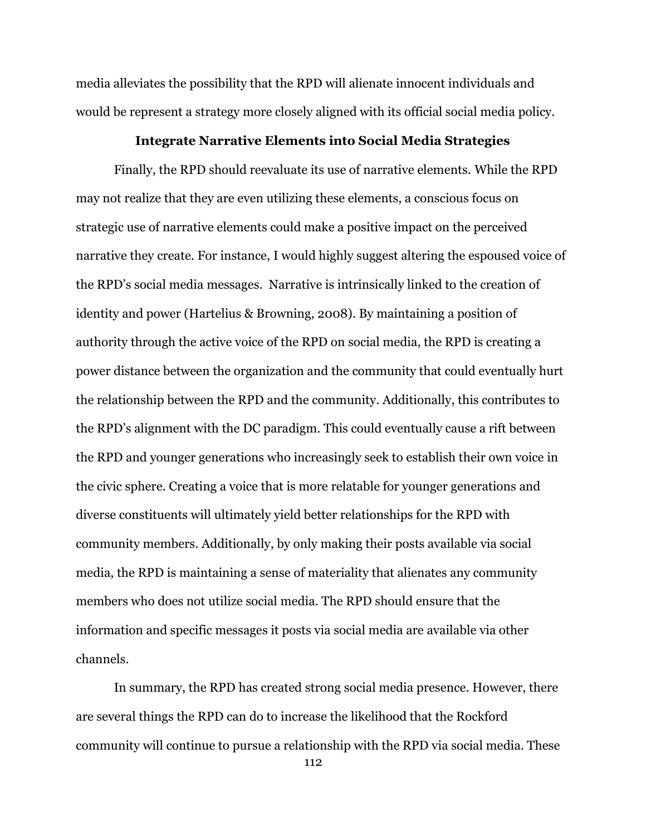media alleviates the possibility that the RPD will alienate innocent individuals and would be represent a strategy more closely aligned with its official social media policy.

## **Integrate Narrative Elements into Social Media Strategies**

Finally, the RPD should reevaluate its use of narrative elements. While the RPD may not realize that they are even utilizing these elements, a conscious focus on strategic use of narrative elements could make a positive impact on the perceived narrative they create. For instance, I would highly suggest altering the espoused voice of the RPD's social media messages. Narrative is intrinsically linked to the creation of identity and power (Hartelius & Browning, 2008). By maintaining a position of authority through the active voice of the RPD on social media, the RPD is creating a power distance between the organization and the community that could eventually hurt the relationship between the RPD and the community. Additionally, this contributes to the RPD's alignment with the DC paradigm. This could eventually cause a rift between the RPD and younger generations who increasingly seek to establish their own voice in the civic sphere. Creating a voice that is more relatable for younger generations and diverse constituents will ultimately yield better relationships for the RPD with community members. Additionally, by only making their posts available via social media, the RPD is maintaining a sense of materiality that alienates any community members who does not utilize social media. The RPD should ensure that the information and specific messages it posts via social media are available via other channels.

In summary, the RPD has created strong social media presence. However, there are several things the RPD can do to increase the likelihood that the Rockford community will continue to pursue a relationship with the RPD via social media. These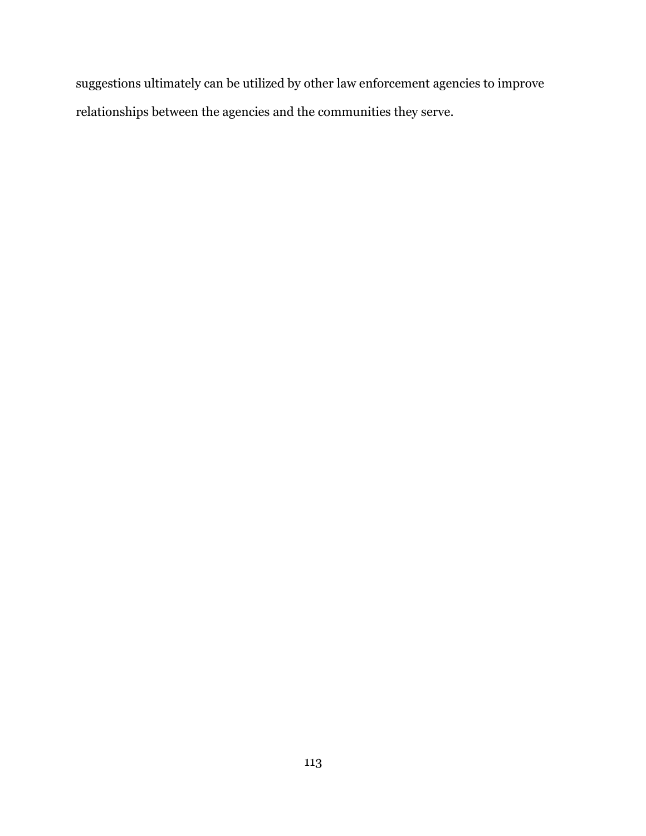suggestions ultimately can be utilized by other law enforcement agencies to improve relationships between the agencies and the communities they serve.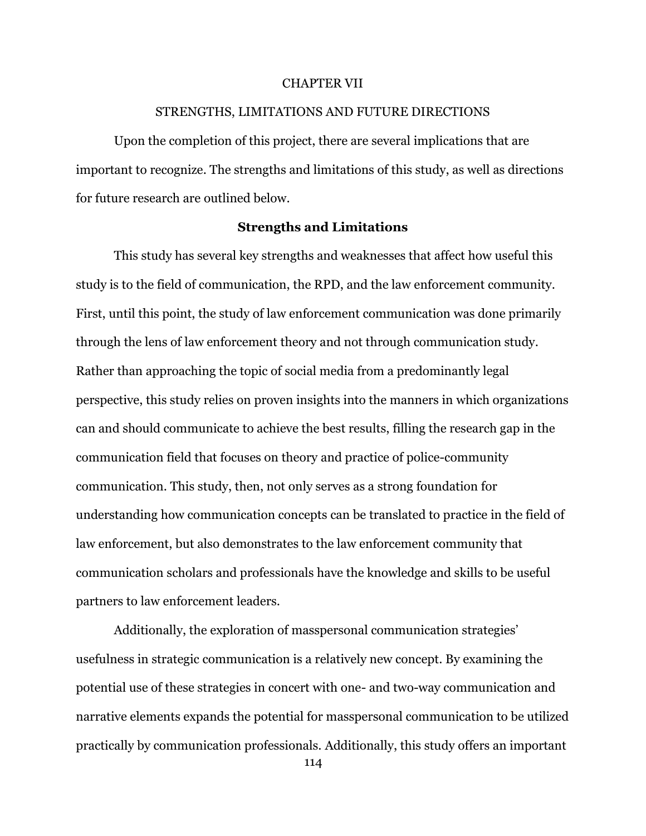### CHAPTER VII

# STRENGTHS, LIMITATIONS AND FUTURE DIRECTIONS

Upon the completion of this project, there are several implications that are important to recognize. The strengths and limitations of this study, as well as directions for future research are outlined below.

## **Strengths and Limitations**

This study has several key strengths and weaknesses that affect how useful this study is to the field of communication, the RPD, and the law enforcement community. First, until this point, the study of law enforcement communication was done primarily through the lens of law enforcement theory and not through communication study. Rather than approaching the topic of social media from a predominantly legal perspective, this study relies on proven insights into the manners in which organizations can and should communicate to achieve the best results, filling the research gap in the communication field that focuses on theory and practice of police-community communication. This study, then, not only serves as a strong foundation for understanding how communication concepts can be translated to practice in the field of law enforcement, but also demonstrates to the law enforcement community that communication scholars and professionals have the knowledge and skills to be useful partners to law enforcement leaders.

Additionally, the exploration of masspersonal communication strategies' usefulness in strategic communication is a relatively new concept. By examining the potential use of these strategies in concert with one- and two-way communication and narrative elements expands the potential for masspersonal communication to be utilized practically by communication professionals. Additionally, this study offers an important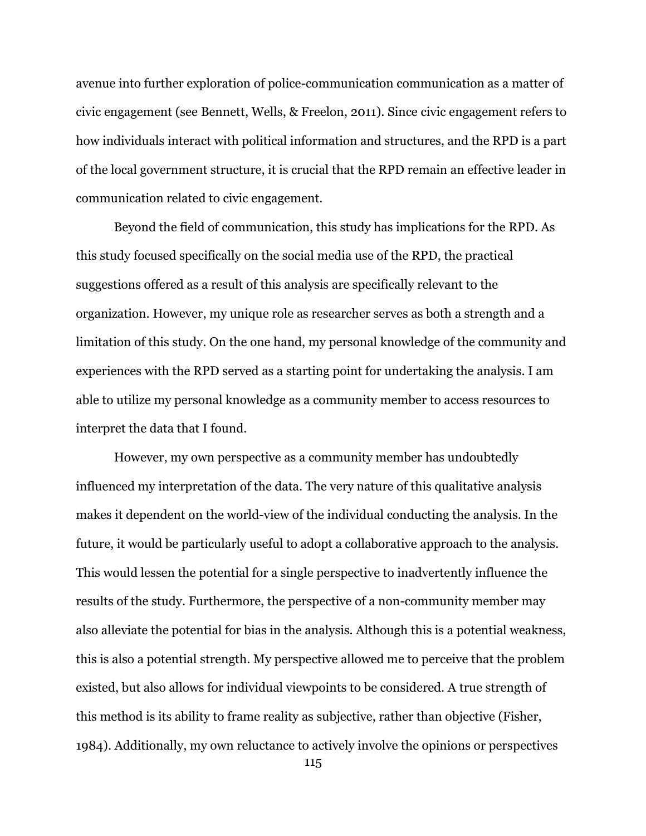avenue into further exploration of police-communication communication as a matter of civic engagement (see Bennett, Wells, & Freelon, 2011). Since civic engagement refers to how individuals interact with political information and structures, and the RPD is a part of the local government structure, it is crucial that the RPD remain an effective leader in communication related to civic engagement.

Beyond the field of communication, this study has implications for the RPD. As this study focused specifically on the social media use of the RPD, the practical suggestions offered as a result of this analysis are specifically relevant to the organization. However, my unique role as researcher serves as both a strength and a limitation of this study. On the one hand, my personal knowledge of the community and experiences with the RPD served as a starting point for undertaking the analysis. I am able to utilize my personal knowledge as a community member to access resources to interpret the data that I found.

However, my own perspective as a community member has undoubtedly influenced my interpretation of the data. The very nature of this qualitative analysis makes it dependent on the world-view of the individual conducting the analysis. In the future, it would be particularly useful to adopt a collaborative approach to the analysis. This would lessen the potential for a single perspective to inadvertently influence the results of the study. Furthermore, the perspective of a non-community member may also alleviate the potential for bias in the analysis. Although this is a potential weakness, this is also a potential strength. My perspective allowed me to perceive that the problem existed, but also allows for individual viewpoints to be considered. A true strength of this method is its ability to frame reality as subjective, rather than objective (Fisher, 1984). Additionally, my own reluctance to actively involve the opinions or perspectives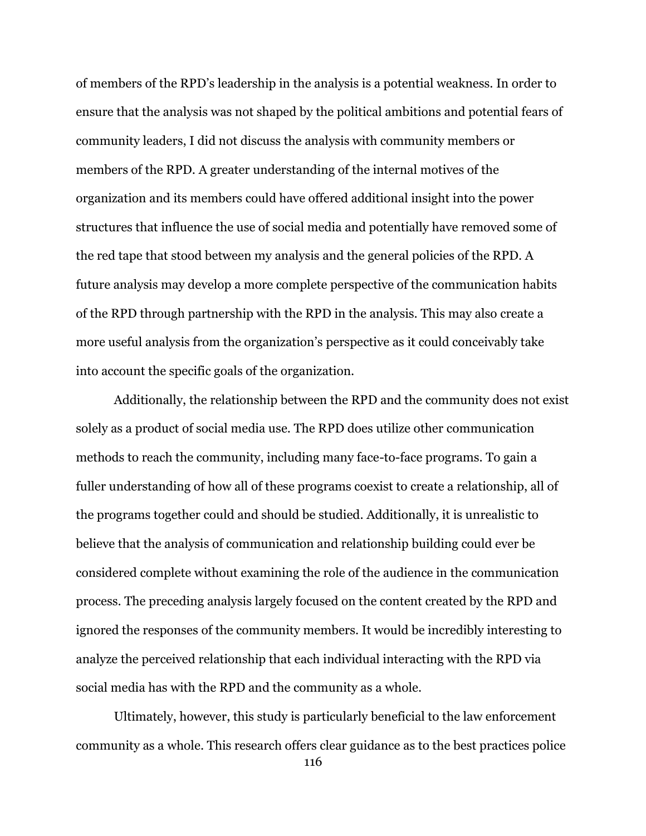of members of the RPD's leadership in the analysis is a potential weakness. In order to ensure that the analysis was not shaped by the political ambitions and potential fears of community leaders, I did not discuss the analysis with community members or members of the RPD. A greater understanding of the internal motives of the organization and its members could have offered additional insight into the power structures that influence the use of social media and potentially have removed some of the red tape that stood between my analysis and the general policies of the RPD. A future analysis may develop a more complete perspective of the communication habits of the RPD through partnership with the RPD in the analysis. This may also create a more useful analysis from the organization's perspective as it could conceivably take into account the specific goals of the organization.

Additionally, the relationship between the RPD and the community does not exist solely as a product of social media use. The RPD does utilize other communication methods to reach the community, including many face-to-face programs. To gain a fuller understanding of how all of these programs coexist to create a relationship, all of the programs together could and should be studied. Additionally, it is unrealistic to believe that the analysis of communication and relationship building could ever be considered complete without examining the role of the audience in the communication process. The preceding analysis largely focused on the content created by the RPD and ignored the responses of the community members. It would be incredibly interesting to analyze the perceived relationship that each individual interacting with the RPD via social media has with the RPD and the community as a whole.

Ultimately, however, this study is particularly beneficial to the law enforcement community as a whole. This research offers clear guidance as to the best practices police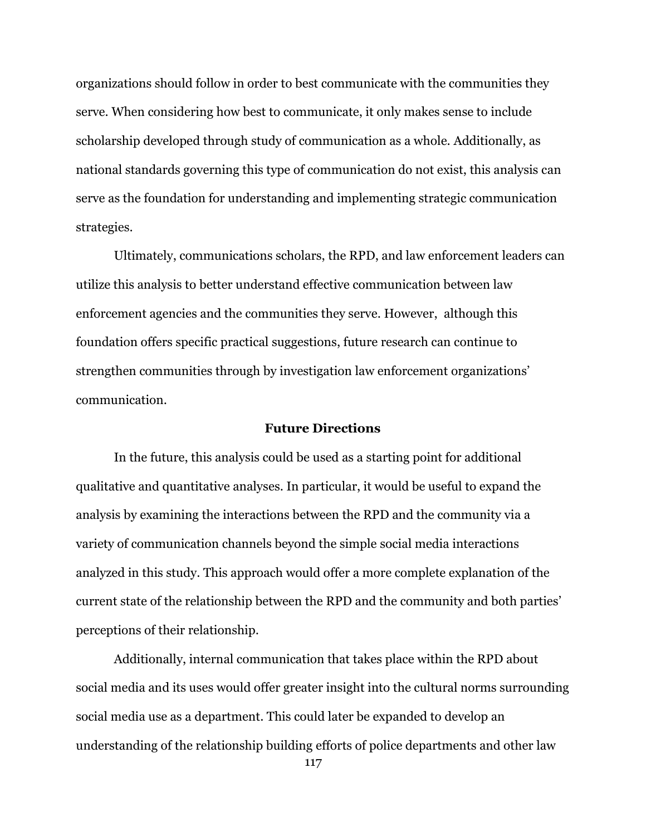organizations should follow in order to best communicate with the communities they serve. When considering how best to communicate, it only makes sense to include scholarship developed through study of communication as a whole. Additionally, as national standards governing this type of communication do not exist, this analysis can serve as the foundation for understanding and implementing strategic communication strategies.

Ultimately, communications scholars, the RPD, and law enforcement leaders can utilize this analysis to better understand effective communication between law enforcement agencies and the communities they serve. However, although this foundation offers specific practical suggestions, future research can continue to strengthen communities through by investigation law enforcement organizations' communication.

# **Future Directions**

In the future, this analysis could be used as a starting point for additional qualitative and quantitative analyses. In particular, it would be useful to expand the analysis by examining the interactions between the RPD and the community via a variety of communication channels beyond the simple social media interactions analyzed in this study. This approach would offer a more complete explanation of the current state of the relationship between the RPD and the community and both parties' perceptions of their relationship.

Additionally, internal communication that takes place within the RPD about social media and its uses would offer greater insight into the cultural norms surrounding social media use as a department. This could later be expanded to develop an understanding of the relationship building efforts of police departments and other law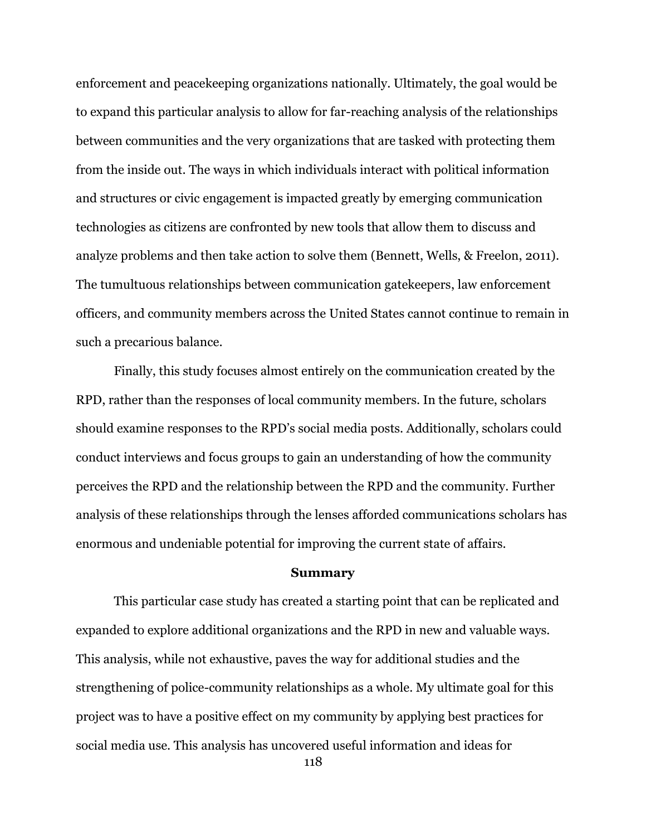enforcement and peacekeeping organizations nationally. Ultimately, the goal would be to expand this particular analysis to allow for far-reaching analysis of the relationships between communities and the very organizations that are tasked with protecting them from the inside out. The ways in which individuals interact with political information and structures or civic engagement is impacted greatly by emerging communication technologies as citizens are confronted by new tools that allow them to discuss and analyze problems and then take action to solve them (Bennett, Wells, & Freelon, 2011). The tumultuous relationships between communication gatekeepers, law enforcement officers, and community members across the United States cannot continue to remain in such a precarious balance.

Finally, this study focuses almost entirely on the communication created by the RPD, rather than the responses of local community members. In the future, scholars should examine responses to the RPD's social media posts. Additionally, scholars could conduct interviews and focus groups to gain an understanding of how the community perceives the RPD and the relationship between the RPD and the community. Further analysis of these relationships through the lenses afforded communications scholars has enormous and undeniable potential for improving the current state of affairs.

### **Summary**

This particular case study has created a starting point that can be replicated and expanded to explore additional organizations and the RPD in new and valuable ways. This analysis, while not exhaustive, paves the way for additional studies and the strengthening of police-community relationships as a whole. My ultimate goal for this project was to have a positive effect on my community by applying best practices for social media use. This analysis has uncovered useful information and ideas for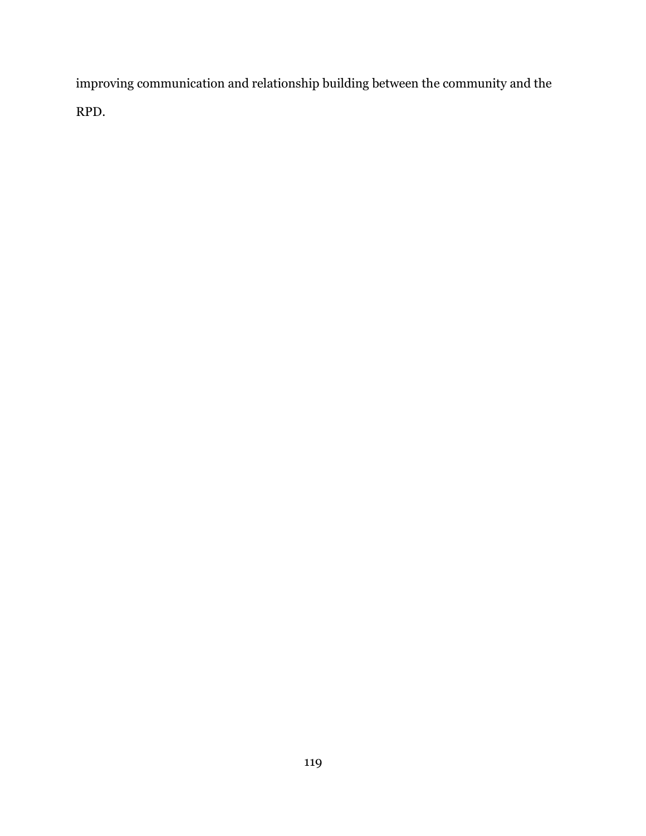improving communication and relationship building between the community and the RPD.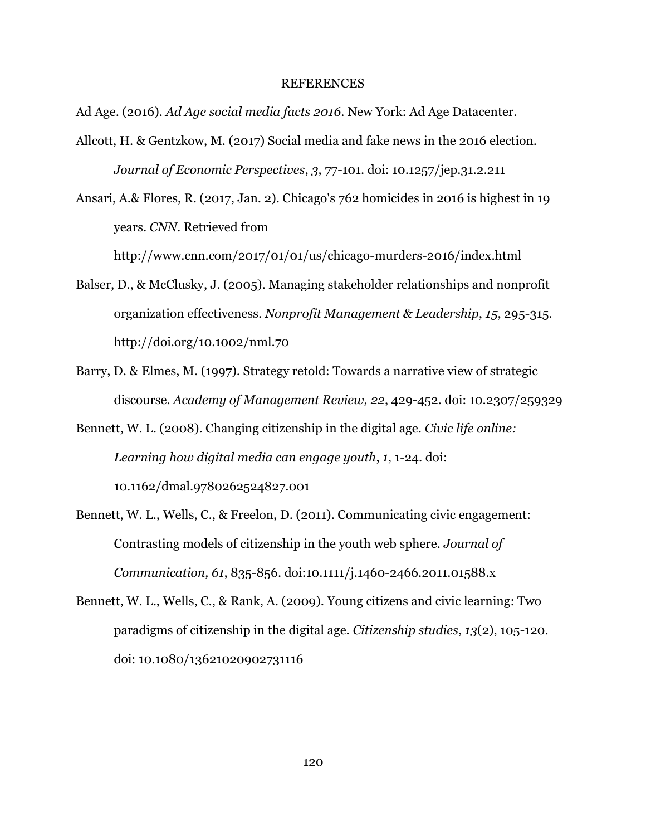#### REFERENCES

Ad Age. (2016). *Ad Age social media facts 2016*. New York: Ad Age Datacenter.

Allcott, H. & Gentzkow, M. (2017) Social media and fake news in the 2016 election. *Journal of Economic Perspectives*, *3*, 77-101. doi: 10.1257/jep.31.2.211

Ansari, A.& Flores, R. (2017, Jan. 2). Chicago's 762 homicides in 2016 is highest in 19 years. *CNN*. Retrieved from

http://www.cnn.com/2017/01/01/us/chicago-murders-2016/index.html

- Balser, D., & McClusky, J. (2005). Managing stakeholder relationships and nonprofit organization effectiveness. *Nonprofit Management & Leadership*, *15*, 295-315. http://doi.org/10.1002/nml.70
- Barry, D. & Elmes, M. (1997). Strategy retold: Towards a narrative view of strategic discourse. *Academy of Management Review, 22*, 429-452. doi: 10.2307/259329
- Bennett, W. L. (2008). Changing citizenship in the digital age. *Civic life online: Learning how digital media can engage youth*, *1*, 1-24. doi: 10.1162/dmal.9780262524827.001
- Bennett, W. L., Wells, C., & Freelon, D. (2011). Communicating civic engagement: Contrasting models of citizenship in the youth web sphere. *Journal of Communication, 61*, 835-856. doi:10.1111/j.1460-2466.2011.01588.x
- Bennett, W. L., Wells, C., & Rank, A. (2009). Young citizens and civic learning: Two paradigms of citizenship in the digital age. *Citizenship studies*, *13*(2), 105-120. doi: 10.1080/13621020902731116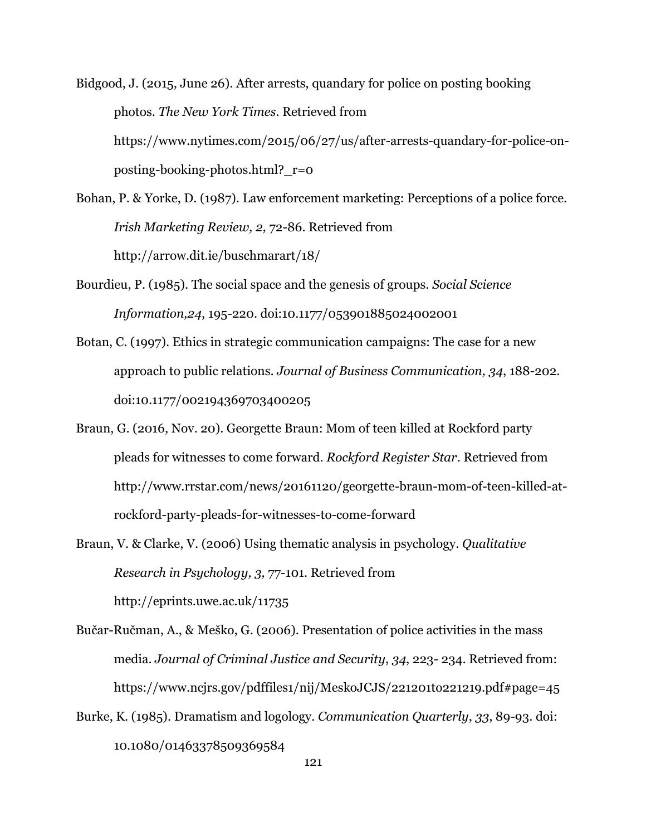Bidgood, J. (2015, June 26). After arrests, quandary for police on posting booking photos. *The New York Times*. Retrieved from https://www.nytimes.com/2015/06/27/us/after-arrests-quandary-for-police-onposting-booking-photos.html?\_r=0

- Bohan, P. & Yorke, D. (1987). Law enforcement marketing: Perceptions of a police force. *Irish Marketing Review, 2,* 72-86. Retrieved from http://arrow.dit.ie/buschmarart/18/
- Bourdieu, P. (1985). The social space and the genesis of groups. *Social Science Information,24*, 195-220. doi:10.1177/053901885024002001
- Botan, C. (1997). Ethics in strategic communication campaigns: The case for a new approach to public relations. *Journal of Business Communication, 34*, 188-202. doi:10.1177/002194369703400205
- Braun, G. (2016, Nov. 20). Georgette Braun: Mom of teen killed at Rockford party pleads for witnesses to come forward. *Rockford Register Star*. Retrieved from http://www.rrstar.com/news/20161120/georgette-braun-mom-of-teen-killed-atrockford-party-pleads-for-witnesses-to-come-forward
- Braun, V. & Clarke, V. (2006) Using thematic analysis in psychology. *Qualitative Research in Psychology, 3,* 77-101. Retrieved from http://eprints.uwe.ac.uk/11735
- Bučar-Ručman, A., & Meško, G. (2006). Presentation of police activities in the mass media. *Journal of Criminal Justice and Security*, *34*, 223- 234. Retrieved from: https://www.ncjrs.gov/pdffiles1/nij/MeskoJCJS/221201to221219.pdf#page=45
- Burke, K. (1985). Dramatism and logology. *Communication Quarterly*, *33*, 89-93. doi: 10.1080/01463378509369584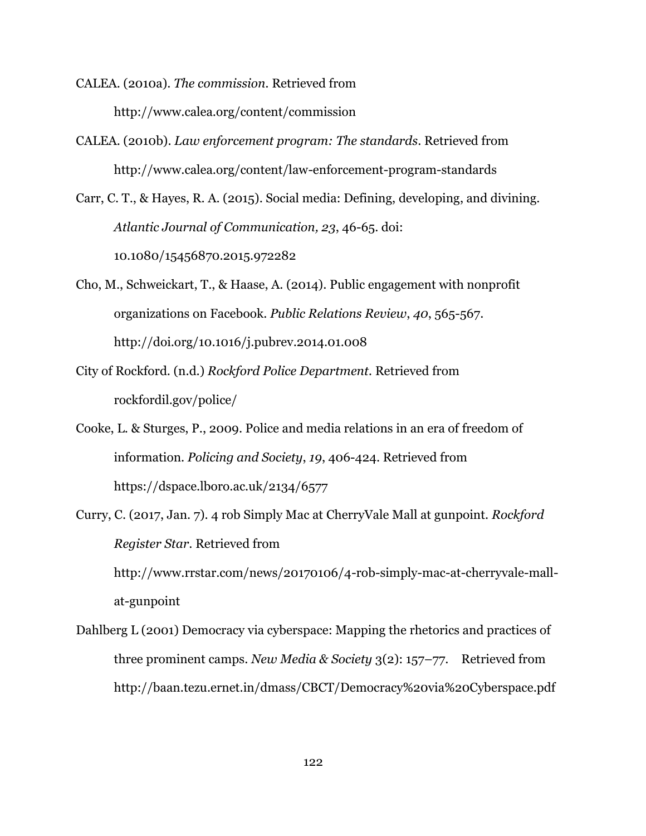- CALEA. (2010a). *The commission.* Retrieved from http://www.calea.org/content/commission
- CALEA. (2010b). *Law enforcement program: The standards*. Retrieved from http://www.calea.org/content/law-enforcement-program-standards
- Carr, C. T., & Hayes, R. A. (2015). Social media: Defining, developing, and divining. *Atlantic Journal of Communication, 23*, 46-65. doi: 10.1080/15456870.2015.972282
- Cho, M., Schweickart, T., & Haase, A. (2014). Public engagement with nonprofit organizations on Facebook. *Public Relations Review*, *40*, 565-567. http://doi.org/10.1016/j.pubrev.2014.01.008
- City of Rockford. (n.d.) *Rockford Police Department.* Retrieved from rockfordil.gov/police/
- Cooke, L. & Sturges, P., 2009. Police and media relations in an era of freedom of information. *Policing and Society*, *19*, 406-424. Retrieved from https://dspace.lboro.ac.uk/2134/6577
- Curry, C. (2017, Jan. 7). 4 rob Simply Mac at CherryVale Mall at gunpoint. *Rockford Register Star*. Retrieved from http://www.rrstar.com/news/20170106/4-rob-simply-mac-at-cherryvale-mall-

at-gunpoint Dahlberg L (2001) Democracy via cyberspace: Mapping the rhetorics and practices of three prominent camps. *New Media & Society* 3(2): 157–77. Retrieved from

http://baan.tezu.ernet.in/dmass/CBCT/Democracy%20via%20Cyberspace.pdf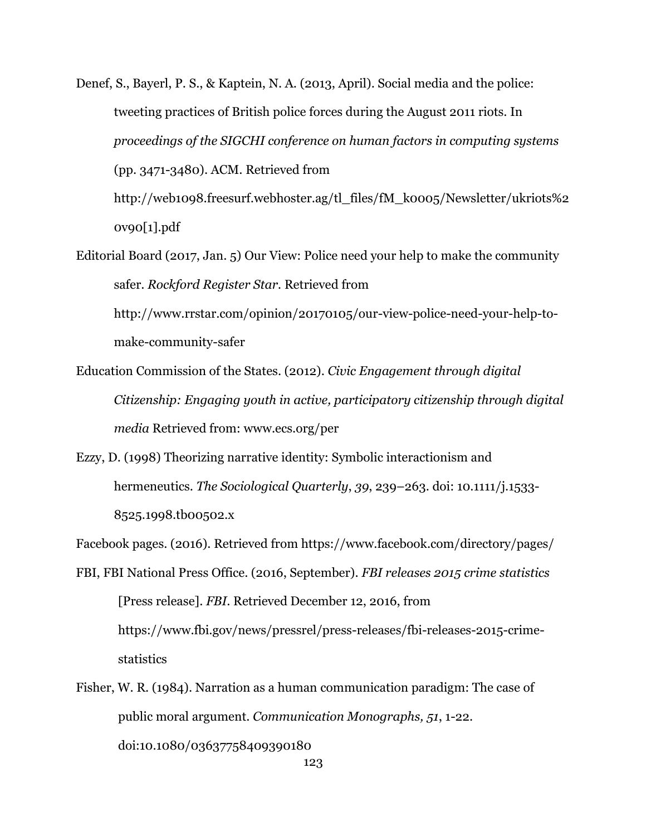Denef, S., Bayerl, P. S., & Kaptein, N. A. (2013, April). Social media and the police: tweeting practices of British police forces during the August 2011 riots. In *proceedings of the SIGCHI conference on human factors in computing systems* (pp. 3471-3480). ACM. Retrieved from http://web1098.freesurf.webhoster.ag/tl\_files/fM\_k0005/Newsletter/ukriots%2

0v90[1].pdf

Editorial Board (2017, Jan. 5) Our View: Police need your help to make the community safer. *Rockford Register Star.* Retrieved from

http://www.rrstar.com/opinion/20170105/our-view-police-need-your-help-tomake-community-safer

- Education Commission of the States. (2012). *Civic Engagement through digital Citizenship: Engaging youth in active, participatory citizenship through digital media* Retrieved from: www.ecs.org/per
- Ezzy, D. (1998) Theorizing narrative identity: Symbolic interactionism and hermeneutics. *The Sociological Quarterly*, *39*, 239–263. doi: 10.1111/j.1533- 8525.1998.tb00502.x

Facebook pages. (2016). Retrieved from https://www.facebook.com/directory/pages/

- FBI, FBI National Press Office. (2016, September). *FBI releases 2015 crime statistics* [Press release]. *FBI*. Retrieved December 12, 2016, from https://www.fbi.gov/news/pressrel/press-releases/fbi-releases-2015-crimestatistics
- Fisher, W. R. (1984). Narration as a human communication paradigm: The case of public moral argument. *Communication Monographs, 51*, 1-22. doi:10.1080/03637758409390180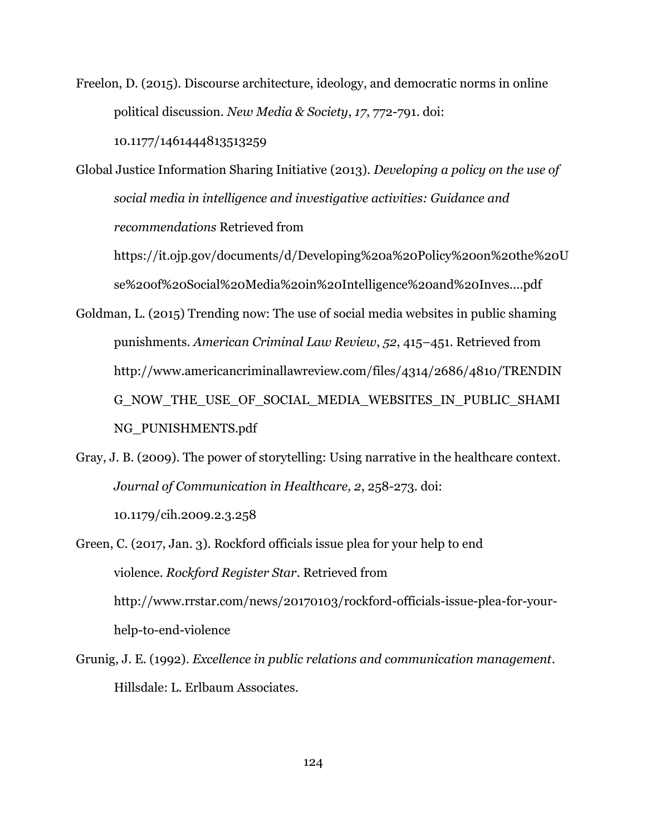Freelon, D. (2015). Discourse architecture, ideology, and democratic norms in online political discussion. *New Media & Society*, *17*, 772-791. doi:

10.1177/1461444813513259

Global Justice Information Sharing Initiative (2013). *Developing a policy on the use of social media in intelligence and investigative activities: Guidance and recommendations* Retrieved from

https://it.ojp.gov/documents/d/Developing%20a%20Policy%20on%20the%20U se%20of%20Social%20Media%20in%20Intelligence%20and%20Inves....pdf

- Goldman, L. (2015) Trending now: The use of social media websites in public shaming punishments. *American Criminal Law Review*, *52*, 415–451. Retrieved from http://www.americancriminallawreview.com/files/4314/2686/4810/TRENDIN G\_NOW\_THE\_USE\_OF\_SOCIAL\_MEDIA\_WEBSITES\_IN\_PUBLIC\_SHAMI NG\_PUNISHMENTS.pdf
- Gray, J. B. (2009). The power of storytelling: Using narrative in the healthcare context. *Journal of Communication in Healthcare, 2*, 258-273. doi: 10.1179/cih.2009.2.3.258
- Green, C. (2017, Jan. 3). Rockford officials issue plea for your help to end violence. *Rockford Register Star*. Retrieved from http://www.rrstar.com/news/20170103/rockford-officials-issue-plea-for-yourhelp-to-end-violence
- Grunig, J. E. (1992). *Excellence in public relations and communication management*. Hillsdale: L. Erlbaum Associates.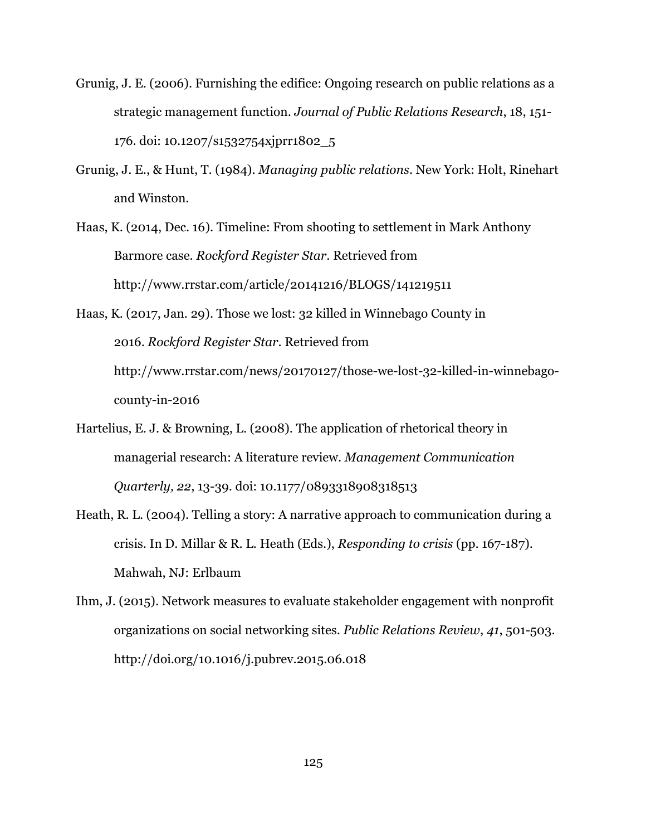- Grunig, J. E. (2006). Furnishing the edifice: Ongoing research on public relations as a strategic management function. *Journal of Public Relations Research*, 18, 151- 176. doi: 10.1207/s1532754xjprr1802\_5
- Grunig, J. E., & Hunt, T. (1984). *Managing public relations*. New York: Holt, Rinehart and Winston.
- Haas, K. (2014, Dec. 16). Timeline: From shooting to settlement in Mark Anthony Barmore case. *Rockford Register Star*. Retrieved from http://www.rrstar.com/article/20141216/BLOGS/141219511
- Haas, K. (2017, Jan. 29). Those we lost: 32 killed in Winnebago County in 2016. *Rockford Register Star*. Retrieved from http://www.rrstar.com/news/20170127/those-we-lost-32-killed-in-winnebagocounty-in-2016
- Hartelius, E. J. & Browning, L. (2008). The application of rhetorical theory in managerial research: A literature review. *Management Communication Quarterly, 22*, 13-39. doi: 10.1177/0893318908318513
- Heath, R. L. (2004). Telling a story: A narrative approach to communication during a crisis. In D. Millar & R. L. Heath (Eds.), *Responding to crisis* (pp. 167-187). Mahwah, NJ: Erlbaum
- Ihm, J. (2015). Network measures to evaluate stakeholder engagement with nonprofit organizations on social networking sites. *Public Relations Review*, *41*, 501-503. http://doi.org/10.1016/j.pubrev.2015.06.018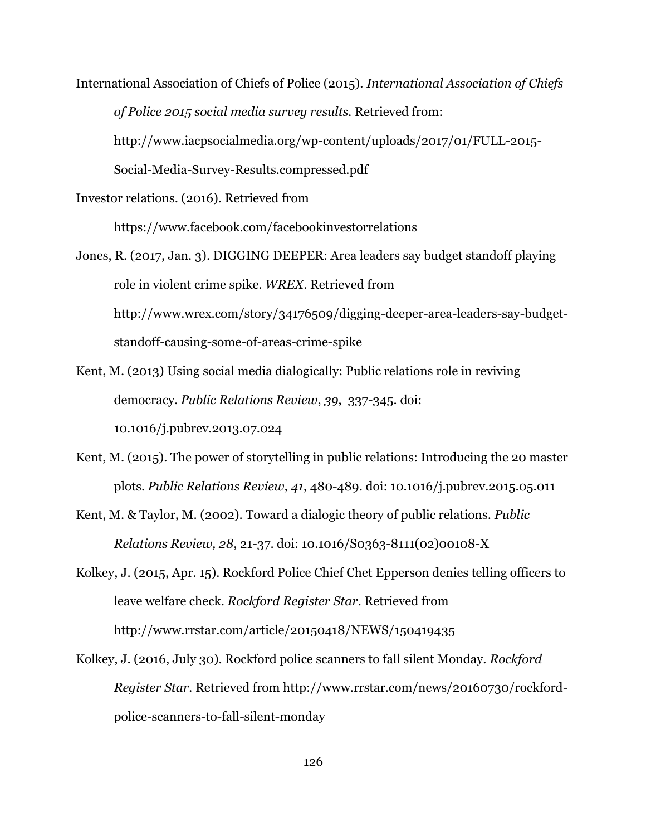International Association of Chiefs of Police (2015). *International Association of Chiefs of Police 2015 social media survey results.* Retrieved from:

http://www.iacpsocialmedia.org/wp-content/uploads/2017/01/FULL-2015-

Social-Media-Survey-Results.compressed.pdf

Investor relations. (2016). Retrieved from

https://www.facebook.com/facebookinvestorrelations

- Jones, R. (2017, Jan. 3). DIGGING DEEPER: Area leaders say budget standoff playing role in violent crime spike. *WREX*. Retrieved from http://www.wrex.com/story/34176509/digging-deeper-area-leaders-say-budgetstandoff-causing-some-of-areas-crime-spike
- Kent, M. (2013) Using social media dialogically: Public relations role in reviving democracy. *Public Relations Review*, *39*, 337-345. doi: 10.1016/j.pubrev.2013.07.024
- Kent, M. (2015). The power of storytelling in public relations: Introducing the 20 master plots. *Public Relations Review, 41,* 480-489. doi: 10.1016/j.pubrev.2015.05.011
- Kent, M. & Taylor, M. (2002). Toward a dialogic theory of public relations. *Public Relations Review, 28*, 21-37. doi: 10.1016/S0363-8111(02)00108-X
- Kolkey, J. (2015, Apr. 15). Rockford Police Chief Chet Epperson denies telling officers to leave welfare check. *Rockford Register Star.* Retrieved from http://www.rrstar.com/article/20150418/NEWS/150419435
- Kolkey, J. (2016, July 30). Rockford police scanners to fall silent Monday. *Rockford Register Star.* Retrieved from http://www.rrstar.com/news/20160730/rockfordpolice-scanners-to-fall-silent-monday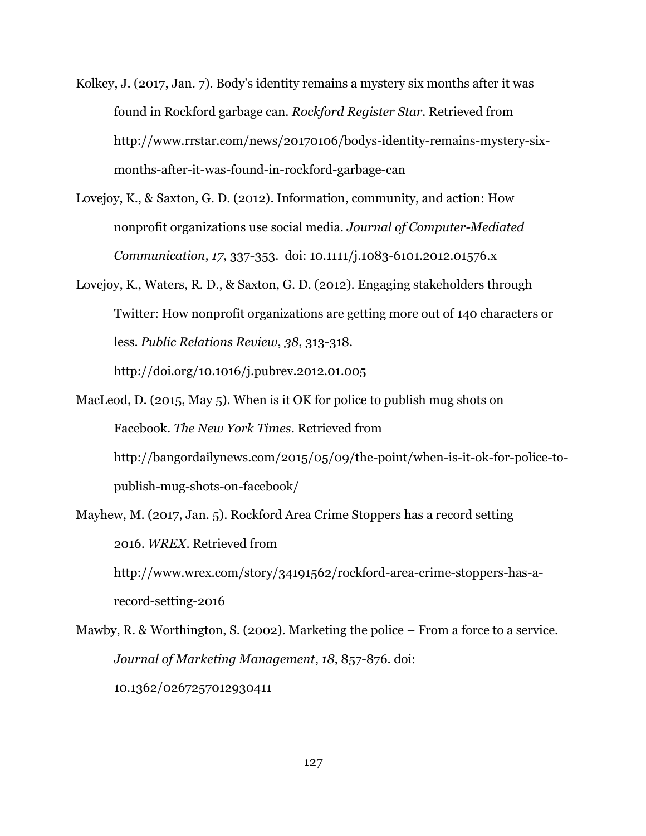- Kolkey, J. (2017, Jan. 7). Body's identity remains a mystery six months after it was found in Rockford garbage can. *Rockford Register Star.* Retrieved from http://www.rrstar.com/news/20170106/bodys-identity-remains-mystery-sixmonths-after-it-was-found-in-rockford-garbage-can
- Lovejoy, K., & Saxton, G. D. (2012). Information, community, and action: How nonprofit organizations use social media. *Journal of Computer-Mediated Communication*, *17*, 337-353. doi: 10.1111/j.1083-6101.2012.01576.x
- Lovejoy, K., Waters, R. D., & Saxton, G. D. (2012). Engaging stakeholders through Twitter: How nonprofit organizations are getting more out of 140 characters or less. *Public Relations Review*, *38*, 313-318.

http://doi.org/10.1016/j.pubrev.2012.01.005

- MacLeod, D. (2015, May 5). When is it OK for police to publish mug shots on Facebook. *The New York Times*. Retrieved from http://bangordailynews.com/2015/05/09/the-point/when-is-it-ok-for-police-topublish-mug-shots-on-facebook/
- Mayhew, M. (2017, Jan. 5). Rockford Area Crime Stoppers has a record setting 2016. *WREX*. Retrieved from http://www.wrex.com/story/34191562/rockford-area-crime-stoppers-has-arecord-setting-2016
- Mawby, R. & Worthington, S. (2002). Marketing the police From a force to a service. *Journal of Marketing Management*, *18*, 857-876. doi: 10.1362/0267257012930411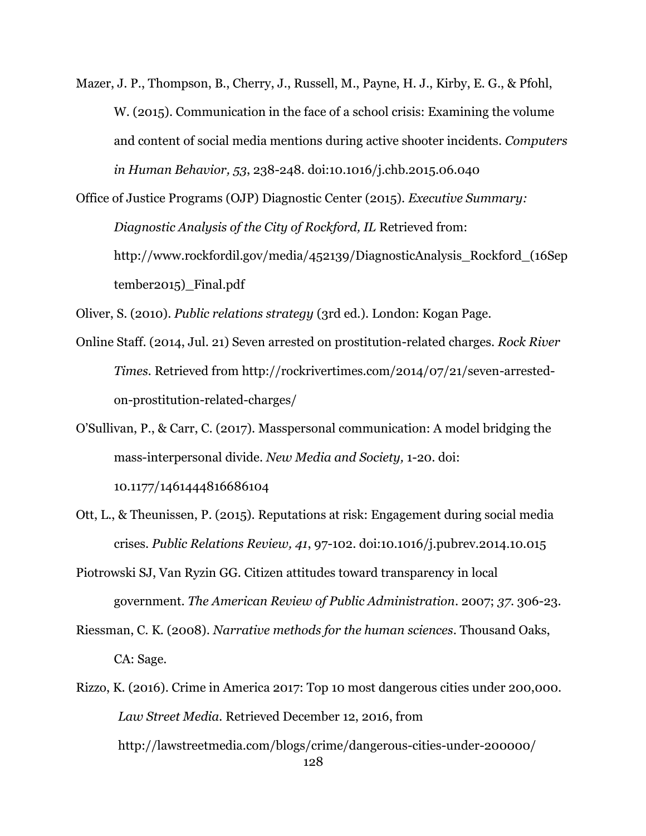- Mazer, J. P., Thompson, B., Cherry, J., Russell, M., Payne, H. J., Kirby, E. G., & Pfohl, W. (2015). Communication in the face of a school crisis: Examining the volume and content of social media mentions during active shooter incidents. *Computers in Human Behavior, 53*, 238-248. doi:10.1016/j.chb.2015.06.040
- Office of Justice Programs (OJP) Diagnostic Center (2015). *Executive Summary: Diagnostic Analysis of the City of Rockford, IL* Retrieved from: http://www.rockfordil.gov/media/452139/DiagnosticAnalysis\_Rockford\_(16Sep tember2015)\_Final.pdf

Oliver, S. (2010). *Public relations strategy* (3rd ed.). London: Kogan Page.

- Online Staff. (2014, Jul. 21) Seven arrested on prostitution-related charges. *Rock River Times.* Retrieved from http://rockrivertimes.com/2014/07/21/seven-arrestedon-prostitution-related-charges/
- O'Sullivan, P., & Carr, C. (2017). Masspersonal communication: A model bridging the mass-interpersonal divide. *New Media and Society,* 1-20. doi: 10.1177/1461444816686104
- Ott, L., & Theunissen, P. (2015). Reputations at risk: Engagement during social media crises. *Public Relations Review, 41*, 97-102. doi:10.1016/j.pubrev.2014.10.015
- Piotrowski SJ, Van Ryzin GG. Citizen attitudes toward transparency in local government. *The American Review of Public Administration*. 2007; *37*. 306-23.
- Riessman, C. K. (2008). *Narrative methods for the human sciences*. Thousand Oaks, CA: Sage.
- 128 Rizzo, K. (2016). Crime in America 2017: Top 10 most dangerous cities under 200,000. *Law Street Media.* Retrieved December 12, 2016, from http://lawstreetmedia.com/blogs/crime/dangerous-cities-under-200000/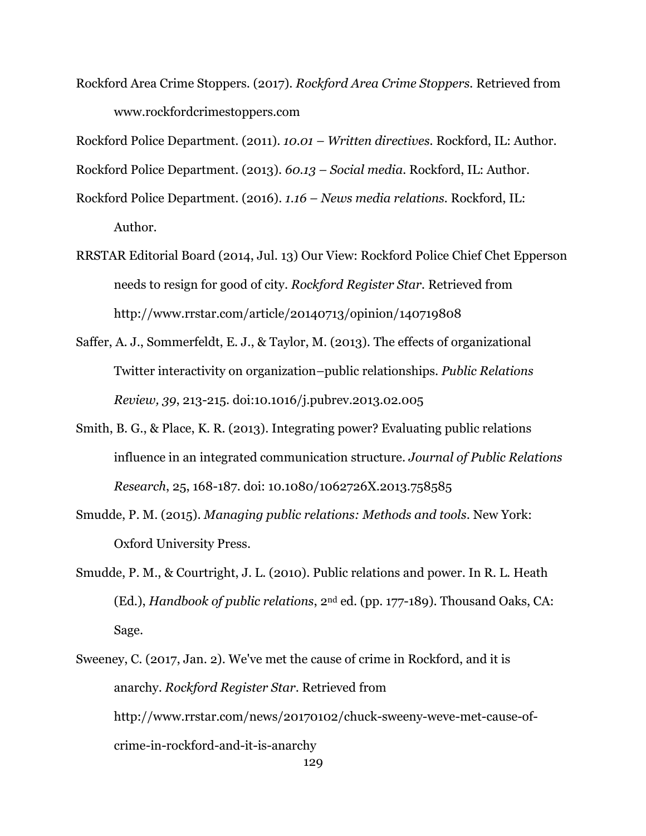Rockford Area Crime Stoppers. (2017). *Rockford Area Crime Stoppers.* Retrieved from www.rockfordcrimestoppers.com

Rockford Police Department. (2011). *10.01 – Written directives.* Rockford, IL: Author.

Rockford Police Department. (2013). *60.13 – Social media.* Rockford, IL: Author.

- Rockford Police Department. (2016). *1.16 – News media relations.* Rockford, IL: Author.
- RRSTAR Editorial Board (2014, Jul. 13) Our View: Rockford Police Chief Chet Epperson needs to resign for good of city. *Rockford Register Star.* Retrieved from http://www.rrstar.com/article/20140713/opinion/140719808
- Saffer, A. J., Sommerfeldt, E. J., & Taylor, M. (2013). The effects of organizational Twitter interactivity on organization–public relationships. *Public Relations Review, 39*, 213-215. doi:10.1016/j.pubrev.2013.02.005
- Smith, B. G., & Place, K. R. (2013). Integrating power? Evaluating public relations influence in an integrated communication structure. *Journal of Public Relations Research*, 25, 168-187. doi: 10.1080/1062726X.2013.758585
- Smudde, P. M. (2015). *Managing public relations: Methods and tools*. New York: Oxford University Press.
- Smudde, P. M., & Courtright, J. L. (2010). Public relations and power. In R. L. Heath (Ed.), *Handbook of public relations*, 2nd ed. (pp. 177-189). Thousand Oaks, CA: Sage.
- 129 Sweeney, C. (2017, Jan. 2). We've met the cause of crime in Rockford, and it is anarchy. *Rockford Register Star*. Retrieved from http://www.rrstar.com/news/20170102/chuck-sweeny-weve-met-cause-ofcrime-in-rockford-and-it-is-anarchy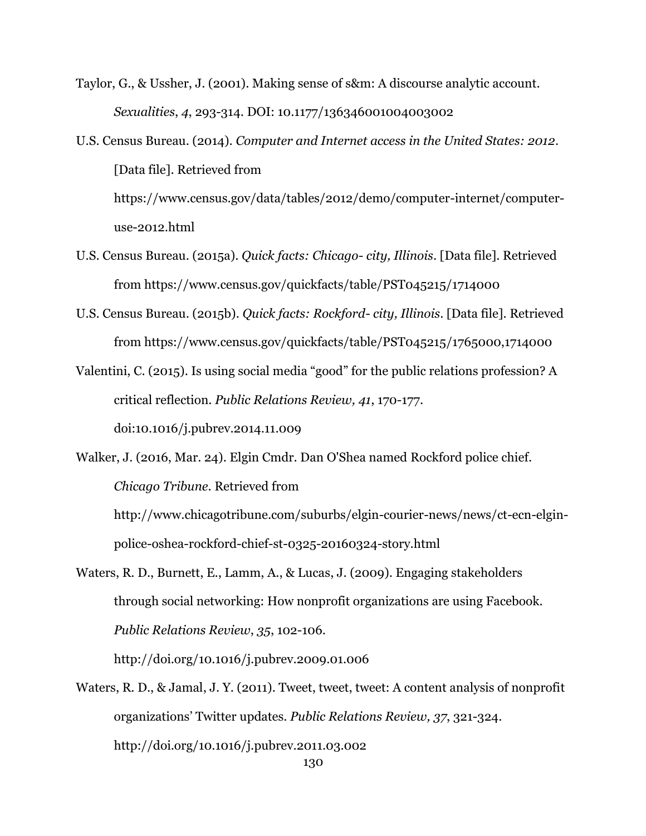Taylor, G., & Ussher, J. (2001). Making sense of s&m: A discourse analytic account. *Sexualities*, *4*, 293-314. DOI: 10.1177/136346001004003002

- U.S. Census Bureau. (2014). *Computer and Internet access in the United States: 2012*. [Data file]. Retrieved from https://www.census.gov/data/tables/2012/demo/computer-internet/computeruse-2012.html
- U.S. Census Bureau. (2015a). *Quick facts: Chicago- city, Illinois*. [Data file]. Retrieved from https://www.census.gov/quickfacts/table/PST045215/1714000
- U.S. Census Bureau. (2015b). *Quick facts: Rockford- city, Illinois*. [Data file]. Retrieved from https://www.census.gov/quickfacts/table/PST045215/1765000,1714000

Valentini, C. (2015). Is using social media "good" for the public relations profession? A critical reflection. *Public Relations Review, 41*, 170-177. doi:10.1016/j.pubrev.2014.11.009

Walker, J. (2016, Mar. 24). Elgin Cmdr. Dan O'Shea named Rockford police chief. *Chicago Tribune*. Retrieved from http://www.chicagotribune.com/suburbs/elgin-courier-news/news/ct-ecn-elgin-

police-oshea-rockford-chief-st-0325-20160324-story.html

Waters, R. D., Burnett, E., Lamm, A., & Lucas, J. (2009). Engaging stakeholders through social networking: How nonprofit organizations are using Facebook. *Public Relations Review*, *35*, 102-106.

http://doi.org/10.1016/j.pubrev.2009.01.006

Waters, R. D., & Jamal, J. Y. (2011). Tweet, tweet, tweet: A content analysis of nonprofit organizations' Twitter updates. *Public Relations Review, 37*, 321-324. http://doi.org/10.1016/j.pubrev.2011.03.002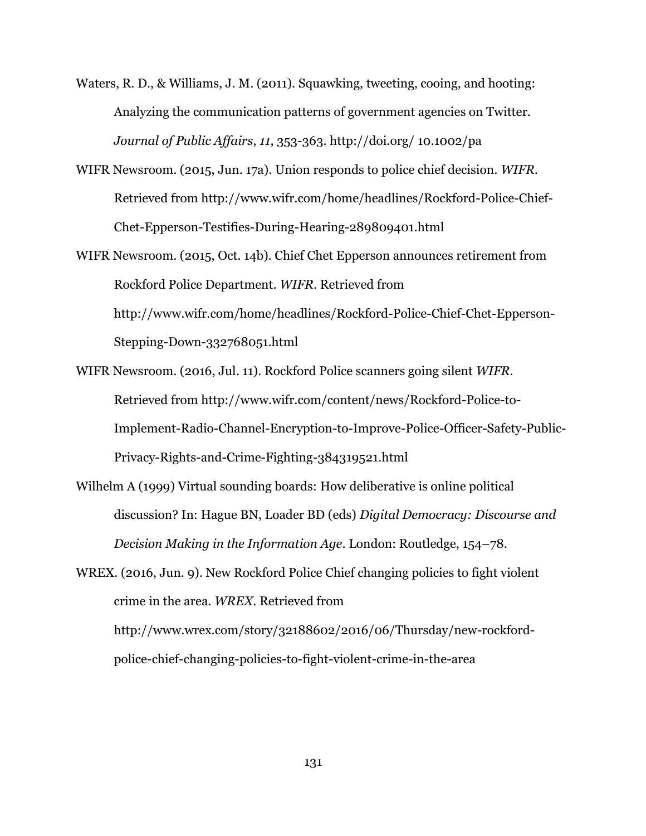- Waters, R. D., & Williams, J. M. (2011). Squawking, tweeting, cooing, and hooting: Analyzing the communication patterns of government agencies on Twitter. *Journal of Public Affairs*, *11*, 353-363. http://doi.org/ 10.1002/pa
- WIFR Newsroom. (2015, Jun. 17a). Union responds to police chief decision. *WIFR*. Retrieved from http://www.wifr.com/home/headlines/Rockford-Police-Chief-Chet-Epperson-Testifies-During-Hearing-289809401.html
- WIFR Newsroom. (2015, Oct. 14b). Chief Chet Epperson announces retirement from Rockford Police Department. *WIFR*. Retrieved from http://www.wifr.com/home/headlines/Rockford-Police-Chief-Chet-Epperson-Stepping-Down-332768051.html
- WIFR Newsroom. (2016, Jul. 11). Rockford Police scanners going silent *WIFR*. Retrieved from http://www.wifr.com/content/news/Rockford-Police-to-Implement-Radio-Channel-Encryption-to-Improve-Police-Officer-Safety-Public-Privacy-Rights-and-Crime-Fighting-384319521.html
- Wilhelm A (1999) Virtual sounding boards: How deliberative is online political discussion? In: Hague BN, Loader BD (eds) *Digital Democracy: Discourse and Decision Making in the Information Age*. London: Routledge, 154–78.
- WREX. (2016, Jun. 9). New Rockford Police Chief changing policies to fight violent crime in the area. *WREX*. Retrieved from http://www.wrex.com/story/32188602/2016/06/Thursday/new-rockfordpolice-chief-changing-policies-to-fight-violent-crime-in-the-area